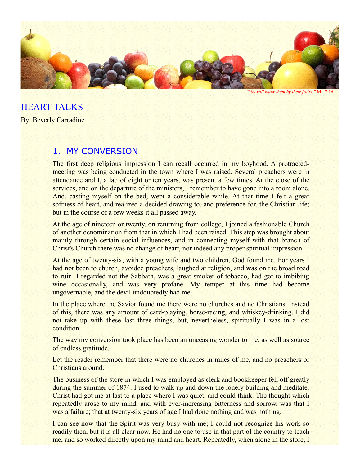

*"You will know them by their fruits."* Mt. 7:16

HEART TALKS

By Beverly Carradine

## 1. MY CONVERSION

The first deep religious impression I can recall occurred in my boyhood. A protractedmeeting was being conducted in the town where I was raised. Several preachers were in attendance and I, a lad of eight or ten years, was present a few times. At the close of the services, and on the departure of the ministers, I remember to have gone into a room alone. And, casting myself on the bed, wept a considerable while. At that time I felt a great softness of heart, and realized a decided drawing to, and preference for, the Christian life; but in the course of a few weeks it all passed away.

At the age of nineteen or twenty, on returning from college, I joined a fashionable Church of another denomination from that in which I had been raised. This step was brought about mainly through certain social influences, and in connecting myself with that branch of Christ's Church there was no change of heart, nor indeed any proper spiritual impression.

At the age of twenty-six, with a young wife and two children, God found me. For years I had not been to church, avoided preachers, laughed at religion, and was on the broad road to ruin. I regarded not the Sabbath, was a great smoker of tobacco, had got to imbibing wine occasionally, and was very profane. My temper at this time had become ungovernable, and the devil undoubtedly had me.

In the place where the Savior found me there were no churches and no Christians. Instead of this, there was any amount of card-playing, horse-racing, and whiskey-drinking. I did not take up with these last three things, but, nevertheless, spiritually I was in a lost condition.

The way my conversion took place has been an unceasing wonder to me, as well as source of endless gratitude.

Let the reader remember that there were no churches in miles of me, and no preachers or Christians around.

The business of the store in which I was employed as clerk and bookkeeper fell off greatly during the summer of 1874. I used to walk up and down the lonely building and meditate. Christ had got me at last to a place where I was quiet, and could think. The thought which repeatedly arose to my mind, and with ever-increasing bitterness and sorrow, was that I was a failure; that at twenty-six years of age I had done nothing and was nothing.

I can see now that the Spirit was very busy with me; I could not recognize his work so readily then, but it is all clear now. He had no one to use in that part of the country to teach me, and so worked directly upon my mind and heart. Repeatedly, when alone in the store, I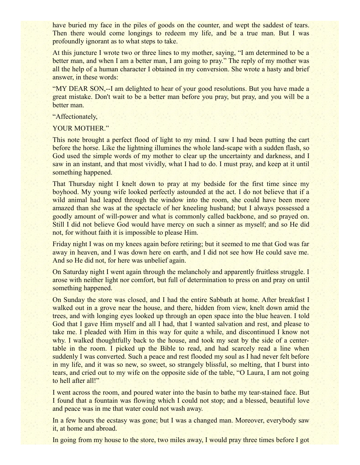have buried my face in the piles of goods on the counter, and wept the saddest of tears. Then there would come longings to redeem my life, and be a true man. But I was profoundly ignorant as to what steps to take.

At this juncture I wrote two or three lines to my mother, saying, "I am determined to be a better man, and when I am a better man, I am going to pray." The reply of my mother was all the help of a human character I obtained in my conversion. She wrote a hasty and brief answer, in these words:

"MY DEAR SON,--I am delighted to hear of your good resolutions. But you have made a great mistake. Don't wait to be a better man before you pray, but pray, and you will be a better man.

"Affectionately,

YOUR MOTHER."

This note brought a perfect flood of light to my mind. I saw I had been putting the cart before the horse. Like the lightning illumines the whole land-scape with a sudden flash, so God used the simple words of my mother to clear up the uncertainty and darkness, and I saw in an instant, and that most vividly, what I had to do. I must pray, and keep at it until something happened.

That Thursday night I knelt down to pray at my bedside for the first time since my boyhood. My young wife looked perfectly astounded at the act. I do not believe that if a wild animal had leaped through the window into the room, she could have been more amazed than she was at the spectacle of her kneeling husband; but I always possessed a goodly amount of will-power and what is commonly called backbone, and so prayed on. Still I did not believe God would have mercy on such a sinner as myself; and so He did not, for without faith it is impossible to please Him.

Friday night I was on my knees again before retiring; but it seemed to me that God was far away in heaven, and I was down here on earth, and I did not see how He could save me. And so He did not, for here was unbelief again.

On Saturday night I went again through the melancholy and apparently fruitless struggle. I arose with neither light nor comfort, but full of determination to press on and pray on until something happened.

On Sunday the store was closed, and I had the entire Sabbath at home. After breakfast I walked out in a grove near the house, and there, hidden from view, knelt down amid the trees, and with longing eyes looked up through an open space into the blue heaven. I told God that I gave Him myself and all I had, that I wanted salvation and rest, and please to take me. I pleaded with Him in this way for quite a while, and discontinued I know not why. I walked thoughtfully back to the house, and took my seat by the side of a centertable in the room. I picked up the Bible to read, and had scarcely read a line when suddenly I was converted. Such a peace and rest flooded my soul as I had never felt before in my life, and it was so new, so sweet, so strangely blissful, so melting, that I burst into tears, and cried out to my wife on the opposite side of the table, "O Laura, I am not going to hell after all!"

I went across the room, and poured water into the basin to bathe my tear-stained face. But I found that a fountain was flowing which I could not stop; and a blessed, beautiful love and peace was in me that water could not wash away.

In a few hours the ecstasy was gone; but I was a changed man. Moreover, everybody saw it, at home and abroad.

In going from my house to the store, two miles away, I would pray three times before I got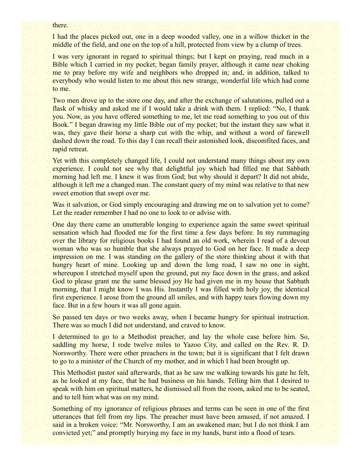#### there.

I had the places picked out, one in a deep wooded valley, one in a willow thicket in the middle of the field, and one on the top of a hill, protected from view by a clump of trees.

I was very ignorant in regard to spiritual things; but I kept on praying, read much in a Bible which I carried in my pocket; began family prayer, although it came near choking me to pray before my wife and neighbors who dropped in; and, in addition, talked to everybody who would listen to me about this new strange, wonderful life which had come to me.

Two men drove up to the store one day, and after the exchange of salutations, pulled out a flask of whisky and asked me if I would take a drink with them. I replied: "No, I thank you. Now, as you have offered something to me, let me read something to you out of this Book." I began drawing my little Bible out of my pocket; but the instant they saw what it was, they gave their horse a sharp cut with the whip, and without a word of farewell dashed down the road. To this day I can recall their astonished look, discomfited faces, and rapid retreat.

Yet with this completely changed life, I could not understand many things about my own experience. I could not see why that delightful joy which had filled me that Sabbath morning had left me. I knew it was from God; but why should it depart? It did not abide, although it left me a changed man. The constant query of my mind was relative to that new sweet emotion that swept over me.

Was it salvation, or God simply encouraging and drawing me on to salvation yet to come? Let the reader remember I had no one to look to or advise with.

One day there came an unutterable longing to experience again the same sweet spiritual sensation which had flooded me for the first time a few days before. In my rummaging over the library for religious books I had found an old work, wherein I read of a devout woman who was so humble that she always prayed to God on her face. It made a deep impression on me. I was standing on the gallery of the store thinking about it with that hungry heart of mine. Looking up and down the long road, I saw no one in sight, whereupon I stretched myself upon the ground, put my face down in the grass, and asked God to please grant me the same blessed joy He had given me in my house that Sabbath morning, that I might know I was His. Instantly I was filled with holy joy, the identical first experience. I arose from the ground all smiles, and with happy tears flowing down my face. But in a few hours it was all gone again.

So passed ten days or two weeks away, when I became hungry for spiritual instruction. There was so much I did not understand, and craved to know.

I determined to go to a Methodist preacher, and lay the whole case before him. So, saddling my horse, I rode twelve miles to Yazoo City, and called on the Rev. R. D. Norsworthy. There were other preachers in the town; but it is significant that I felt drawn to go to a minister of the Church of my mother, and in which I had been brought up.

This Methodist pastor said afterwards, that as he saw me walking towards his gate he felt, as he looked at my face, that he had business on his hands. Telling him that I desired to speak with him on spiritual matters, he dismissed all from the room, asked me to be seated, and to tell him what was on my mind.

Something of my ignorance of religious phrases and terms can be seen in one of the first utterances that fell from my lips. The preacher must have been amused, if not amazed. I said in a broken voice: "Mr. Norsworthy, I am an awakened man; but I do not think I am convicted yet;" and promptly burying my face in my hands, burst into a flood of tears.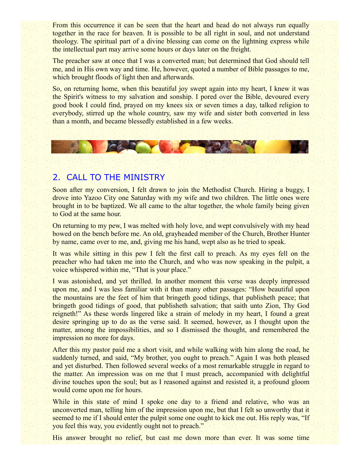From this occurrence it can be seen that the heart and head do not always run equally together in the race for heaven. It is possible to be all right in soul, and not understand theology. The spiritual part of a divine blessing can come on the lightning express while the intellectual part may arrive some hours or days later on the freight.

The preacher saw at once that I was a converted man; but determined that God should tell me, and in His own way and time. He, however, quoted a number of Bible passages to me, which brought floods of light then and afterwards.

So, on returning home, when this beautiful joy swept again into my heart, I knew it was the Spirit's witness to my salvation and sonship. I pored over the Bible, devoured every good book I could find, prayed on my knees six or seven times a day, talked religion to everybody, stirred up the whole country, saw my wife and sister both converted in less than a month, and became blessedly established in a few weeks.



# 2. CALL TO THE MINISTRY

Soon after my conversion, I felt drawn to join the Methodist Church. Hiring a buggy, I drove into Yazoo City one Saturday with my wife and two children. The little ones were brought in to be baptized. We all came to the altar together, the whole family being given to God at the same hour.

On returning to my pew, I was melted with holy love, and wept convulsively with my head bowed on the bench before me. An old, grayheaded member of the Church, Brother Hunter by name, came over to me, and, giving me his hand, wept also as he tried to speak.

It was while sitting in this pew I felt the first call to preach. As my eyes fell on the preacher who had taken me into the Church, and who was now speaking in the pulpit, a voice whispered within me, "That is your place."

I was astonished, and yet thrilled. In another moment this verse was deeply impressed upon me, and I was less familiar with it than many other passages: "How beautiful upon the mountains are the feet of him that bringeth good tidings, that publisheth peace; that bringeth good tidings of good, that publisheth salvation; that saith unto Zion, Thy God reigneth!" As these words lingered like a strain of melody in my heart, I found a great desire springing up to do as the verse said. It seemed, however, as I thought upon the matter, among the impossibilities, and so I dismissed the thought, and remembered the impression no more for days.

After this my pastor paid me a short visit, and while walking with him along the road, he suddenly turned, and said, "My brother, you ought to preach." Again I was both pleased and yet disturbed. Then followed several weeks of a most remarkable struggle in regard to the matter. An impression was on me that I must preach, accompanied with delightful divine touches upon the soul; but as I reasoned against and resisted it, a profound gloom would come upon me for hours.

While in this state of mind I spoke one day to a friend and relative, who was an unconverted man, telling him of the impression upon me, but that I felt so unworthy that it seemed to me if I should enter the pulpit some one ought to kick me out. His reply was, "If you feel this way, you evidently ought not to preach."

His answer brought no relief, but cast me down more than ever. It was some time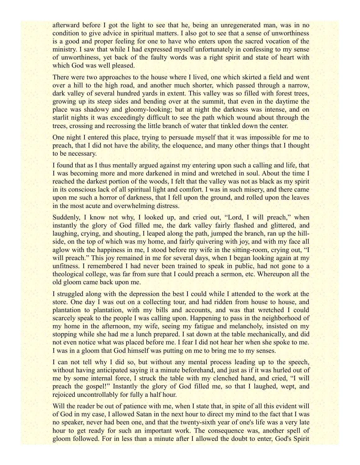afterward before I got the light to see that he, being an unregenerated man, was in no condition to give advice in spiritual matters. I also got to see that a sense of unworthiness is a good and proper feeling for one to have who enters upon the sacred vocation of the ministry. I saw that while I had expressed myself unfortunately in confessing to my sense of unworthiness, yet back of the faulty words was a right spirit and state of heart with which God was well pleased.

There were two approaches to the house where I lived, one which skirted a field and went over a hill to the high road, and another much shorter, which passed through a narrow, dark valley of several hundred yards in extent. This valley was so filled with forest trees, growing up its steep sides and bending over at the summit, that even in the daytime the place was shadowy and gloomy-looking; but at night the darkness was intense, and on starlit nights it was exceedingly difficult to see the path which wound about through the trees, crossing and recrossing the little branch of water that tinkled down the center.

One night I entered this place, trying to persuade myself that it was impossible for me to preach, that I did not have the ability, the eloquence, and many other things that I thought to be necessary.

I found that as I thus mentally argued against my entering upon such a calling and life, that I was becoming more and more darkened in mind and wretched in soul. About the time I reached the darkest portion of the woods, I felt that the valley was not as black as my spirit in its conscious lack of all spiritual light and comfort. I was in such misery, and there came upon me such a horror of darkness, that I fell upon the ground, and rolled upon the leaves in the most acute and overwhelming distress.

Suddenly, I know not why, I looked up, and cried out, "Lord, I will preach," when instantly the glory of God filled me, the dark valley fairly flashed and glittered, and laughing, crying, and shouting, I leaped along the path, jumped the branch, ran up the hillside, on the top of which was my home, and fairly quivering with joy, and with my face all aglow with the happiness in me, I stood before my wife in the sitting-room, crying out, "I will preach." This joy remained in me for several days, when I began looking again at my unfitness. I remembered I had never been trained to speak in public, had not gone to a theological college, was far from sure that I could preach a sermon, etc. Whereupon all the old gloom came back upon me.

I struggled along with the depression the best I could while I attended to the work at the store. One day I was out on a collecting tour, and had ridden from house to house, and plantation to plantation, with my bills and accounts, and was that wretched I could scarcely speak to the people I was calling upon. Happening to pass in the neighborhood of my home in the afternoon, my wife, seeing my fatigue and melancholy, insisted on my stopping while she had me a lunch prepared. I sat down at the table mechanically, and did not even notice what was placed before me. I fear I did not hear her when she spoke to me. I was in a gloom that God himself was putting on me to bring me to my senses.

I can not tell why I did so, but without any mental process leading up to the speech, without having anticipated saying it a minute beforehand, and just as if it was hurled out of me by some internal force, I struck the table with my clenched hand, and cried, "I will preach the gospel!" Instantly the glory of God filled me, so that I laughed, wept, and rejoiced uncontrollably for fully a half hour.

Will the reader be out of patience with me, when I state that, in spite of all this evident will of God in my case, I allowed Satan in the next hour to direct my mind to the fact that I was no speaker, never had been one, and that the twenty-sixth year of one's life was a very late hour to get ready for such an important work. The consequence was, another spell of gloom followed. For in less than a minute after I allowed the doubt to enter, God's Spirit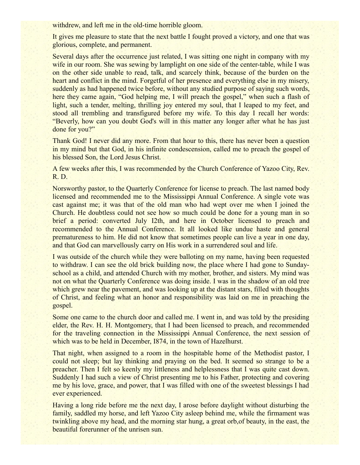withdrew, and left me in the old-time horrible gloom.

It gives me pleasure to state that the next battle I fought proved a victory, and one that was glorious, complete, and permanent.

Several days after the occurrence just related, I was sitting one night in company with my wife in our room. She was sewing by lamplight on one side of the center-table, while I was on the other side unable to read, talk, and scarcely think, because of the burden on the heart and conflict in the mind. Forgetful of her presence and everything else in my misery, suddenly as had happened twice before, without any studied purpose of saying such words, here they came again, "God helping me, I will preach the gospel," when such a flash of light, such a tender, melting, thrilling joy entered my soul, that I leaped to my feet, and stood all trembling and transfigured before my wife. To this day I recall her words: "Beverly, how can you doubt God's will in this matter any longer after what he has just done for you?"

Thank God! I never did any more. From that hour to this, there has never been a question in my mind but that God, in his infinite condescension, called me to preach the gospel of his blessed Son, the Lord Jesus Christ.

A few weeks after this, I was recommended by the Church Conference of Yazoo City, Rev. R. D.

Norsworthy pastor, to the Quarterly Conference for license to preach. The last named body licensed and recommended me to the Mississippi Annual Conference. A single vote was cast against me; it was that of the old man who had wept over me when I joined the Church. He doubtless could not see how so much could be done for a young man in so brief a period: converted July I2th, and here in October licensed to preach and recommended to the Annual Conference. It all looked like undue haste and general prematureness to him. He did not know that sometimes people can live a year in one day, and that God can marvellously carry on His work in a surrendered soul and life.

I was outside of the church while they were balloting on my name, having been requested to withdraw. I can see the old brick building now, the place where I had gone to Sundayschool as a child, and attended Church with my mother, brother, and sisters. My mind was not on what the Quarterly Conference was doing inside. I was in the shadow of an old tree which grew near the pavement, and was looking up at the distant stars, filled with thoughts of Christ, and feeling what an honor and responsibility was laid on me in preaching the gospel.

Some one came to the church door and called me. I went in, and was told by the presiding elder, the Rev. H. H. Montgomery, that I had been licensed to preach, and recommended for the traveling connection in the Mississippi Annual Conference, the next session of which was to be held in December, 1874, in the town of Hazelhurst.

That night, when assigned to a room in the hospitable home of the Methodist pastor, I could not sleep; but lay thinking and praying on the bed. It seemed so strange to be a preacher. Then I felt so keenly my littleness and helplessness that I was quite cast down. Suddenly I had such a view of Christ presenting me to his Father, protecting and covering me by his love, grace, and power, that I was filled with one of the sweetest blessings I had ever experienced.

Having a long ride before me the next day, I arose before daylight without disturbing the family, saddled my horse, and left Yazoo City asleep behind me, while the firmament was twinkling above my head, and the morning star hung, a great orb,of beauty, in the east, the beautiful forerunner of the unrisen sun.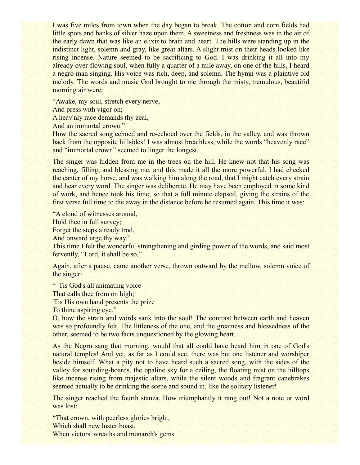I was five miles from town when the day began to break. The cotton and corn fields had little spots and banks of silver haze upon them. A sweetness and freshness was in the air of the early dawn that was like an elixir to brain and heart. The hills were standing up in the indistinct light, solemn and gray, like great altars. A slight mist on their heads looked like rising incense. Nature seemed to be sacrificing to God. I was drinking it all into my already over-flowing soul, when fully a quarter of a mile away, on one of the hills, I heard a negro man singing. His voice was rich, deep, and solemn. The hymn was a plaintive old melody. The words and music God brought to me through the misty, tremulous, beautiful morning air were:

"Awake, my soul, stretch every nerve,

And press with vigor on;

A heav'nly race demands thy zeal,

And an immortal crown."

How the sacred song echoed and re-echoed over the fields, in the valley, and was thrown back from the opposite hillsides! I was almost breathless, while the words "heavenly race" and "immortal crown" seemed to linger the longest.

The singer was hidden from me in the trees on the hill. He knew not that his song was reaching, filling, and blessing me, and this made it all the more powerful. I had checked the canter of my horse, and was walking him along the road, that I might catch every strain and hear every word. The singer was deliberate. He may have been employed in some kind of work, and hence took his time; so that a full minute elapsed, giving the strains of the first verse full time to die away in the distance before he resumed again. This time it was:

"A cloud of witnesses around,

Hold thee in full survey;

Forget the steps already trod,

And onward urge thy way."

This time I felt the wonderful strengthening and girding power of the words, and said most fervently, "Lord, it shall be so."

Again, after a pause, came another verse, thrown outward by the mellow, solemn voice of the singer:

" 'Tis God's all animating voice

That calls thee from on high;

'Tis His own hand presents the prize

To thine aspiring eye."

O, how the strain and words sank into the soul! The contrast between earth and heaven was so profoundly felt. The littleness of the one, and the greatness and blessedness of the other, seemed to be two facts unquestioned by the glowing heart.

As the Negro sang that morning, would that all could have heard him in one of God's natural temples! And yet, as far as I could see, there was but one listener and worshiper beside himself. What a pity not to have heard such a sacred song, with the sides of the valley for sounding-boards, the opaline sky for a ceiling, the floating mist on the hilltops like incense rising from majestic altars, while the silent woods and fragrant canebrakes seemed actually to be drinking the scene and sound in, like the solitary listener!

The singer reached the fourth stanza. How triumphantly it rang out! Not a note or word was lost:

"That crown, with peerless glories bright, Which shall new luster boast, When victors' wreaths and monarch's gems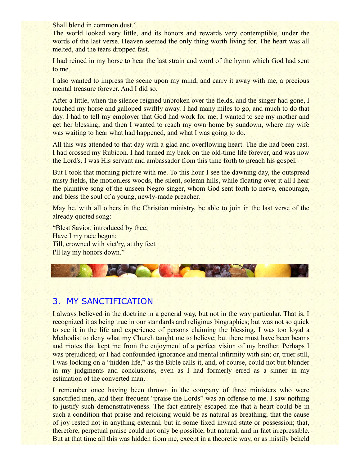Shall blend in common dust."

The world looked very little, and its honors and rewards very contemptible, under the words of the last verse. Heaven seemed the only thing worth living for. The heart was all melted, and the tears dropped fast.

I had reined in my horse to hear the last strain and word of the hymn which God had sent to me.

I also wanted to impress the scene upon my mind, and carry it away with me, a precious mental treasure forever. And I did so.

After a little, when the silence reigned unbroken over the fields, and the singer had gone, I touched my horse and galloped swiftly away. I had many miles to go, and much to do that day. I had to tell my employer that God had work for me; I wanted to see my mother and get her blessing; and then I wanted to reach my own home by sundown, where my wife was waiting to hear what had happened, and what I was going to do.

All this was attended to that day with a glad and overflowing heart. The die had been cast. I had crossed my Rubicon. I had turned my back on the old-time life forever, and was now the Lord's. I was His servant and ambassador from this time forth to preach his gospel.

But I took that morning picture with me. To this hour I see the dawning day, the outspread misty fields, the motionless woods, the silent, solemn hills, while floating over it all I hear the plaintive song of the unseen Negro singer, whom God sent forth to nerve, encourage, and bless the soul of a young, newly-made preacher.

May he, with all others in the Christian ministry, be able to join in the last verse of the already quoted song:

"Blest Savior, introduced by thee, Have I my race begun; Till, crowned with vict'ry, at thy feet I'll lay my honors down."



## 3. MY SANCTIFICATION

I always believed in the doctrine in a general way, but not in the way particular. That is, I recognized it as being true in our standards and religious biographies; but was not so quick to see it in the life and experience of persons claiming the blessing. I was too loyal a Methodist to deny what my Church taught me to believe; but there must have been beams and motes that kept me from the enjoyment of a perfect vision of my brother. Perhaps I was prejudiced; or I had confounded ignorance and mental infirmity with sin; or, truer still, I was looking on a "hidden life," as the Bible calls it, and, of course, could not but blunder in my judgments and conclusions, even as I had formerly erred as a sinner in my estimation of the converted man.

I remember once having been thrown in the company of three ministers who were sanctified men, and their frequent "praise the Lords" was an offense to me. I saw nothing to justify such demonstrativeness. The fact entirely escaped me that a heart could be in such a condition that praise and rejoicing would be as natural as breathing; that the cause of joy rested not in anything external, but in some fixed inward state or possession; that, therefore, perpetual praise could not only be possible, but natural, and in fact irrepressible. But at that time all this was hidden from me, except in a theoretic way, or as mistily beheld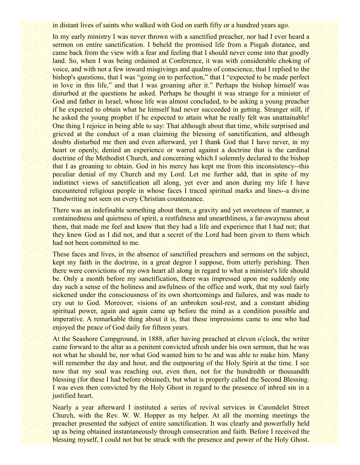in distant lives of saints who walked with God on earth fifty or a hundred years ago.

In my early ministry I was never thrown with a sanctified preacher, nor had I ever heard a sermon on entire sanctification. I beheld the promised life from a Pisgah distance, and came back from the view with a fear and feeling that I should never come into that goodly land. So, when I was being ordained at Conference, it was with considerable choking of voice, and with not a few inward misgivings and qualms of conscience, that I replied to the bishop's questions, that I was "going on to perfection," that I "expected to be made perfect in love in this life," and that I was groaning after it." Perhaps the bishop himself was disturbed at the questions he asked. Perhaps he thought it was strange for a minister of God and father in Israel, whose life was almost concluded, to be asking a young preacher if he expected to obtain what he himself had never succeeded in getting. Stranger still, if he asked the young prophet if he expected to attain what he really felt was unattainable! One thing I rejoice in being able to say: That although about that time, while surprised and grieved at the conduct of a man claiming the blessing of sanctification, and although doubts disturbed me then and even afterward, yet I thank God that I have never, in my heart or openly, denied an experience or warred against a doctrine that is the cardinal doctrine of the Methodist Church, and concerning which I solemnly declared to the bishop that I as groaning to obtain. God in his mercy has kept me from this inconsistency--this peculiar denial of my Church and my Lord. Let me further add, that in spite of my indistinct views of sanctification all along, yet ever and anon during my life I have encountered religious people in whose faces I traced spiritual marks and lines--a divine handwriting not seen on every Christian countenance.

There was an indefinable something about them, a gravity and yet sweetness of manner, a containedness and quietness of spirit, a restfulness and unearthliness, a far-awayness about them, that made me feel and know that they had a life and experience that I had not; that they knew God as I did not, and that a secret of the Lord had been given to them which had not been committed to me.

These faces and lives, in the absence of sanctified preachers and sermons on the subject, kept my faith in the doctrine, in a great degree I suppose, from utterly perishing. Then there were convictions of my own heart all along in regard to what a minister's life should be. Only a month before my sanctification, there was impressed upon me suddenly one day such a sense of the holiness and awfulness of the office and work, that my soul fairly sickened under the consciousness of its own shortcomings and failures, and was made to cry out to God. Moreover, visions of an unbroken soul-rest, and a constant abiding spiritual power, again and again came up before the mind as a condition possible and imperative. A remarkable thing about it is, that these impressions came to one who had enjoyed the peace of God daily for fifteen years.

At the Seashore Campground, in 1888, after having preached at eleven o'clock, the writer came forward to the altar as a penitent convicted afresh under his own sermon, that he was not what he should be, nor what God wanted him to be and was able to make him. Many will remember the day and hour, and the outpouring of the Holy Spirit at the time. I see now that my soul was reaching out, even then, not for the hundredth or thousandth blessing (for these I had before obtained), but what is properly called the Second Blessing. I was even then convicted by the Holy Ghost in regard to the presence of inbred sin in a justified heart.

Nearly a year afterward I instituted a series of revival services in Carondelet Street Church, with the Rev. W. W. Hopper as my helper. At all the morning meetings the preacher presented the subject of entire sanctification. It was clearly and powerfully held up as being obtained instantaneously through consecration and faith. Before I received the blessing myself, I could not but be struck with the presence and power of the Holy Ghost.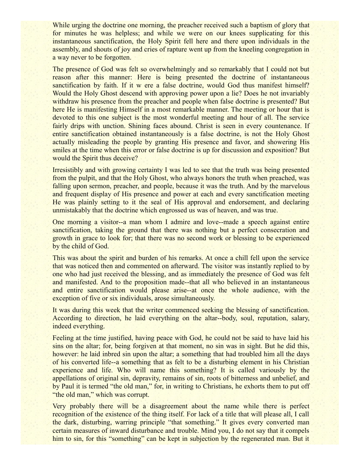While urging the doctrine one morning, the preacher received such a baptism of glory that for minutes he was helpless; and while we were on our knees supplicating for this instantaneous sanctification, the Holy Spirit fell here and there upon individuals in the assembly, and shouts of joy and cries of rapture went up from the kneeling congregation in a way never to be forgotten.

The presence of God was felt so overwhelmingly and so remarkably that I could not but reason after this manner: Here is being presented the doctrine of instantaneous sanctification by faith. If it w ere a false doctrine, would God thus manifest himself? Would the Holy Ghost descend with approving power upon a lie? Does he not invariably withdraw his presence from the preacher and people when false doctrine is presented? But here He is manifesting Himself in a most remarkable manner. The meeting or hour that is devoted to this one subject is the most wonderful meeting and hour of all. The service fairly drips with unction. Shining faces abound. Christ is seen in every countenance. If entire sanctification obtained instantaneously is a false doctrine, is not the Holy Ghost actually misleading the people by granting His presence and favor, and showering His smiles at the time when this error or false doctrine is up for discussion and exposition? But would the Spirit thus deceive?

Irresistibly and with growing certainty I was led to see that the truth was being presented from the pulpit, and that the Holy Ghost, who always honors the truth when preached, was falling upon sermon, preacher, and people, because it was the truth. And by the marvelous and frequent display of His presence and power at each and every sanctification meeting He was plainly setting to it the seal of His approval and endorsement, and declaring unmistakably that the doctrine which engrossed us was of heaven, and was true.

One morning a visitor--a man whom I admire and love--made a speech against entire sanctification, taking the ground that there was nothing but a perfect consecration and growth in grace to look for; that there was no second work or blessing to be experienced by the child of God.

This was about the spirit and burden of his remarks. At once a chill fell upon the service that was noticed then and commented on afterward. The visitor was instantly replied to by one who had just received the blessing, and as immediately the presence of God was felt and manifested. And to the proposition made--that all who believed in an instantaneous and entire sanctification would please arise--at once the whole audience, with the exception of five or six individuals, arose simultaneously.

It was during this week that the writer commenced seeking the blessing of sanctification. According to direction, he laid everything on the altar--body, soul, reputation, salary, indeed everything.

Feeling at the time justified, having peace with God, he could not be said to have laid his sins on the altar; for, being forgiven at that moment, no sin was in sight. But he did this, however: he laid inbred sin upon the altar; a something that had troubled him all the days of his converted life--a something that as felt to be a disturbing element in his Christian experience and life. Who will name this something? It is called variously by the appellations of original sin, depravity, remains of sin, roots of bitterness and unbelief, and by Paul it is termed "the old man," for, in writing to Christians, he exhorts them to put off "the old man," which was corrupt.

Very probably there will be a disagreement about the name while there is perfect recognition of the existence of the thing itself. For lack of a title that will please all, I call the dark, disturbing, warring principle "that something." It gives every converted man certain measures of inward disturbance and trouble. Mind you, I do not say that it compels him to sin, for this "something" can be kept in subjection by the regenerated man. But it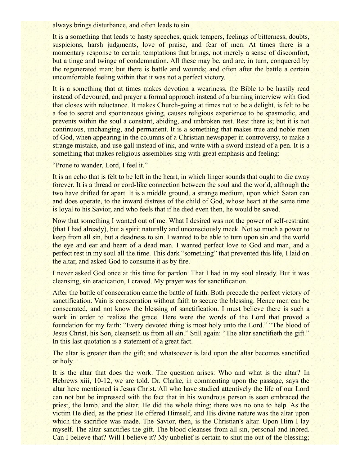always brings disturbance, and often leads to sin.

It is a something that leads to hasty speeches, quick tempers, feelings of bitterness, doubts, suspicions, harsh judgments, love of praise, and fear of men. At times there is a momentary response to certain temptations that brings, not merely a sense of discomfort, but a tinge and twinge of condemnation. All these may be, and are, in turn, conquered by the regenerated man; but there is battle and wounds; and often after the battle a certain uncomfortable feeling within that it was not a perfect victory.

It is a something that at times makes devotion a weariness, the Bible to be hastily read instead of devoured, and prayer a formal approach instead of a burning interview with God that closes with reluctance. It makes Church-going at times not to be a delight, is felt to be a foe to secret and spontaneous giving, causes religious experience to be spasmodic, and prevents within the soul a constant, abiding, and unbroken rest. Rest there is; but it is not continuous, unchanging, and permanent. It is a something that makes true and noble men of God, when appearing in the columns of a Christian newspaper in controversy, to make a strange mistake, and use gall instead of ink, and write with a sword instead of a pen. It is a something that makes religious assemblies sing with great emphasis and feeling:

"Prone to wander, Lord, I feel it."

It is an echo that is felt to be left in the heart, in which linger sounds that ought to die away forever. It is a thread or cord-like connection between the soul and the world, although the two have drifted far apart. It is a middle ground, a strange medium, upon which Satan can and does operate, to the inward distress of the child of God, whose heart at the same time is loyal to his Savior, and who feels that if he died even then, he would be saved.

Now that something I wanted out of me. What I desired was not the power of self-restraint (that I had already), but a spirit naturally and unconsciously meek. Not so much a power to keep from all sin, but a deadness to sin. I wanted to be able to turn upon sin and the world the eye and ear and heart of a dead man. I wanted perfect love to God and man, and a perfect rest in my soul all the time. This dark "something" that prevented this life, I laid on the altar, and asked God to consume it as by fire.

I never asked God once at this time for pardon. That I had in my soul already. But it was cleansing, sin eradication, I craved. My prayer was for sanctification.

After the battle of consecration came the battle of faith. Both precede the perfect victory of sanctification. Vain is consecration without faith to secure the blessing. Hence men can be consecrated, and not know the blessing of sanctification. I must believe there is such a work in order to realize the grace. Here were the words of the Lord that proved a foundation for my faith: "Every devoted thing is most holy unto the Lord." "The blood of Jesus Christ, his Son, cleanseth us from all sin." Still again: "The altar sanctifieth the gift." In this last quotation is a statement of a great fact.

The altar is greater than the gift; and whatsoever is laid upon the altar becomes sanctified or holy.

It is the altar that does the work. The question arises: Who and what is the altar? In Hebrews xiii, 10-12, we are told. Dr. Clarke, in commenting upon the passage, says the altar here mentioned is Jesus Christ. All who have studied attentively the life of our Lord can not but be impressed with the fact that in his wondrous person is seen embraced the priest, the lamb, and the altar. He did the whole thing; there was no one to help. As the victim He died, as the priest He offered Himself, and His divine nature was the altar upon which the sacrifice was made. The Savior, then, is the Christian's altar. Upon Him I lay myself. The altar sanctifies the gift. The blood cleanses from all sin, personal and inbred. Can I believe that? Will I believe it? My unbelief is certain to shut me out of the blessing;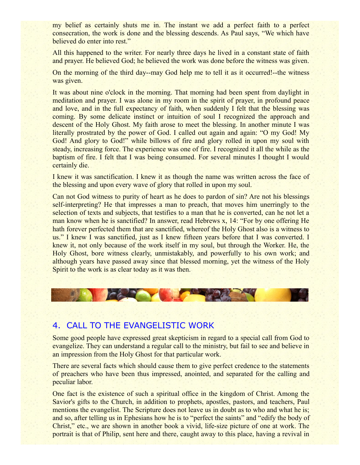my belief as certainly shuts me in. The instant we add a perfect faith to a perfect consecration, the work is done and the blessing descends. As Paul says, "We which have believed do enter into rest."

All this happened to the writer. For nearly three days he lived in a constant state of faith and prayer. He believed God; he believed the work was done before the witness was given.

On the morning of the third day--may God help me to tell it as it occurred!--the witness was given.

It was about nine o'clock in the morning. That morning had been spent from daylight in meditation and prayer. I was alone in my room in the spirit of prayer, in profound peace and love, and in the full expectancy of faith, when suddenly I felt that the blessing was coming. By some delicate instinct or intuition of soul I recognized the approach and descent of the Holy Ghost. My faith arose to meet the blessing. In another minute I was literally prostrated by the power of God. I called out again and again: "O my God! My God! And glory to God!" while billows of fire and glory rolled in upon my soul with steady, increasing force. The experience was one of fire. I recognized it all the while as the baptism of fire. I felt that I was being consumed. For several minutes I thought I would certainly die.

I knew it was sanctification. I knew it as though the name was written across the face of the blessing and upon every wave of glory that rolled in upon my soul.

Can not God witness to purity of heart as he does to pardon of sin? Are not his blessings self-interpreting? He that impresses a man to preach, that moves him unerringly to the selection of texts and subjects, that testifies to a man that he is converted, can he not let a man know when he is sanctified? In answer, read Hebrews x, 14: "For by one offering He hath forever perfected them that are sanctified, whereof the Holy Ghost also is a witness to us." I knew I was sanctified, just as I knew fifteen years before that I was converted. I knew it, not only because of the work itself in my soul, but through the Worker. He, the Holy Ghost, bore witness clearly, unmistakably, and powerfully to his own work; and although years have passed away since that blessed morning, yet the witness of the Holy Spirit to the work is as clear today as it was then.



## 4. CALL TO THE EVANGELISTIC WORK

Some good people have expressed great skepticism in regard to a special call from God to evangelize. They can understand a regular call to the ministry, but fail to see and believe in an impression from the Holy Ghost for that particular work.

There are several facts which should cause them to give perfect credence to the statements of preachers who have been thus impressed, anointed, and separated for the calling and peculiar labor.

One fact is the existence of such a spiritual office in the kingdom of Christ. Among the Savior's gifts to the Church, in addition to prophets, apostles, pastors, and teachers, Paul mentions the evangelist. The Scripture does not leave us in doubt as to who and what he is; and so, after telling us in Ephesians how he is to "perfect the saints" and "edify the body of Christ," etc., we are shown in another book a vivid, life-size picture of one at work. The portrait is that of Philip, sent here and there, caught away to this place, having a revival in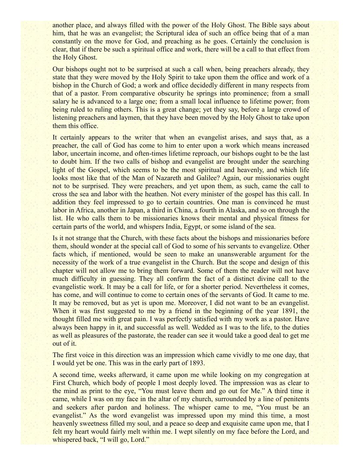another place, and always filled with the power of the Holy Ghost. The Bible says about him, that he was an evangelist; the Scriptural idea of such an office being that of a man constantly on the move for God, and preaching as he goes. Certainly the conclusion is clear, that if there be such a spiritual office and work, there will be a call to that effect from the Holy Ghost.

Our bishops ought not to be surprised at such a call when, being preachers already, they state that they were moved by the Holy Spirit to take upon them the office and work of a bishop in the Church of God; a work and office decidedly different in many respects from that of a pastor. From comparative obscurity he springs into prominence; from a small salary he is advanced to a large one; from a small local influence to lifetime power; from being ruled to ruling others. This is a great change; yet they say, before a large crowd of listening preachers and laymen, that they have been moved by the Holy Ghost to take upon them this office.

It certainly appears to the writer that when an evangelist arises, and says that, as a preacher, the call of God has come to him to enter upon a work which means increased labor, uncertain income, and often-times lifetime reproach, our bishops ought to be the last to doubt him. If the two calls of bishop and evangelist are brought under the searching light of the Gospel, which seems to be the most spiritual and heavenly, and which life looks most like that of the Man of Nazareth and Galilee? Again, our missionaries ought not to be surprised. They were preachers, and yet upon them, as such, came the call to cross the sea and labor with the heathen. Not every minister of the gospel has this call. In addition they feel impressed to go to certain countries. One man is convinced he must labor in Africa, another in Japan, a third in China, a fourth in Alaska, and so on through the list. He who calls them to be missionaries knows their mental and physical fitness for certain parts of the world, and whispers India, Egypt, or some island of the sea.

Is it not strange that the Church, with these facts about the bishops and missionaries before them, should wonder at the special call of God to some of his servants to evangelize. Other facts which, if mentioned, would be seen to make an unanswerable argument for the necessity of the work of a true evangelist in the Church. But the scope and design of this chapter will not allow me to bring them forward. Some of them the reader will not have much difficulty in guessing. They all confirm the fact of a distinct divine call to the evangelistic work. It may be a call for life, or for a shorter period. Nevertheless it comes, has come, and will continue to come to certain ones of the servants of God. It came to me. It may be removed, but as yet is upon me. Moreover, I did not want to be an evangelist. When it was first suggested to me by a friend in the beginning of the year 1891, the thought filled me with great pain. I was perfectly satisfied with my work as a pastor. Have always been happy in it, and successful as well. Wedded as I was to the life, to the duties as well as pleasures of the pastorate, the reader can see it would take a good deal to get me out of it.

The first voice in this direction was an impression which came vividly to me one day, that I would yet be one. This was in the early part of 1893.

A second time, weeks afterward, it came upon me while looking on my congregation at First Church, which body of people I most deeply loved. The impression was as clear to the mind as print to the eye, "You must leave them and go out for Me." A third time it came, while I was on my face in the altar of my church, surrounded by a line of penitents and seekers after pardon and holiness. The whisper came to me, "You must be an evangelist." As the word evangelist was impressed upon my mind this time, a most heavenly sweetness filled my soul, and a peace so deep and exquisite came upon me, that I felt my heart would fairly melt within me. I wept silently on my face before the Lord, and whispered back, "I will go, Lord."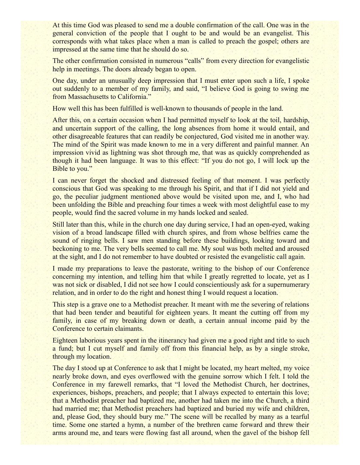At this time God was pleased to send me a double confirmation of the call. One was in the general conviction of the people that I ought to be and would be an evangelist. This corresponds with what takes place when a man is called to preach the gospel; others are impressed at the same time that he should do so.

The other confirmation consisted in numerous "calls" from every direction for evangelistic help in meetings. The doors already began to open.

One day, under an unusually deep impression that I must enter upon such a life, I spoke out suddenly to a member of my family, and said, "I believe God is going to swing me from Massachusetts to California."

How well this has been fulfilled is well-known to thousands of people in the land.

After this, on a certain occasion when I had permitted myself to look at the toil, hardship, and uncertain support of the calling, the long absences from home it would entail, and other disagreeable features that can readily be conjectured, God visited me in another way. The mind of the Spirit was made known to me in a very different and painful manner. An impression vivid as lightning was shot through me, that was as quickly comprehended as though it had been language. It was to this effect: "If you do not go, I will lock up the Bible to you."

I can never forget the shocked and distressed feeling of that moment. I was perfectly conscious that God was speaking to me through his Spirit, and that if I did not yield and go, the peculiar judgment mentioned above would be visited upon me, and I, who had been unfolding the Bible and preaching four times a week with most delightful ease to my people, would find the sacred volume in my hands locked and sealed.

Still later than this, while in the church one day during service, I had an open-eyed, waking vision of a broad landscape filled with church spires, and from whose belfries came the sound of ringing bells. I saw men standing before these buildings, looking toward and beckoning to me. The very bells seemed to call me. My soul was both melted and aroused at the sight, and I do not remember to have doubted or resisted the evangelistic call again.

I made my preparations to leave the pastorate, writing to the bishop of our Conference concerning my intention, and telling him that while I greatly regretted to locate, yet as I was not sick or disabled, I did not see how I could conscientiously ask for a supernumerary relation, and in order to do the right and honest thing I would request a location.

This step is a grave one to a Methodist preacher. It meant with me the severing of relations that had been tender and beautiful for eighteen years. It meant the cutting off from my family, in case of my breaking down or death, a certain annual income paid by the Conference to certain claimants.

Eighteen laborious years spent in the itinerancy had given me a good right and title to such a fund; but I cut myself and family off from this financial help, as by a single stroke, through my location.

The day I stood up at Conference to ask that I might be located, my heart melted, my voice nearly broke down, and eyes overflowed with the genuine sorrow which I felt. I told the Conference in my farewell remarks, that "I loved the Methodist Church, her doctrines, experiences, bishops, preachers, and people; that I always expected to entertain this love; that a Methodist preacher had baptized me, another had taken me into the Church, a third had married me; that Methodist preachers had baptized and buried my wife and children, and, please God, they should bury me." The scene will be recalled by many as a tearful time. Some one started a hymn, a number of the brethren came forward and threw their arms around me, and tears were flowing fast all around, when the gavel of the bishop fell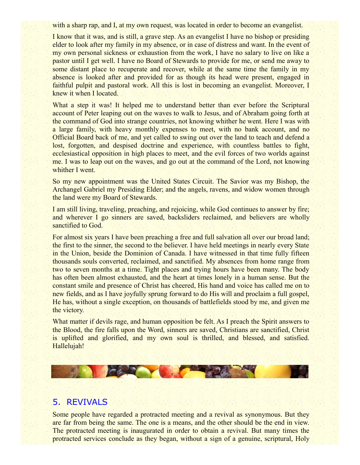with a sharp rap, and I, at my own request, was located in order to become an evangelist.

I know that it was, and is still, a grave step. As an evangelist I have no bishop or presiding elder to look after my family in my absence, or in case of distress and want. In the event of my own personal sickness or exhaustion from the work, I have no salary to live on like a pastor until I get well. I have no Board of Stewards to provide for me, or send me away to some distant place to recuperate and recover, while at the same time the family in my absence is looked after and provided for as though its head were present, engaged in faithful pulpit and pastoral work. All this is lost in becoming an evangelist. Moreover, I knew it when I located.

What a step it was! It helped me to understand better than ever before the Scriptural account of Peter leaping out on the waves to walk to Jesus, and of Abraham going forth at the command of God into strange countries, not knowing whither he went. Here I was with a large family, with heavy monthly expenses to meet, with no bank account, and no Official Board back of me, and yet called to swing out over the land to teach and defend a lost, forgotten, and despised doctrine and experience, with countless battles to fight, ecclesiastical opposition in high places to meet, and the evil forces of two worlds against me. I was to leap out on the waves, and go out at the command of the Lord, not knowing whither I went.

So my new appointment was the United States Circuit. The Savior was my Bishop, the Archangel Gabriel my Presiding Elder; and the angels, ravens, and widow women through the land were my Board of Stewards.

I am still living, traveling, preaching, and rejoicing, while God continues to answer by fire; and wherever I go sinners are saved, backsliders reclaimed, and believers are wholly sanctified to God.

For almost six years I have been preaching a free and full salvation all over our broad land; the first to the sinner, the second to the believer. I have held meetings in nearly every State in the Union, beside the Dominion of Canada. I have witnessed in that time fully fifteen thousands souls converted, reclaimed, and sanctified. My absences from home range from two to seven months at a time. Tight places and trying hours have been many. The body has often been almost exhausted, and the heart at times lonely in a human sense. But the constant smile and presence of Christ has cheered, His hand and voice has called me on to new fields, and as I have joyfully sprung forward to do His will and proclaim a full gospel, He has, without a single exception, on thousands of battlefields stood by me, and given me the victory.

What matter if devils rage, and human opposition be felt. As I preach the Spirit answers to the Blood, the fire falls upon the Word, sinners are saved, Christians are sanctified, Christ is uplifted and glorified, and my own soul is thrilled, and blessed, and satisfied. Hallelujah!



#### 5. REVIVALS

Some people have regarded a protracted meeting and a revival as synonymous. But they are far from being the same. The one is a means, and the other should be the end in view. The protracted meeting is inaugurated in order to obtain a revival. But many times the protracted services conclude as they began, without a sign of a genuine, scriptural, Holy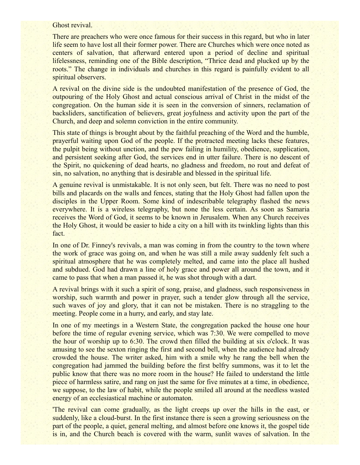#### Ghost revival.

There are preachers who were once famous for their success in this regard, but who in later life seem to have lost all their former power. There are Churches which were once noted as centers of salvation, that afterward entered upon a period of decline and spiritual lifelessness, reminding one of the Bible description, "Thrice dead and plucked up by the roots." The change in individuals and churches in this regard is painfully evident to all spiritual observers.

A revival on the divine side is the undoubted manifestation of the presence of God, the outpouring of the Holy Ghost and actual conscious arrival of Christ in the midst of the congregation. On the human side it is seen in the conversion of sinners, reclamation of backsliders, sanctification of believers, great joyfulness and activity upon the part of the Church, and deep and solemn conviction in the entire community.

This state of things is brought about by the faithful preaching of the Word and the humble, prayerful waiting upon God of the people. If the protracted meeting lacks these features, the pulpit being without unction, and the pew failing in humility, obedience, supplication, and persistent seeking after God, the services end in utter failure. There is no descent of the Spirit, no quickening of dead hearts, no gladness and freedom, no rout and defeat of sin, no salvation, no anything that is desirable and blessed in the spiritual life.

A genuine revival is unmistakable. It is not only seen, but felt. There was no need to post bills and placards on the walls and fences, stating that the Holy Ghost had fallen upon the disciples in the Upper Room. Some kind of indescribable telegraphy flashed the news everywhere. It is a wireless telegraphy, but none the less certain. As soon as Samaria receives the Word of God, it seems to be known in Jerusalem. When any Church receives the Holy Ghost, it would be easier to hide a city on a hill with its twinkling lights than this fact.

In one of Dr. Finney's revivals, a man was coming in from the country to the town where the work of grace was going on, and when he was still a mile away suddenly felt such a spiritual atmosphere that he was completely melted, and came into the place all hushed and subdued. God had drawn a line of holy grace and power all around the town, and it came to pass that when a man passed it, he was shot through with a dart.

A revival brings with it such a spirit of song, praise, and gladness, such responsiveness in worship, such warmth and power in prayer, such a tender glow through all the service, such waves of joy and glory, that it can not be mistaken. There is no straggling to the meeting. People come in a hurry, and early, and stay late.

In one of my meetings in a Western State, the congregation packed the house one hour before the time of regular evening service, which was 7:30. We were compelled to move the hour of worship up to 6:30. The crowd then filled the building at six o'clock. It was amusing to see the sexton ringing the first and second bell, when the audience had already crowded the house. The writer asked, him with a smile why he rang the bell when the congregation had jammed the building before the first belfry summons, was it to let the public know that there was no more room in the house? He failed to understand the little piece of harmless satire, and rang on just the same for five minutes at a time, in obedience, we suppose, to the law of habit, while the people smiled all around at the needless wasted energy of an ecclesiastical machine or automaton.

'The revival can come gradually, as the light creeps up over the hills in the east, or suddenly, like a cloud-burst. In the first instance there is seen a growing seriousness on the part of the people, a quiet, general melting, and almost before one knows it, the gospel tide is in, and the Church beach is covered with the warm, sunlit waves of salvation. In the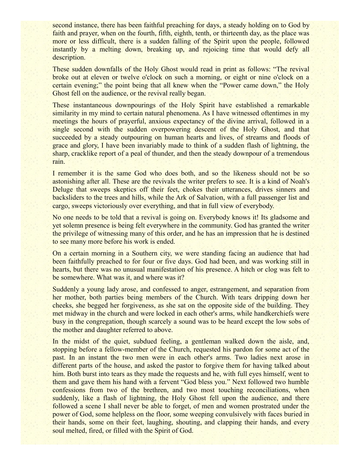second instance, there has been faithful preaching for days, a steady holding on to God by faith and prayer, when on the fourth, fifth, eighth, tenth, or thirteenth day, as the place was more or less difficult, there is a sudden falling of the Spirit upon the people, followed instantly by a melting down, breaking up, and rejoicing time that would defy all description.

These sudden downfalls of the Holy Ghost would read in print as follows: "The revival broke out at eleven or twelve o'clock on such a morning, or eight or nine o'clock on a certain evening;" the point being that all knew when the "Power came down," the Holy Ghost fell on the audience, or the revival really began.

These instantaneous downpourings of the Holy Spirit have established a remarkable similarity in my mind to certain natural phenomena. As I have witnessed oftentimes in my meetings the hours of prayerful, anxious expectancy of the divine arrival, followed in a single second with the sudden overpowering descent of the Holy Ghost, and that succeeded by a steady outpouring on human hearts and lives, of streams and floods of grace and glory, I have been invariably made to think of a sudden flash of lightning, the sharp, cracklike report of a peal of thunder, and then the steady downpour of a tremendous rain.

I remember it is the same God who does both, and so the likeness should not be so astonishing after all. These are the revivals the writer prefers to see. It is a kind of Noah's Deluge that sweeps skeptics off their feet, chokes their utterances, drives sinners and backsliders to the trees and hills, while the Ark of Salvation, with a full passenger list and cargo, sweeps victoriously over everything, and that in full view of everybody.

No one needs to be told that a revival is going on. Everybody knows it! Its gladsome and yet solemn presence is being felt everywhere in the community. God has granted the writer the privilege of witnessing many of this order, and he has an impression that he is destined to see many more before his work is ended.

On a certain morning in a Southern city, we were standing facing an audience that had been faithfully preached to for four or five days. God had been, and was working still in hearts, but there was no unusual manifestation of his presence. A hitch or clog was felt to be somewhere. What was it, and where was it?

Suddenly a young lady arose, and confessed to anger, estrangement, and separation from her mother, both parties being members of the Church. With tears dripping down her cheeks, she begged her forgiveness, as she sat on the opposite side of the building. They met midway in the church and were locked in each other's arms, while handkerchiefs were busy in the congregation, though scarcely a sound was to be heard except the low sobs of the mother and daughter referred to above.

In the midst of the quiet, subdued feeling, a gentleman walked down the aisle, and, stopping before a fellow-member of the Church, requested his pardon for some act of the past. In an instant the two men were in each other's arms. Two ladies next arose in different parts of the house, and asked the pastor to forgive them for having talked about him. Both burst into tears as they made the requests and he, with full eyes himself, went to them and gave them his hand with a fervent "God bless you." Next followed two humble confessions from two of the brethren, and two most touching reconciliations, when suddenly, like a flash of lightning, the Holy Ghost fell upon the audience, and there followed a scene I shall never be able to forget, of men and women prostrated under the power of God, some helpless on the floor, some weeping convulsively with faces buried in their hands, some on their feet, laughing, shouting, and clapping their hands, and every soul melted, fired, or filled with the Spirit of God.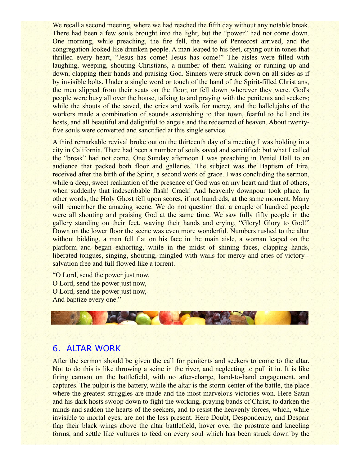We recall a second meeting, where we had reached the fifth day without any notable break. There had been a few souls brought into the light; but the "power" had not come down. One morning, while preaching, the fire fell, the wine of Pentecost arrived, and the congregation looked like drunken people. A man leaped to his feet, crying out in tones that thrilled every heart, "Jesus has come! Jesus has come!" The aisles were filled with laughing, weeping, shouting Christians, a number of them walking or running up and down, clapping their hands and praising God. Sinners were struck down on all sides as if by invisible bolts. Under a single word or touch of the hand of the Spirit-filled Christians, the men slipped from their seats on the floor, or fell down wherever they were. God's people were busy all over the house, talking to and praying with the penitents and seekers; while the shouts of the saved, the cries and wails for mercy, and the hallelujahs of the workers made a combination of sounds astonishing to that town, fearful to hell and its hosts, and all beautiful and delightful to angels and the redeemed of heaven. About twentyfive souls were converted and sanctified at this single service.

A third remarkable revival broke out on the thirteenth day of a meeting I was holding in a city in California. There had been a number of souls saved and sanctified; but what I called the "break" had not come. One Sunday afternoon I was preaching in Peniel Hall to an audience that packed both floor and galleries. The subject was the Baptism of Fire, received after the birth of the Spirit, a second work of grace. I was concluding the sermon, while a deep, sweet realization of the presence of God was on my heart and that of others, when suddenly that indescribable flash! Crack! And heavenly downpour took place. In other words, the Holy Ghost fell upon scores, if not hundreds, at the same moment. Many will remember the amazing scene. We do not question that a couple of hundred people were all shouting and praising God at the same time. We saw fully fifty people in the gallery standing on their feet, waving their hands and crying, "Glory! Glory to God!" Down on the lower floor the scene was even more wonderful. Numbers rushed to the altar without bidding, a man fell flat on his face in the main aisle, a woman leaped on the platform and began exhorting, while in the midst of shining faces, clapping hands, liberated tongues, singing, shouting, mingled with wails for mercy and cries of victory- salvation free and full flowed like a torrent.

"O Lord, send the power just now, O Lord, send the power just now, O Lord, send the power just now, And baptize every one."



## 6. ALTAR WORK

After the sermon should be given the call for penitents and seekers to come to the altar. Not to do this is like throwing a seine in the river, and neglecting to pull it in. It is like firing cannon on the battlefield, with no after-charge, hand-to-hand engagement, and captures. The pulpit is the battery, while the altar is the storm-center of the battle, the place where the greatest struggles are made and the most marvelous victories won. Here Satan and his dark hosts swoop down to fight the working, praying bands of Christ, to darken the minds and sadden the hearts of the seekers, and to resist the heavenly forces, which, while invisible to mortal eyes, are not the less present. Here Doubt, Despondency, and Despair flap their black wings above the altar battlefield, hover over the prostrate and kneeling forms, and settle like vultures to feed on every soul which has been struck down by the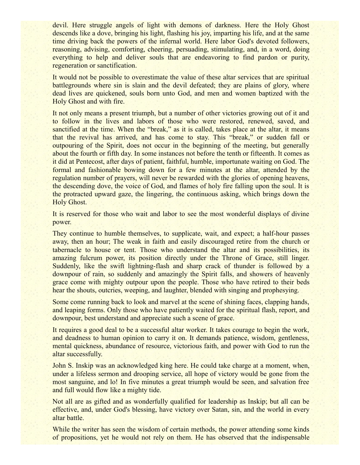devil. Here struggle angels of light with demons of darkness. Here the Holy Ghost descends like a dove, bringing his light, flashing his joy, imparting his life, and at the same time driving back the powers of the infernal world. Here labor God's devoted followers, reasoning, advising, comforting, cheering, persuading, stimulating, and, in a word, doing everything to help and deliver souls that are endeavoring to find pardon or purity, regeneration or sanctification.

It would not be possible to overestimate the value of these altar services that are spiritual battlegrounds where sin is slain and the devil defeated; they are plains of glory, where dead lives are quickened, souls born unto God, and men and women baptized with the Holy Ghost and with fire.

It not only means a present triumph, but a number of other victories growing out of it and to follow in the lives and labors of those who were restored, renewed, saved, and sanctified at the time. When the "break," as it is called, takes place at the altar, it means that the revival has arrived, and has come to stay. This "break," or sudden fall or outpouring of the Spirit, does not occur in the beginning of the meeting, but generally about the fourth or fifth day. In some instances not before the tenth or fifteenth. It comes as it did at Pentecost, after days of patient, faithful, humble, importunate waiting on God. The formal and fashionable bowing down for a few minutes at the altar, attended by the regulation number of prayers, will never be rewarded with the glories of opening heavens, the descending dove, the voice of God, and flames of holy fire falling upon the soul. It is the protracted upward gaze, the lingering, the continuous asking, which brings down the Holy Ghost.

It is reserved for those who wait and labor to see the most wonderful displays of divine power.

They continue to humble themselves, to supplicate, wait, and expect; a half-hour passes away, then an hour; The weak in faith and easily discouraged retire from the church or tabernacle to house or tent. Those who understand the altar and its possibilities, its amazing fulcrum power, its position directly under the Throne of Grace, still linger. Suddenly, like the swift lightning-flash and sharp crack of thunder is followed by a downpour of rain, so suddenly and amazingly the Spirit falls, and showers of heavenly grace come with mighty outpour upon the people. Those who have retired to their beds hear the shouts, outcries, weeping, and laughter, blended with singing and prophesying.

Some come running back to look and marvel at the scene of shining faces, clapping hands, and leaping forms. Only those who have patiently waited for the spiritual flash, report, and downpour, best understand and appreciate such a scene of grace.

It requires a good deal to be a successful altar worker. It takes courage to begin the work, and deadness to human opinion to carry it on. It demands patience, wisdom, gentleness, mental quickness, abundance of resource, victorious faith, and power with God to run the altar successfully.

John S. Inskip was an acknowledged king here. He could take charge at a moment, when, under a lifeless sermon and drooping service, all hope of victory would be gone from the most sanguine, and lo! In five minutes a great triumph would be seen, and salvation free and full would flow like a mighty tide.

Not all are as gifted and as wonderfully qualified for leadership as Inskip; but all can be effective, and, under God's blessing, have victory over Satan, sin, and the world in every altar battle.

While the writer has seen the wisdom of certain methods, the power attending some kinds of propositions, yet he would not rely on them. He has observed that the indispensable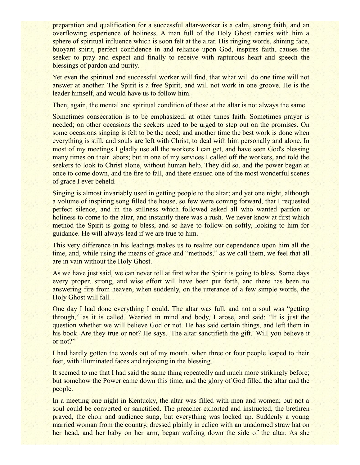preparation and qualification for a successful altar-worker is a calm, strong faith, and an overflowing experience of holiness. A man full of the Holy Ghost carries with him a sphere of spiritual influence which is soon felt at the altar. His ringing words, shining face, buoyant spirit, perfect confidence in and reliance upon God, inspires faith, causes the seeker to pray and expect and finally to receive with rapturous heart and speech the blessings of pardon and purity.

Yet even the spiritual and successful worker will find, that what will do one time will not answer at another. The Spirit is a free Spirit, and will not work in one groove. He is the leader himself, and would have us to follow him.

Then, again, the mental and spiritual condition of those at the altar is not always the same.

Sometimes consecration is to be emphasized; at other times faith. Sometimes prayer is needed; on other occasions the seekers need to be urged to step out on the promises. On some occasions singing is felt to be the need; and another time the best work is done when everything is still, and souls are left with Christ, to deal with him personally and alone. In most of my meetings I gladly use all the workers I can get, and have seen God's blessing many times on their labors; but in one of my services I called off the workers, and told the seekers to look to Christ alone, without human help. They did so, and the power began at once to come down, and the fire to fall, and there ensued one of the most wonderful scenes of grace I ever beheld.

Singing is almost invariably used in getting people to the altar; and yet one night, although a volume of inspiring song filled the house, so few were coming forward, that I requested perfect silence, and in the stillness which followed asked all who wanted pardon or holiness to come to the altar, and instantly there was a rush. We never know at first which method the Spirit is going to bless, and so have to follow on softly, looking to him for guidance. He will always lead if we are true to him.

This very difference in his leadings makes us to realize our dependence upon him all the time, and, while using the means of grace and "methods," as we call them, we feel that all are in vain without the Holy Ghost.

As we have just said, we can never tell at first what the Spirit is going to bless. Some days every proper, strong, and wise effort will have been put forth, and there has been no answering fire from heaven, when suddenly, on the utterance of a few simple words, the Holy Ghost will fall.

One day I had done everything I could. The altar was full, and not a soul was "getting through," as it is called. Wearied in mind and body, I arose, and said: "It is just the question whether we will believe God or not. He has said certain things, and left them in his book. Are they true or not? He says, 'The altar sanctifieth the gift.' Will you believe it or not?"

I had hardly gotten the words out of my mouth, when three or four people leaped to their feet, with illuminated faces and rejoicing in the blessing.

It seemed to me that I had said the same thing repeatedly and much more strikingly before; but somehow the Power came down this time, and the glory of God filled the altar and the people.

In a meeting one night in Kentucky, the altar was filled with men and women; but not a soul could be converted or sanctified. The preacher exhorted and instructed, the brethren prayed, the choir and audience sung, but everything was locked up. Suddenly a young married woman from the country, dressed plainly in calico with an unadorned straw hat on her head, and her baby on her arm, began walking down the side of the altar. As she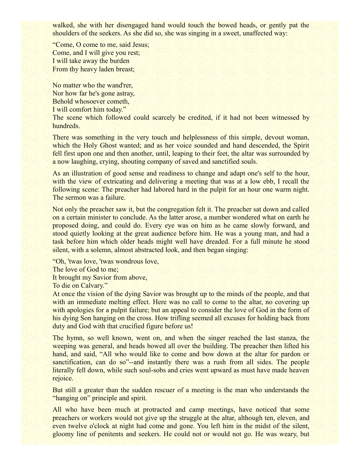walked, she with her disengaged hand would touch the bowed heads, or gently pat the shoulders of the seekers. As she did so, she was singing in a sweet, unaffected way:

"Come, O come to me, said Jesus; Come, and I will give you rest; I will take away the burden From thy heavy laden breast;

No matter who the wand'rer, Nor how far he's gone astray, Behold whosoever cometh, I will comfort him today."

The scene which followed could scarcely be credited, if it had not been witnessed by hundreds.

There was something in the very touch and helplessness of this simple, devout woman, which the Holy Ghost wanted; and as her voice sounded and hand descended, the Spirit fell first upon one and then another, until, leaping to their feet, the altar was surrounded by a now laughing, crying, shouting company of saved and sanctified souls.

As an illustration of good sense and readiness to change and adapt one's self to the hour, with the view of extricating and delivering a meeting that was at a low ebb, I recall the following scene: The preacher had labored hard in the pulpit for an hour one warm night. The sermon was a failure.

Not only the preacher saw it, but the congregation felt it. The preacher sat down and called on a certain minister to conclude. As the latter arose, a number wondered what on earth he proposed doing, and could do. Every eye was on him as he came slowly forward, and stood quietly looking at the great audience before him. He was a young man, and had a task before him which older heads might well have dreaded. For a full minute he stood silent, with a solemn, almost abstracted look, and then began singing:

"Oh, 'twas love, 'twas wondrous love, The love of God to me; It brought my Savior from above, To die on Calvary."

At once the vision of the dying Savior was brought up to the minds of the people, and that with an immediate melting effect. Here was no call to come to the altar, no covering up with apologies for a pulpit failure; but an appeal to consider the love of God in the form of his dying Son hanging on the cross. How trifling seemed all excuses for holding back from duty and God with that crucified figure before us!

The hymn, so well known, went on, and when the singer reached the last stanza, the weeping was general, and heads bowed all over the building. The preacher then lifted his hand, and said, "All who would like to come and bow down at the altar for pardon or sanctification, can do so"--and instantly there was a rush from all sides. The people literally fell down, while such soul-sobs and cries went upward as must have made heaven rejoice.

But still a greater than the sudden rescuer of a meeting is the man who understands the "hanging on" principle and spirit.

All who have been much at protracted and camp meetings, have noticed that some preachers or workers would not give up the struggle at the altar, although ten, eleven, and even twelve o'clock at night had come and gone. You left him in the midst of the silent, gloomy line of penitents and seekers. He could not or would not go. He was weary, but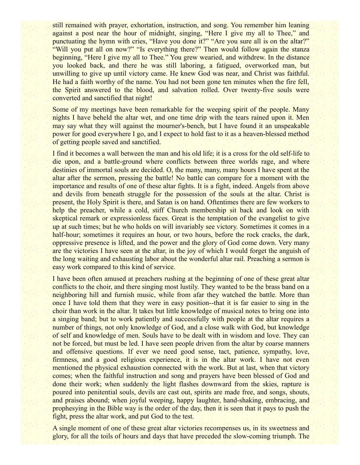still remained with prayer, exhortation, instruction, and song. You remember him leaning against a post near the hour of midnight, singing, "Here I give my all to Thee," and punctuating the hymn with cries, "Have you done it?" "Are you sure all is on the altar?" "Will you put all on now?" "Is everything there?" Then would follow again the stanza beginning, "Here I give my all to Thee." You grew wearied, and withdrew. In the distance you looked back, and there he was still laboring, a fatigued, overworked man, but unwilling to give up until victory came. He knew God was near, and Christ was faithful. He had a faith worthy of the name. You had not been gone ten minutes when the fire fell, the Spirit answered to the blood, and salvation rolled. Over twenty-five souls were converted and sanctified that night!

Some of my meetings have been remarkable for the weeping spirit of the people. Many nights I have beheld the altar wet, and one time drip with the tears rained upon it. Men may say what they will against the mourner's-bench, but I have found it an unspeakable power for good everywhere I go, and I expect to hold fast to it as a heaven-blessed method of getting people saved and sanctified.

I find it becomes a wall between the man and his old life; it is a cross for the old self-life to die upon, and a battle-ground where conflicts between three worlds rage, and where destinies of immortal souls are decided. O, the many, many, many hours I have spent at the altar after the sermon, pressing the battle! No battle can compare for a moment with the importance and results of one of these altar fights. It is a fight, indeed. Angels from above and devils from beneath struggle for the possession of the souls at the altar. Christ is present, the Holy Spirit is there, and Satan is on hand. Oftentimes there are few workers to help the preacher, while a cold, stiff Church membership sit back and look on with skeptical remark or expressionless faces. Great is the temptation of the evangelist to give up at such times; but he who holds on will invariably see victory. Sometimes it comes in a half-hour; sometimes it requires an hour, or two hours, before the rock cracks, the dark, oppressive presence is lifted, and the power and the glory of God come down. Very many are the victories I have seen at the altar, in the joy of which I would forget the anguish of the long waiting and exhausting labor about the wonderful altar rail. Preaching a sermon is easy work compared to this kind of service.

I have been often amused at preachers rushing at the beginning of one of these great altar conflicts to the choir, and there singing most lustily. They wanted to be the brass band on a neighboring hill and furnish music, while from afar they watched the battle. More than once I have told them that they were in easy position--that it is far easier to sing in the choir than work in the altar. It takes but little knowledge of musical notes to bring one into a singing band; but to work patiently and successfully with people at the altar requires a number of things, not only knowledge of God, and a close walk with God, but knowledge of self and knowledge of men. Souls have to be dealt with in wisdom and love. They can not be forced, but must be led. I have seen people driven from the altar by coarse manners and offensive questions. If ever we need good sense, tact, patience, sympathy, love, firmness, and a good religious experience, it is in the altar work. I have not even mentioned the physical exhaustion connected with the work. But at last, when that victory comes; when the faithful instruction and song and prayers have been blessed of God and done their work; when suddenly the light flashes downward from the skies, rapture is poured into penitential souls, devils are cast out, spirits are made free, and songs, shouts, and praises abound; when joyful weeping, happy laughter, hand-shaking, embracing, and prophesying in the Bible way is the order of the day, then it is seen that it pays to push the fight, press the altar work, and put God to the test.

A single moment of one of these great altar victories recompenses us, in its sweetness and glory, for all the toils of hours and days that have preceded the slow-coming triumph. The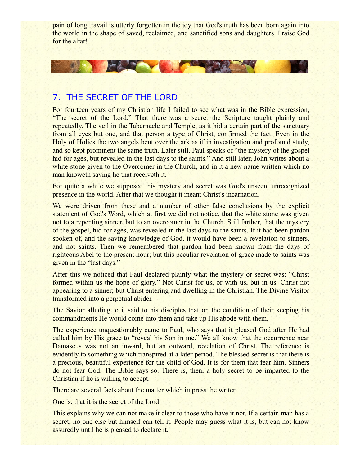pain of long travail is utterly forgotten in the joy that God's truth has been born again into the world in the shape of saved, reclaimed, and sanctified sons and daughters. Praise God for the altar!

## 7. THE SECRET OF THE LORD

**CAR THEIR** 

For fourteen years of my Christian life I failed to see what was in the Bible expression, "The secret of the Lord." That there was a secret the Scripture taught plainly and repeatedly. The veil in the Tabernacle and Temple, as it hid a certain part of the sanctuary from all eyes but one, and that person a type of Christ, confirmed the fact. Even in the Holy of Holies the two angels bent over the ark as if in investigation and profound study, and so kept prominent the same truth. Later still, Paul speaks of "the mystery of the gospel hid for ages, but revealed in the last days to the saints." And still later, John writes about a white stone given to the Overcomer in the Church, and in it a new name written which no man knoweth saving he that receiveth it.

For quite a while we supposed this mystery and secret was God's unseen, unrecognized presence in the world. After that we thought it meant Christ's incarnation.

We were driven from these and a number of other false conclusions by the explicit statement of God's Word, which at first we did not notice, that the white stone was given not to a repenting sinner, but to an overcomer in the Church. Still farther, that the mystery of the gospel, hid for ages, was revealed in the last days to the saints. If it had been pardon spoken of, and the saving knowledge of God, it would have been a revelation to sinners, and not saints. Then we remembered that pardon had been known from the days of righteous Abel to the present hour; but this peculiar revelation of grace made to saints was given in the "last days."

After this we noticed that Paul declared plainly what the mystery or secret was: "Christ formed within us the hope of glory." Not Christ for us, or with us, but in us. Christ not appearing to a sinner; but Christ entering and dwelling in the Christian. The Divine Visitor transformed into a perpetual abider.

The Savior alluding to it said to his disciples that on the condition of their keeping his commandments He would come into them and take up His abode with them.

The experience unquestionably came to Paul, who says that it pleased God after He had called him by His grace to "reveal his Son in me." We all know that the occurrence near Damascus was not an inward, but an outward, revelation of Christ. The reference is evidently to something which transpired at a later period. The blessed secret is that there is a precious, beautiful experience for the child of God. It is for them that fear him. Sinners do not fear God. The Bible says so. There is, then, a holy secret to be imparted to the Christian if he is willing to accept.

There are several facts about the matter which impress the writer.

One is, that it is the secret of the Lord.

This explains why we can not make it clear to those who have it not. If a certain man has a secret, no one else but himself can tell it. People may guess what it is, but can not know assuredly until he is pleased to declare it.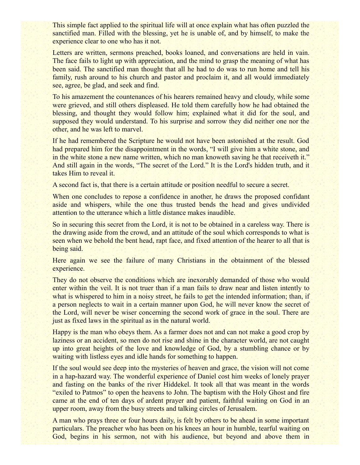This simple fact applied to the spiritual life will at once explain what has often puzzled the sanctified man. Filled with the blessing, yet he is unable of, and by himself, to make the experience clear to one who has it not.

Letters are written, sermons preached, books loaned, and conversations are held in vain. The face fails to light up with appreciation, and the mind to grasp the meaning of what has been said. The sanctified man thought that all he had to do was to run home and tell his family, rush around to his church and pastor and proclaim it, and all would immediately see, agree, be glad, and seek and find.

To his amazement the countenances of his hearers remained heavy and cloudy, while some were grieved, and still others displeased. He told them carefully how he had obtained the blessing, and thought they would follow him; explained what it did for the soul, and supposed they would understand. To his surprise and sorrow they did neither one nor the other, and he was left to marvel.

If he had remembered the Scripture he would not have been astonished at the result. God had prepared him for the disappointment in the words, "I will give him a white stone, and in the white stone a new name written, which no man knoweth saving he that receiveth it." And still again in the words, "The secret of the Lord." It is the Lord's hidden truth, and it takes Him to reveal it.

A second fact is, that there is a certain attitude or position needful to secure a secret.

When one concludes to repose a confidence in another, he draws the proposed confidant aside and whispers, while the one thus trusted bends the head and gives undivided attention to the utterance which a little distance makes inaudible.

So in securing this secret from the Lord, it is not to be obtained in a careless way. There is the drawing aside from the crowd, and an attitude of the soul which corresponds to what is seen when we behold the bent head, rapt face, and fixed attention of the hearer to all that is being said.

Here again we see the failure of many Christians in the obtainment of the blessed experience.

They do not observe the conditions which are inexorably demanded of those who would enter within the veil. It is not truer than if a man fails to draw near and listen intently to what is whispered to him in a noisy street, he fails to get the intended information; than, if a person neglects to wait in a certain manner upon God, he will never know the secret of the Lord, will never be wiser concerning the second work of grace in the soul. There are just as fixed laws in the spiritual as in the natural world.

Happy is the man who obeys them. As a farmer does not and can not make a good crop by laziness or an accident, so men do not rise and shine in the character world, are not caught up into great heights of the love and knowledge of God, by a stumbling chance or by waiting with listless eyes and idle hands for something to happen.

If the soul would see deep into the mysteries of heaven and grace, the vision will not come in a hap-hazard way. The wonderful experience of Daniel cost him weeks of lonely prayer and fasting on the banks of the river Hiddekel. It took all that was meant in the words "exiled to Patmos" to open the heavens to John. The baptism with the Holy Ghost and fire came at the end of ten days of ardent prayer and patient, faithful waiting on God in an upper room, away from the busy streets and talking circles of Jerusalem.

A man who prays three or four hours daily, is felt by others to be ahead in some important particulars. The preacher who has been on his knees an hour in humble, tearful waiting on God, begins in his sermon, not with his audience, but beyond and above them in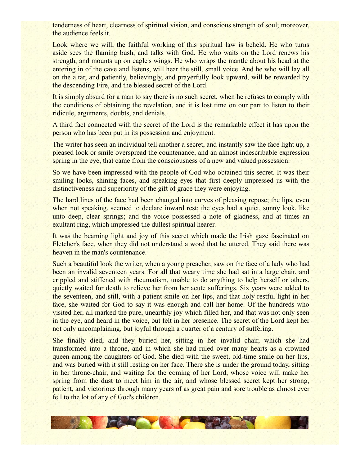tenderness of heart, clearness of spiritual vision, and conscious strength of soul; moreover, the audience feels it.

Look where we will, the faithful working of this spiritual law is beheld. He who turns aside sees the flaming bush, and talks with God. He who waits on the Lord renews his strength, and mounts up on eagle's wings. He who wraps the mantle about his head at the entering in of the cave and listens, will hear the still, small voice. And he who will lay all on the altar, and patiently, believingly, and prayerfully look upward, will be rewarded by the descending Fire, and the blessed secret of the Lord.

It is simply absurd for a man to say there is no such secret, when he refuses to comply with the conditions of obtaining the revelation, and it is lost time on our part to listen to their ridicule, arguments, doubts, and denials.

A third fact connected with the secret of the Lord is the remarkable effect it has upon the person who has been put in its possession and enjoyment.

The writer has seen an individual tell another a secret, and instantly saw the face light up, a pleased look or smile overspread the countenance, and an almost indescribable expression spring in the eye, that came from the consciousness of a new and valued possession.

So we have been impressed with the people of God who obtained this secret. It was their smiling looks, shining faces, and speaking eyes that first deeply impressed us with the distinctiveness and superiority of the gift of grace they were enjoying.

The hard lines of the face had been changed into curves of pleasing repose; the lips, even when not speaking, seemed to declare inward rest; the eyes had a quiet, sunny look, like unto deep, clear springs; and the voice possessed a note of gladness, and at times an exultant ring, which impressed the dullest spiritual hearer.

It was the beaming light and joy of this secret which made the Irish gaze fascinated on Fletcher's face, when they did not understand a word that he uttered. They said there was heaven in the man's countenance.

Such a beautiful look the writer, when a young preacher, saw on the face of a lady who had been an invalid seventeen years. For all that weary time she had sat in a large chair, and crippled and stiffened with rheumatism, unable to do anything to help herself or others, quietly waited for death to relieve her from her acute sufferings. Six years were added to the seventeen, and still, with a patient smile on her lips, and that holy restful light in her face, she waited for God to say it was enough and call her home. Of the hundreds who visited her, all marked the pure, unearthly joy which filled her, and that was not only seen in the eye, and heard in the voice, but felt in her presence. The secret of the Lord kept her not only uncomplaining, but joyful through a quarter of a century of suffering.

She finally died, and they buried her, sitting in her invalid chair, which she had transformed into a throne, and in which she had ruled over many hearts as a crowned queen among the daughters of God. She died with the sweet, old-time smile on her lips, and was buried with it still resting on her face. There she is under the ground today, sitting in her throne-chair, and waiting for the coming of her Lord, whose voice will make her spring from the dust to meet him in the air, and whose blessed secret kept her strong, patient, and victorious through many years of as great pain and sore trouble as almost ever fell to the lot of any of God's children.

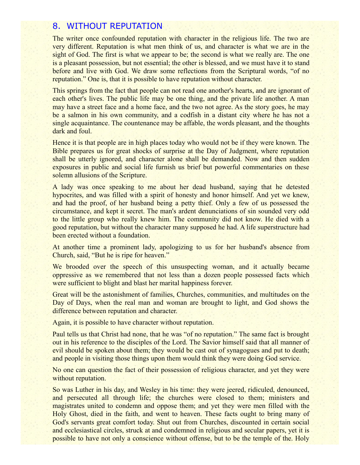#### 8. WITHOUT REPUTATION

The writer once confounded reputation with character in the religious life. The two are very different. Reputation is what men think of us, and character is what we are in the sight of God. The first is what we appear to be; the second is what we really are. The one is a pleasant possession, but not essential; the other is blessed, and we must have it to stand before and live with God. We draw some reflections from the Scriptural words, "of no reputation." One is, that it is possible to have reputation without character.

This springs from the fact that people can not read one another's hearts, and are ignorant of each other's lives. The public life may be one thing, and the private life another. A man may have a street face and a home face, and the two not agree. As the story goes, he may be a salmon in his own community, and a codfish in a distant city where he has not a single acquaintance. The countenance may be affable, the words pleasant, and the thoughts dark and foul.

Hence it is that people are in high places today who would not be if they were known. The Bible prepares us for great shocks of surprise at the Day of Judgment, where reputation shall be utterly ignored, and character alone shall be demanded. Now and then sudden exposures in public and social life furnish us brief but powerful commentaries on these solemn allusions of the Scripture.

A lady was once speaking to me about her dead husband, saying that he detested hypocrites, and was filled with a spirit of honesty and honor himself. And yet we knew, and had the proof, of her husband being a petty thief. Only a few of us possessed the circumstance, and kept it secret. The man's ardent denunciations of sin sounded very odd to the little group who really knew him. The community did not know. He died with a good reputation, but without the character many supposed he had. A life superstructure had been erected without a foundation.

At another time a prominent lady, apologizing to us for her husband's absence from Church, said, "But he is ripe for heaven."

We brooded over the speech of this unsuspecting woman, and it actually became oppressive as we remembered that not less than a dozen people possessed facts which were sufficient to blight and blast her marital happiness forever.

Great will be the astonishment of families, Churches, communities, and multitudes on the Day of Days, when the real man and woman are brought to light, and God shows the difference between reputation and character.

Again, it is possible to have character without reputation.

Paul tells us that Christ had none, that he was "of no reputation." The same fact is brought out in his reference to the disciples of the Lord. The Savior himself said that all manner of evil should be spoken about them; they would be cast out of synagogues and put to death; and people in visiting those things upon them would think they were doing God service.

No one can question the fact of their possession of religious character, and yet they were without reputation.

So was Luther in his day, and Wesley in his time: they were jeered, ridiculed, denounced, and persecuted all through life; the churches were closed to them; ministers and magistrates united to condemn and oppose them; and yet they were men filled with the Holy Ghost, died in the faith, and went to heaven. These facts ought to bring many of God's servants great comfort today. Shut out from Churches, discounted in certain social and ecclesiastical circles, struck at and condemned in religious and secular papers, yet it is possible to have not only a conscience without offense, but to be the temple of the. Holy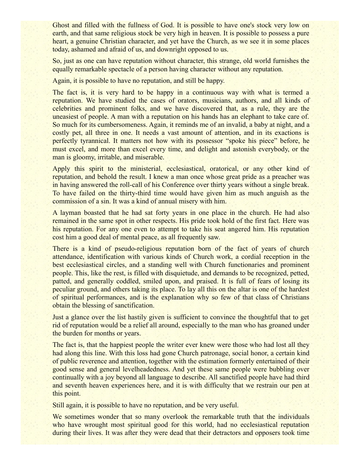Ghost and filled with the fullness of God. It is possible to have one's stock very low on earth, and that same religious stock be very high in heaven. It is possible to possess a pure heart, a genuine Christian character, and yet have the Church, as we see it in some places today, ashamed and afraid of us, and downright opposed to us.

So, just as one can have reputation without character, this strange, old world furnishes the equally remarkable spectacle of a person having character without any reputation.

Again, it is possible to have no reputation, and still be happy.

The fact is, it is very hard to be happy in a continuous way with what is termed a reputation. We have studied the cases of orators, musicians, authors, and all kinds of celebrities and prominent folks, and we have discovered that, as a rule, they are the uneasiest of people. A man with a reputation on his hands has an elephant to take care of. So much for its cumbersomeness. Again, it reminds me of an invalid, a baby at night, and a costly pet, all three in one. It needs a vast amount of attention, and in its exactions is perfectly tyrannical. It matters not how with its possessor "spoke his piece" before, he must excel, and more than excel every time, and delight and astonish everybody, or the man is gloomy, irritable, and miserable.

Apply this spirit to the ministerial, ecclesiastical, oratorical, or any other kind of reputation, and behold the result. I knew a man once whose great pride as a preacher was in having answered the roll-call of his Conference over thirty years without a single break. To have failed on the thirty-third time would have given him as much anguish as the commission of a sin. It was a kind of annual misery with him.

A layman boasted that he had sat forty years in one place in the church. He had also remained in the same spot in other respects. His pride took hold of the first fact. Here was his reputation. For any one even to attempt to take his seat angered him. His reputation cost him a good deal of mental peace, as all frequently saw.

There is a kind of pseudo-religious reputation born of the fact of years of church attendance, identification with various kinds of Church work, a cordial reception in the best ecclesiastical circles, and a standing well with Church functionaries and prominent people. This, like the rest, is filled with disquietude, and demands to be recognized, petted, patted, and generally coddled, smiled upon, and praised. It is full of fears of losing its peculiar ground, and others taking its place. To lay all this on the altar is one of the hardest of spiritual performances, and is the explanation why so few of that class of Christians obtain the blessing of sanctification.

Just a glance over the list hastily given is sufficient to convince the thoughtful that to get rid of reputation would be a relief all around, especially to the man who has groaned under the burden for months or years.

The fact is, that the happiest people the writer ever knew were those who had lost all they had along this line. With this loss had gone Church patronage, social honor, a certain kind of public reverence and attention, together with the estimation formerly entertained of their good sense and general levelheadedness. And yet these same people were bubbling over continually with a joy beyond all language to describe. All sanctified people have had third and seventh heaven experiences here, and it is with difficulty that we restrain our pen at this point.

Still again, it is possible to have no reputation, and be very useful.

We sometimes wonder that so many overlook the remarkable truth that the individuals who have wrought most spiritual good for this world, had no ecclesiastical reputation during their lives. It was after they were dead that their detractors and opposers took time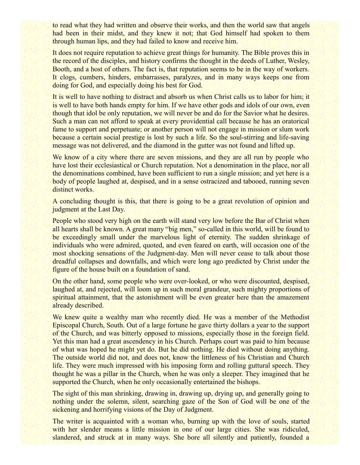to read what they had written and observe their works, and then the world saw that angels had been in their midst, and they knew it not; that God himself had spoken to them through human lips, and they had failed to know and receive him.

It does not require reputation to achieve great things for humanity. The Bible proves this in the record of the disciples, and history confirms the thought in the deeds of Luther, Wesley, Booth, and a host of others. The fact is, that reputation seems to be in the way of workers. It clogs, cumbers, hinders, embarrasses, paralyzes, and in many ways keeps one from doing for God, and especially doing his best for God.

It is well to have nothing to distract and absorb us when Christ calls us to labor for him; it is well to have both hands empty for him. If we have other gods and idols of our own, even though that idol be only reputation, we will never be and do for the Savior what he desires. Such a man can not afford to speak at every providential call because he has an oratorical fame to support and perpetuate; or another person will not engage in mission or slum work because a certain social prestige is lost by such a life. So the soul-stirring and life-saving message was not delivered, and the diamond in the gutter was not found and lifted up.

We know of a city where there are seven missions, and they are all run by people who have lost their ecclesiastical or Church reputation. Not a denomination in the place, nor all the denominations combined, have been sufficient to run a single mission; and yet here is a body of people laughed at, despised, and in a sense ostracized and tabooed, running seven distinct works.

A concluding thought is this, that there is going to be a great revolution of opinion and judgment at the Last Day.

People who stood very high on the earth will stand very low before the Bar of Christ when all hearts shall be known. A great many "big men," so-called in this world, will be found to be exceedingly small under the marvelous light of eternity. The sudden shrinkage of individuals who were admired, quoted, and even feared on earth, will occasion one of the most shocking sensations of the Judgment-day. Men will never cease to talk about those dreadful collapses and downfalls, and which were long ago predicted by Christ under the figure of the house built on a foundation of sand.

On the other hand, some people who were over-looked, or who were discounted, despised, laughed at, and rejected, will loom up in such moral grandeur, such mighty proportions of spiritual attainment, that the astonishment will be even greater here than the amazement already described.

We knew quite a wealthy man who recently died. He was a member of the Methodist Episcopal Church, South. Out of a large fortune he gave thirty dollars a year to the support of the Church, and was bitterly opposed to missions, especially those in the foreign field. Yet this man had a great ascendency in his Church. Perhaps court was paid to him because of what was hoped he might yet do. But he did nothing. He died without doing anything. The outside world did not, and does not, know the littleness of his Christian and Church life. They were much impressed with his imposing form and rolling guttural speech. They thought he was a pillar in the Church, when he was only a sleeper. They imagined that he supported the Church, when he only occasionally entertained the bishops.

The sight of this man shrinking, drawing in, drawing up, drying up, and generally going to nothing under the solemn, silent, searching gaze of the Son of God will be one of the sickening and horrifying visions of the Day of Judgment.

The writer is acquainted with a woman who, burning up with the love of souls, started with her slender means a little mission in one of our large cities. She was ridiculed, slandered, and struck at in many ways. She bore all silently and patiently, founded a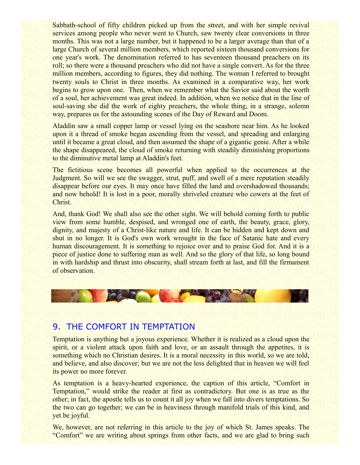Sabbath-school of fifty children picked up from the street, and with her simple revival services among people who never went to Church, saw twenty clear conversions in three months. This was not a large number, but it happened to be a larger average than that of a large Church of several million members, which reported sixteen thousand conversions for one year's work. The denomination referred to has seventeen thousand preachers on its roll; so there were a thousand preachers who did not have a single convert. As for the three million members, according to figures, they did nothing. The woman I referred to brought twenty souls to Christ in three months. As examined in a comparative way, her work begins to grow upon one. Then, when we remember what the Savior said about the worth of a soul, her achievement was great indeed. In addition, when we notice that in the line of soul-saving she did the work of eighty preachers, the whole thing, in a strange, solemn way, prepares us for the astounding scenes of the Day of Reward and Doom.

Aladdin saw a small copper lamp or vessel lying on the seashore near him. As he looked upon it a thread of smoke began ascending from the vessel, and spreading and enlarging until it became a great cloud, and then assumed the shape of a gigantic genie. After a while the shape disappeared, the cloud of smoke returning with steadily diminishing proportions to the diminutive metal lamp at Aladdin's feet.

The fictitious scene becomes all powerful when applied to the occurrences at the Judgment. So will we see the swagger, strut, puff, and swell of a mere reputation steadily disappear before our eyes. It may once have filled the land and overshadowed thousands; and now behold! It is lost in a poor, morally shriveled creature who cowers at the feet of Christ.

And, thank God! We shall also see the other sight. We will behold coming forth to public view from some humble, despised, and wronged one of earth, the beauty, grace, glory, dignity, and majesty of a Christ-like nature and life. It can be hidden and kept down and shut in no longer. It is God's own work wrought in the face of Satanic hate and every human discouragement. It is something to rejoice over and to praise God for. And it is a piece of justice done to suffering man as well. And so the glory of that life, so long bound in with hardship and thrust into obscurity, shall stream forth at last, and fill the firmament of observation.



#### 9. THE COMFORT IN TEMPTATION

Temptation is anything but a joyous experience. Whether it is realized as a cloud upon the spirit, or a violent attack upon faith and love, or an assault through the appetites, it is something which no Christian desires. It is a moral necessity in this world, so we are told, and believe, and also discover; but we are not the less delighted that in heaven we will feel its power no more forever.

As temptation is a heavy-hearted experience, the caption of this article, "Comfort in Temptation," would strike the reader at first as contradictory. But one is as true as the other; in fact, the apostle tells us to count it all joy when we fall into divers temptations. So the two can go together; we can be in heaviness through manifold trials of this kind, and yet be joyful.

We, however, are not referring in this article to the joy of which St. James speaks. The "Comfort" we are writing about springs from other facts, and we are glad to bring such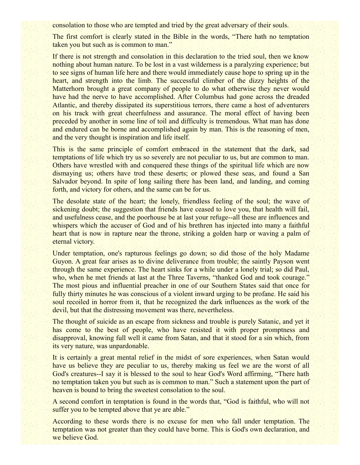consolation to those who are tempted and tried by the great adversary of their souls.

The first comfort is clearly stated in the Bible in the words, "There hath no temptation taken you but such as is common to man."

If there is not strength and consolation in this declaration to the tried soul, then we know nothing about human nature. To be lost in a vast wilderness is a paralyzing experience; but to see signs of human life here and there would immediately cause hope to spring up in the heart, and strength into the limb. The successful climber of the dizzy heights of the Matterhorn brought a great company of people to do what otherwise they never would have had the nerve to have accomplished. After Columbus had gone across the dreaded Atlantic, and thereby dissipated its superstitious terrors, there came a host of adventurers on his track with great cheerfulness and assurance. The moral effect of having been preceded by another in some line of toil and difficulty is tremendous. What man has done and endured can be borne and accomplished again by man. This is the reasoning of men, and the very thought is inspiration and life itself.

This is the same principle of comfort embraced in the statement that the dark, sad temptations of life which try us so severely are not peculiar to us, but are common to man. Others have wrestled with and conquered these things of the spiritual life which are now dismaying us; others have trod these deserts; or plowed these seas, and found a San Salvador beyond. In spite of long sailing there has been land, and landing, and coming forth, and victory for others, and the same can be for us.

The desolate state of the heart; the lonely, friendless feeling of the soul; the wave of sickening doubt; the suggestion that friends have ceased to love you, that health will fail, and usefulness cease, and the poorhouse be at last your refuge--all these are influences and whispers which the accuser of God and of his brethren has injected into many a faithful heart that is now in rapture near the throne, striking a golden harp or waving a palm of eternal victory.

Under temptation, one's rapturous feelings go down; so did those of the holy Madame Guyon. A great fear arises as to divine deliverance from trouble; the saintly Payson went through the same experience. The heart sinks for a while under a lonely trial; so did Paul, who, when he met friends at last at the Three Taverns, "thanked God and took courage." The most pious and influential preacher in one of our Southern States said that once for fully thirty minutes he was conscious of a violent inward urging to be profane. He said his soul recoiled in horror from it, that he recognized the dark influences as the work of the devil, but that the distressing movement was there, nevertheless.

The thought of suicide as an escape from sickness and trouble is purely Satanic, and yet it has come to the best of people, who have resisted it with proper promptness and disapproval, knowing full well it came from Satan, and that it stood for a sin which, from its very nature, was unpardonable.

It is certainly a great mental relief in the midst of sore experiences, when Satan would have us believe they are peculiar to us, thereby making us feel we are the worst of all God's creatures--I say it is blessed to the soul to hear God's Word affirming, "There hath no temptation taken you but such as is common to man." Such a statement upon the part of heaven is bound to bring the sweetest consolation to the soul.

A second comfort in temptation is found in the words that, "God is faithful, who will not suffer you to be tempted above that ye are able."

According to these words there is no excuse for men who fall under temptation. The temptation was not greater than they could have borne. This is God's own declaration, and we believe God.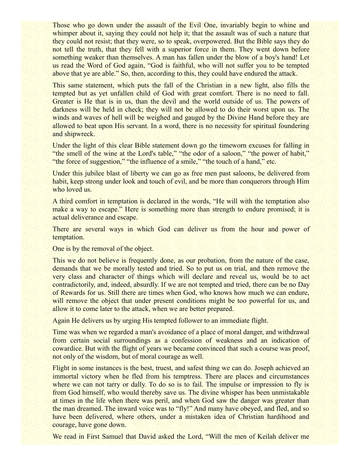Those who go down under the assault of the Evil One, invariably begin to whine and whimper about it, saying they could not help it; that the assault was of such a nature that they could not resist; that they were, so to speak, overpowered. But the Bible says they do not tell the truth, that they fell with a superior force in them. They went down before something weaker than themselves. A man has fallen under the blow of a boy's hand! Let us read the Word of God again, "God is faithful, who will not suffer you to be tempted above that ye are able." So, then, according to this, they could have endured the attack.

This same statement, which puts the fall of the Christian in a new light, also fills the tempted but as yet unfallen child of God with great comfort. There is no need to fall. Greater is He that is in us, than the devil and the world outside of us. The powers of darkness will be held in check; they will not be allowed to do their worst upon us. The winds and waves of hell will be weighed and gauged by the Divine Hand before they are allowed to beat upon His servant. In a word, there is no necessity for spiritual foundering and shipwreck.

Under the light of this clear Bible statement down go the timeworn excuses for falling in "the smell of the wine at the Lord's table," "the odor of a saloon," "the power of habit," "the force of suggestion," "the influence of a smile," "the touch of a hand," etc.

Under this jubilee blast of liberty we can go as free men past saloons, be delivered from habit, keep strong under look and touch of evil, and be more than conquerors through Him who loved us.

A third comfort in temptation is declared in the words, "He will with the temptation also make a way to escape." Here is something more than strength to endure promised; it is actual deliverance and escape.

There are several ways in which God can deliver us from the hour and power of temptation.

One is by the removal of the object.

This we do not believe is frequently done, as our probation, from the nature of the case, demands that we be morally tested and tried. So to put us on trial, and then remove the very class and character of things which will declare and reveal us, would be to act contradictorily, and, indeed, absurdly. If we are not tempted and tried, there can be no Day of Rewards for us. Still there are times when God, who knows how much we can endure, will remove the object that under present conditions might be too powerful for us, and allow it to come later to the attack, when we are better prepared.

Again He delivers us by urging His tempted follower to an immediate flight.

Time was when we regarded a man's avoidance of a place of moral danger, and withdrawal from certain social surroundings as a confession of weakness and an indication of cowardice. But with the flight of years we became convinced that such a course was proof, not only of the wisdom, but of moral courage as well.

Flight in some instances is the best, truest, and safest thing we can do. Joseph achieved an immortal victory when he fled from his temptress. There are places and circumstances where we can not tarry or dally. To do so is to fail. The impulse or impression to fly is from God himself, who would thereby save us. The divine whisper has been unmistakable at times in the life when there was peril, and when God saw the danger was greater than the man dreamed. The inward voice was to "fly!" And many have obeyed, and fled, and so have been delivered, where others, under a mistaken idea of Christian hardihood and courage, have gone down.

We read in First Samuel that David asked the Lord, "Will the men of Keilah deliver me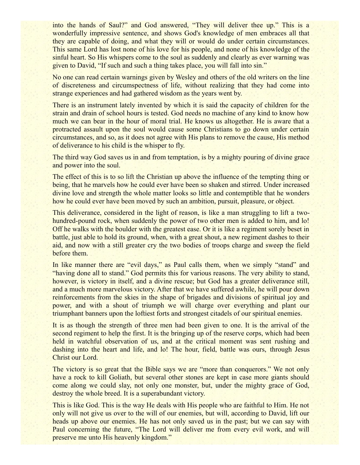into the hands of Saul?" and God answered, "They will deliver thee up." This is a wonderfully impressive sentence, and shows God's knowledge of men embraces all that they are capable of doing, and what they will or would do under certain circumstances. This same Lord has lost none of his love for his people, and none of his knowledge of the sinful heart. So His whispers come to the soul as suddenly and clearly as ever warning was given to David, "If such and such a thing takes place, you will fall into sin."

No one can read certain warnings given by Wesley and others of the old writers on the line of discreteness and circumspectness of life, without realizing that they had come into strange experiences and had gathered wisdom as the years went by.

There is an instrument lately invented by which it is said the capacity of children for the strain and drain of school hours is tested. God needs no machine of any kind to know how much we can bear in the hour of moral trial. He knows us altogether. He is aware that a protracted assault upon the soul would cause some Christians to go down under certain circumstances, and so, as it does not agree with His plans to remove the cause, His method of deliverance to his child is the whisper to fly.

The third way God saves us in and from temptation, is by a mighty pouring of divine grace and power into the soul.

The effect of this is to so lift the Christian up above the influence of the tempting thing or being, that he marvels how he could ever have been so shaken and stirred. Under increased divine love and strength the whole matter looks so little and contemptible that he wonders how he could ever have been moved by such an ambition, pursuit, pleasure, or object.

This deliverance, considered in the light of reason, is like a man struggling to lift a twohundred-pound rock, when suddenly the power of two other men is added to him, and lo! Off he walks with the boulder with the greatest ease. Or it is like a regiment sorely beset in battle, just able to hold its ground, when, with a great shout, a new regiment dashes to their aid, and now with a still greater cry the two bodies of troops charge and sweep the field before them.

In like manner there are "evil days," as Paul calls them, when we simply "stand" and "having done all to stand." God permits this for various reasons. The very ability to stand, however, is victory in itself, and a divine rescue; but God has a greater deliverance still, and a much more marvelous victory. After that we have suffered awhile, he will pour down reinforcements from the skies in the shape of brigades and divisions of spiritual joy and power, and with a shout of triumph we will charge over everything and plant our triumphant banners upon the loftiest forts and strongest citadels of our spiritual enemies.

It is as though the strength of three men had been given to one. It is the arrival of the second regiment to help the first. It is the bringing up of the reserve corps, which had been held in watchful observation of us, and at the critical moment was sent rushing and dashing into the heart and life, and lo! The hour, field, battle was ours, through Jesus Christ our Lord.

The victory is so great that the Bible says we are "more than conquerors." We not only have a rock to kill Goliath, but several other stones are kept in case more giants should come along we could slay, not only one monster, but, under the mighty grace of God, destroy the whole breed. It is a superabundant victory.

This is like God. This is the way He deals with His people who are faithful to Him. He not only will not give us over to the will of our enemies, but will, according to David, lift our heads up above our enemies. He has not only saved us in the past; but we can say with Paul concerning the future, "The Lord will deliver me from every evil work, and will preserve me unto His heavenly kingdom."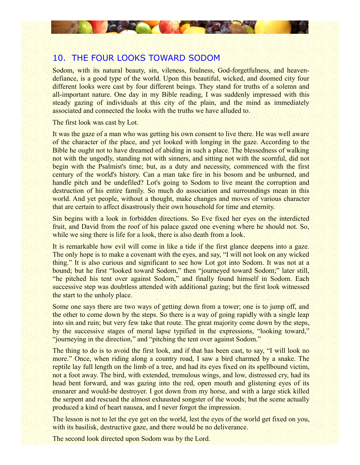## 10. THE FOUR LOOKS TOWARD SODOM

CALCO VIDEO

Sodom, with its natural beauty, sin, vileness, foulness, God-forgetfulness, and heavendefiance, is a good type of the world. Upon this beautiful, wicked, and doomed city four different looks were cast by four different beings. They stand for truths of a solemn and all-important nature. One day in my Bible reading, I was suddenly impressed with this steady gazing of individuals at this city of the plain, and the mind as immediately associated and connected the looks with the truths we have alluded to.

The first look was cast by Lot.

It was the gaze of a man who was getting his own consent to live there. He was well aware of the character of the place, and yet looked with longing in the gaze. According to the Bible he ought not to have dreamed of abiding in such a place. The blessedness of walking not with the ungodly, standing not with sinners, and sitting not with the scornful, did not begin with the Psalmist's time; but, as a duty and necessity, commenced with the first century of the world's history. Can a man take fire in his bosom and be unburned, and handle pitch and be undefiled? Lot's going to Sodom to live meant the corruption and destruction of his entire family. So much do association and surroundings mean in this world. And yet people, without a thought, make changes and moves of various character that are certain to affect disastrously their own household for time and eternity.

Sin begins with a look in forbidden directions. So Eve fixed her eyes on the interdicted fruit, and David from the roof of his palace gazed one evening where he should not. So, while we sing there is life for a look, there is also death from a look.

It is remarkable how evil will come in like a tide if the first glance deepens into a gaze. The only hope is to make a covenant with the eyes, and say, "I will not look on any wicked thing." It is also curious and significant to see how Lot got into Sodom. It was not at a bound; but he first "looked toward Sodom," then "journeyed toward Sodom;" later still, "he pitched his tent over against Sodom," and finally found himself in Sodom. Each successive step was doubtless attended with additional gazing; but the first look witnessed the start to the unholy place.

Some one says there are two ways of getting down from a tower; one is to jump off, and the other to come down by the steps. So there is a way of going rapidly with a single leap into sin and ruin; but very few take that route. The great majority come down by the steps, by the successive stages of moral lapse typified in the expressions, "looking toward," "journeying in the direction," and "pitching the tent over against Sodom."

The thing to do is to avoid the first look, and if that has been cast, to say, "I will look no more." Once, when riding along a country road, I saw a bird charmed by a snake. The reptile lay full length on the limb of a tree, and had its eyes fixed on its spellbound victim, not a foot away. The bird, with extended, tremulous wings, and low, distressed cry, had its head bent forward, and was gazing into the red, open mouth and glistening eyes of its ensnarer and would-be destroyer. I got down from my horse, and with a large stick killed the serpent and rescued the almost exhausted songster of the woods; but the scene actually produced a kind of heart nausea, and I never forgot the impression.

The lesson is not to let the eye get on the world, lest the eyes of the world get fixed on you, with its basilisk, destructive gaze, and there would be no deliverance.

The second look directed upon Sodom was by the Lord.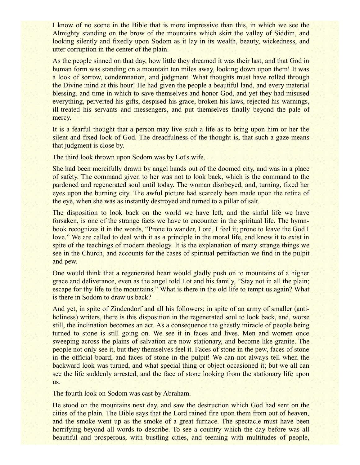I know of no scene in the Bible that is more impressive than this, in which we see the Almighty standing on the brow of the mountains which skirt the valley of Siddim, and looking silently and fixedly upon Sodom as it lay in its wealth, beauty, wickedness, and utter corruption in the center of the plain.

As the people sinned on that day, how little they dreamed it was their last, and that God in human form was standing on a mountain ten miles away, looking down upon them! It was a look of sorrow, condemnation, and judgment. What thoughts must have rolled through the Divine mind at this hour! He had given the people a beautiful land, and every material blessing, and time in which to save themselves and honor God, and yet they had misused everything, perverted his gifts, despised his grace, broken his laws, rejected his warnings, ill-treated his servants and messengers, and put themselves finally beyond the pale of mercy.

It is a fearful thought that a person may live such a life as to bring upon him or her the silent and fixed look of God. The dreadfulness of the thought is, that such a gaze means that judgment is close by.

The third look thrown upon Sodom was by Lot's wife.

She had been mercifully drawn by angel hands out of the doomed city, and was in a place of safety. The command given to her was not to look back, which is the command to the pardoned and regenerated soul until today. The woman disobeyed, and, turning, fixed her eyes upon the burning city. The awful picture had scarcely been made upon the retina of the eye, when she was as instantly destroyed and turned to a pillar of salt.

The disposition to look back on the world we have left, and the sinful life we have forsaken, is one of the strange facts we have to encounter in the spiritual life. The hymnbook recognizes it in the words, "Prone to wander, Lord, I feel it; prone to leave the God I love." We are called to deal with it as a principle in the moral life, and know it to exist in spite of the teachings of modern theology. It is the explanation of many strange things we see in the Church, and accounts for the cases of spiritual petrifaction we find in the pulpit and pew.

One would think that a regenerated heart would gladly push on to mountains of a higher grace and deliverance, even as the angel told Lot and his family, "Stay not in all the plain; escape for thy life to the mountains." What is there in the old life to tempt us again? What is there in Sodom to draw us back?

And yet, in spite of Zindendorf and all his followers; in spite of an army of smaller (antiholiness) writers, there is this disposition in the regenerated soul to look back, and, worse still, the inclination becomes an act. As a consequence the ghastly miracle of people being turned to stone is still going on. We see it in faces and lives. Men and women once sweeping across the plains of salvation are now stationary, and become like granite. The people not only see it, but they themselves feel it. Faces of stone in the pew, faces of stone in the official board, and faces of stone in the pulpit! We can not always tell when the backward look was turned, and what special thing or object occasioned it; but we all can see the life suddenly arrested, and the face of stone looking from the stationary life upon us.

The fourth look on Sodom was cast by Abraham.

He stood on the mountains next day, and saw the destruction which God had sent on the cities of the plain. The Bible says that the Lord rained fire upon them from out of heaven, and the smoke went up as the smoke of a great furnace. The spectacle must have been horrifying beyond all words to describe. To see a country which the day before was all beautiful and prosperous, with bustling cities, and teeming with multitudes of people,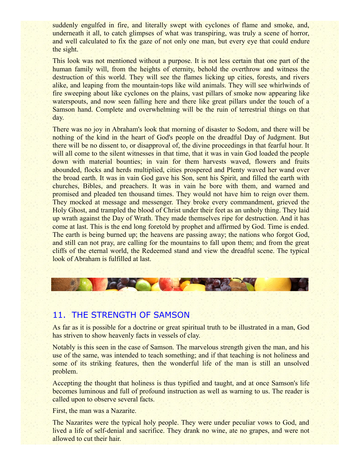suddenly engulfed in fire, and literally swept with cyclones of flame and smoke, and, underneath it all, to catch glimpses of what was transpiring, was truly a scene of horror, and well calculated to fix the gaze of not only one man, but every eye that could endure the sight.

This look was not mentioned without a purpose. It is not less certain that one part of the human family will, from the heights of eternity, behold the overthrow and witness the destruction of this world. They will see the flames licking up cities, forests, and rivers alike, and leaping from the mountain-tops like wild animals. They will see whirlwinds of fire sweeping about like cyclones on the plains, vast pillars of smoke now appearing like waterspouts, and now seen falling here and there like great pillars under the touch of a Samson hand. Complete and overwhelming will be the ruin of terrestrial things on that day.

There was no joy in Abraham's look that morning of disaster to Sodom, and there will be nothing of the kind in the heart of God's people on the dreadful Day of Judgment. But there will be no dissent to, or disapproval of, the divine proceedings in that fearful hour. It will all come to the silent witnesses in that time, that it was in vain God loaded the people down with material bounties; in vain for them harvests waved, flowers and fruits abounded, flocks and herds multiplied, cities prospered and Plenty waved her wand over the broad earth. It was in vain God gave his Son, sent his Spirit, and filled the earth with churches, Bibles, and preachers. It was in vain he bore with them, and warned and promised and pleaded ten thousand times. They would not have him to reign over them. They mocked at message and messenger. They broke every commandment, grieved the Holy Ghost, and trampled the blood of Christ under their feet as an unholy thing. They laid up wrath against the Day of Wrath. They made themselves ripe for destruction. And it has come at last. This is the end long foretold by prophet and affirmed by God. Time is ended. The earth is being burned up; the heavens are passing away; the nations who forgot God, and still can not pray, are calling for the mountains to fall upon them; and from the great cliffs of the eternal world, the Redeemed stand and view the dreadful scene. The typical look of Abraham is fulfilled at last.



## 11. THE STRENGTH OF SAMSON

As far as it is possible for a doctrine or great spiritual truth to be illustrated in a man, God has striven to show heavenly facts in vessels of clay.

Notably is this seen in the case of Samson. The marvelous strength given the man, and his use of the same, was intended to teach something; and if that teaching is not holiness and some of its striking features, then the wonderful life of the man is still an unsolved problem.

Accepting the thought that holiness is thus typified and taught, and at once Samson's life becomes luminous and full of profound instruction as well as warning to us. The reader is called upon to observe several facts.

First, the man was a Nazarite.

The Nazarites were the typical holy people. They were under peculiar vows to God, and lived a life of self-denial and sacrifice. They drank no wine, ate no grapes, and were not allowed to cut their hair.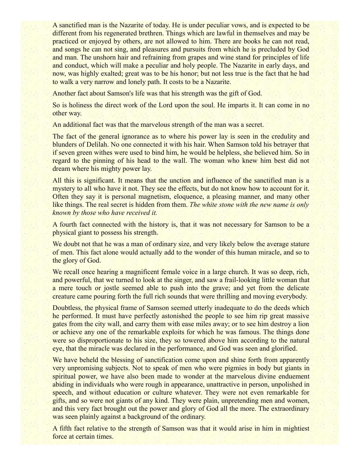A sanctified man is the Nazarite of today. He is under peculiar vows, and is expected to be different from his regenerated brethren. Things which are lawful in themselves and may be practiced or enjoyed by others, are not allowed to him. There are books he can not read, and songs he can not sing, and pleasures and pursuits from which he is precluded by God and man. The unshorn hair and refraining from grapes and wine stand for principles of life and conduct, which will make a peculiar and holy people. The Nazarite in early days, and now, was highly exalted; great was to be his honor; but not less true is the fact that he had to walk a very narrow and lonely path. It costs to be a Nazarite.

Another fact about Samson's life was that his strength was the gift of God.

So is holiness the direct work of the Lord upon the soul. He imparts it. It can come in no other way.

An additional fact was that the marvelous strength of the man was a secret.

The fact of the general ignorance as to where his power lay is seen in the credulity and blunders of Delilah. No one connected it with his hair. When Samson told his betrayer that if seven green withes were used to bind him, he would be helpless, she believed him. So in regard to the pinning of his head to the wall. The woman who knew him best did not dream where his mighty power lay.

All this is significant. It means that the unction and influence of the sanctified man is a mystery to all who have it not. They see the effects, but do not know how to account for it. Often they say it is personal magnetism, eloquence, a pleasing manner, and many other like things. The real secret is hidden from them. *The white stone with the new name is only known by those who have received it.*

A fourth fact connected with the history is, that it was not necessary for Samson to be a physical giant to possess his strength.

We doubt not that he was a man of ordinary size, and very likely below the average stature of men. This fact alone would actually add to the wonder of this human miracle, and so to the glory of God.

We recall once hearing a magnificent female voice in a large church. It was so deep, rich, and powerful, that we turned to look at the singer, and saw a frail-looking little woman that a mere touch or jostle seemed able to push into the grave; and yet from the delicate creature came pouring forth the full rich sounds that were thrilling and moving everybody.

Doubtless, the physical frame of Samson seemed utterly inadequate to do the deeds which he performed. It must have perfectly astonished the people to see him rip great massive gates from the city wall, and carry them with ease miles away; or to see him destroy a lion or achieve any one of the remarkable exploits for which he was famous. The things done were so disproportionate to his size, they so towered above him according to the natural eye, that the miracle was declared in the performance, and God was seen and glorified.

We have beheld the blessing of sanctification come upon and shine forth from apparently very unpromising subjects. Not to speak of men who were pigmies in body but giants in spiritual power, we have also been made to wonder at the marvelous divine enduement abiding in individuals who were rough in appearance, unattractive in person, unpolished in speech, and without education or culture whatever. They were not even remarkable for gifts, and so were not giants of any kind. They were plain, unpretending men and women, and this very fact brought out the power and glory of God all the more. The extraordinary was seen plainly against a background of the ordinary.

A fifth fact relative to the strength of Samson was that it would arise in him in mightiest force at certain times.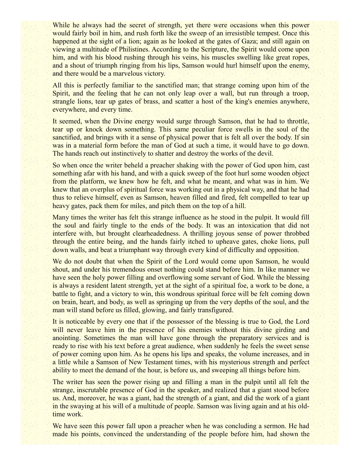While he always had the secret of strength, yet there were occasions when this power would fairly boil in him, and rush forth like the sweep of an irresistible tempest. Once this happened at the sight of a lion; again as he looked at the gates of Gaza; and still again on viewing a multitude of Philistines. According to the Scripture, the Spirit would come upon him, and with his blood rushing through his veins, his muscles swelling like great ropes, and a shout of triumph ringing from his lips, Samson would hurl himself upon the enemy, and there would be a marvelous victory.

All this is perfectly familiar to the sanctified man; that strange coming upon him of the Spirit, and the feeling that he can not only leap over a wall, but run through a troop, strangle lions, tear up gates of brass, and scatter a host of the king's enemies anywhere, everywhere, and every time.

It seemed, when the Divine energy would surge through Samson, that he had to throttle, tear up or knock down something. This same peculiar force swells in the soul of the sanctified, and brings with it a sense of physical power that is felt all over the body. If sin was in a material form before the man of God at such a time, it would have to go down. The hands reach out instinctively to shatter and destroy the works of the devil.

So when once the writer beheld a preacher shaking with the power of God upon him, cast something afar with his hand, and with a quick sweep of the foot hurl some wooden object from the platform, we knew how he felt, and what he meant, and what was in him. We knew that an overplus of spiritual force was working out in a physical way, and that he had thus to relieve himself, even as Samson, heaven filled and fired, felt compelled to tear up heavy gates, pack them for miles, and pitch them on the top of a hill.

Many times the writer has felt this strange influence as he stood in the pulpit. It would fill the soul and fairly tingle to the ends of the body. It was an intoxication that did not interfere with, but brought clearheadedness. A thrilling joyous sense of power throbbed through the entire being, and the hands fairly itched to upheave gates, choke lions, pull down walls, and beat a triumphant way through every kind of difficulty and opposition.

We do not doubt that when the Spirit of the Lord would come upon Samson, he would shout, and under his tremendous onset nothing could stand before him. In like manner we have seen the holy power filling and overflowing some servant of God. While the blessing is always a resident latent strength, yet at the sight of a spiritual foe, a work to be done, a battle to fight, and a victory to win, this wondrous spiritual force will be felt coming down on brain, heart, and body, as well as springing up from the very depths of the soul, and the man will stand before us filled, glowing, and fairly transfigured.

It is noticeable by every one that if the possessor of the blessing is true to God, the Lord will never leave him in the presence of his enemies without this divine girding and anointing. Sometimes the man will have gone through the preparatory services and is ready to rise with his text before a great audience, when suddenly he feels the sweet sense of power coming upon him. As he opens his lips and speaks, the volume increases, and in a little while a Samson of New Testament times, with his mysterious strength and perfect ability to meet the demand of the hour, is before us, and sweeping all things before him.

The writer has seen the power rising up and filling a man in the pulpit until all felt the strange, inscrutable presence of God in the speaker, and realized that a giant stood before us. And, moreover, he was a giant, had the strength of a giant, and did the work of a giant in the swaying at his will of a multitude of people. Samson was living again and at his oldtime work.

We have seen this power fall upon a preacher when he was concluding a sermon. He had made his points, convinced the understanding of the people before him, had shown the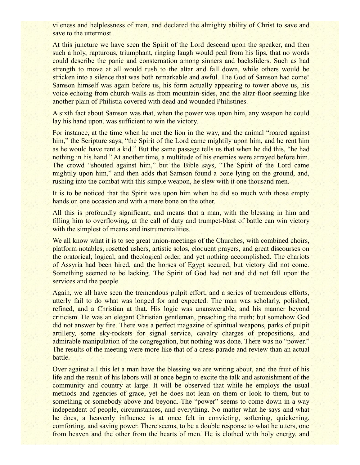vileness and helplessness of man, and declared the almighty ability of Christ to save and save to the uttermost.

At this juncture we have seen the Spirit of the Lord descend upon the speaker, and then such a holy, rapturous, triumphant, ringing laugh would peal from his lips, that no words could describe the panic and consternation among sinners and backsliders. Such as had strength to move at all would rush to the altar and fall down, while others would be stricken into a silence that was both remarkable and awful. The God of Samson had come! Samson himself was again before us, his form actually appearing to tower above us, his voice echoing from church-walls as from mountain-sides, and the altar-floor seeming like another plain of Philistia covered with dead and wounded Philistines.

A sixth fact about Samson was that, when the power was upon him, any weapon he could lay his hand upon, was sufficient to win the victory.

For instance, at the time when he met the lion in the way, and the animal "roared against him," the Scripture says, "the Spirit of the Lord came mightily upon him, and he rent him as he would have rent a kid." But the same passage tells us that when he did this, "he had nothing in his hand." At another time, a multitude of his enemies were arrayed before him. The crowd "shouted against him," but the Bible says, "The Spirit of the Lord came mightily upon him," and then adds that Samson found a bone lying on the ground, and, rushing into the combat with this simple weapon, he slew with it one thousand men.

It is to be noticed that the Spirit was upon him when he did so much with those empty hands on one occasion and with a mere bone on the other.

All this is profoundly significant, and means that a man, with the blessing in him and filling him to overflowing, at the call of duty and trumpet-blast of battle can win victory with the simplest of means and instrumentalities.

We all know what it is to see great union-meetings of the Churches, with combined choirs, platform notables, rosetted ushers, artistic solos, eloquent prayers, and great discourses on the oratorical, logical, and theological order, and yet nothing accomplished. The chariots of Assyria had been hired, and the horses of Egypt secured, but victory did not come. Something seemed to be lacking. The Spirit of God had not and did not fall upon the services and the people.

Again, we all have seen the tremendous pulpit effort, and a series of tremendous efforts, utterly fail to do what was longed for and expected. The man was scholarly, polished, refined, and a Christian at that. His logic was unanswerable, and his manner beyond criticism. He was an elegant Christian gentleman, preaching the truth; but somehow God did not answer by fire. There was a perfect magazine of spiritual weapons, parks of pulpit artillery, some sky-rockets for signal service, cavalry charges of propositions, and admirable manipulation of the congregation, but nothing was done. There was no "power." The results of the meeting were more like that of a dress parade and review than an actual battle.

Over against all this let a man have the blessing we are writing about, and the fruit of his life and the result of his labors will at once begin to excite the talk and astonishment of the community and country at large. It will be observed that while he employs the usual methods and agencies of grace, yet he does not lean on them or look to them, but to something or somebody above and beyond. The "power" seems to come down in a way independent of people, circumstances, and everything. No matter what he says and what he does, a heavenly influence is at once felt in convicting, softening, quickening, comforting, and saving power. There seems, to be a double response to what he utters, one from heaven and the other from the hearts of men. He is clothed with holy energy, and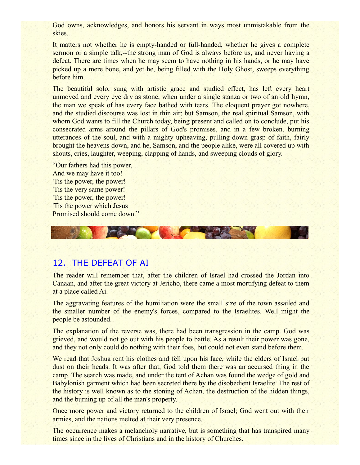God owns, acknowledges, and honors his servant in ways most unmistakable from the skies.

It matters not whether he is empty-handed or full-handed, whether he gives a complete sermon or a simple talk,--the strong man of God is always before us, and never having a defeat. There are times when he may seem to have nothing in his hands, or he may have picked up a mere bone, and yet he, being filled with the Holy Ghost, sweeps everything before him.

The beautiful solo, sung with artistic grace and studied effect, has left every heart unmoved and every eye dry as stone, when under a single stanza or two of an old hymn, the man we speak of has every face bathed with tears. The eloquent prayer got nowhere, and the studied discourse was lost in thin air; but Samson, the real spiritual Samson, with whom God wants to fill the Church today, being present and called on to conclude, put his consecrated arms around the pillars of God's promises, and in a few broken, burning utterances of the soul, and with a mighty upheaving, pulling-down grasp of faith, fairly brought the heavens down, and he, Samson, and the people alike, were all covered up with shouts, cries, laughter, weeping, clapping of hands, and sweeping clouds of glory.

"Our fathers had this power, And we may have it too! 'Tis the power, the power! 'Tis the very same power! 'Tis the power, the power! 'Tis the power which Jesus Promised should come down."



## 12. THE DEFEAT OF AI

The reader will remember that, after the children of Israel had crossed the Jordan into Canaan, and after the great victory at Jericho, there came a most mortifying defeat to them at a place called Ai.

The aggravating features of the humiliation were the small size of the town assailed and the smaller number of the enemy's forces, compared to the Israelites. Well might the people be astounded.

The explanation of the reverse was, there had been transgression in the camp. God was grieved, and would not go out with his people to battle. As a result their power was gone, and they not only could do nothing with their foes, but could not even stand before them.

We read that Joshua rent his clothes and fell upon his face, while the elders of Israel put dust on their heads. It was after that, God told them there was an accursed thing in the camp. The search was made, and under the tent of Achan was found the wedge of gold and Babylonish garment which had been secreted there by the disobedient Israelite. The rest of the history is well known as to the stoning of Achan, the destruction of the hidden things, and the burning up of all the man's property.

Once more power and victory returned to the children of Israel; God went out with their armies, and the nations melted at their very presence.

The occurrence makes a melancholy narrative, but is something that has transpired many times since in the lives of Christians and in the history of Churches.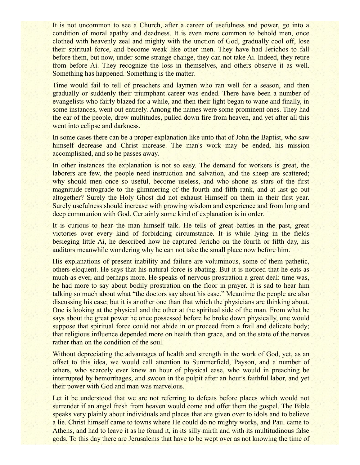It is not uncommon to see a Church, after a career of usefulness and power, go into a condition of moral apathy and deadness. It is even more common to behold men, once clothed with heavenly zeal and mighty with the unction of God, gradually cool off, lose their spiritual force, and become weak like other men. They have had Jerichos to fall before them, but now, under some strange change, they can not take Ai. Indeed, they retire from before Ai. They recognize the loss in themselves, and others observe it as well. Something has happened. Something is the matter.

Time would fail to tell of preachers and laymen who ran well for a season, and then gradually or suddenly their triumphant career was ended. There have been a number of evangelists who fairly blazed for a while, and then their light began to wane and finally, in some instances, went out entirely. Among the names were some prominent ones. They had the ear of the people, drew multitudes, pulled down fire from heaven, and yet after all this went into eclipse and darkness.

In some cases there can be a proper explanation like unto that of John the Baptist, who saw himself decrease and Christ increase. The man's work may be ended, his mission accomplished, and so he passes away.

In other instances the explanation is not so easy. The demand for workers is great, the laborers are few, the people need instruction and salvation, and the sheep are scattered; why should men once so useful, become useless, and who shone as stars of the first magnitude retrograde to the glimmering of the fourth and fifth rank, and at last go out altogether? Surely the Holy Ghost did not exhaust Himself on them in their first year. Surely usefulness should increase with growing wisdom and experience and from long and deep communion with God. Certainly some kind of explanation is in order.

It is curious to hear the man himself talk. He tells of great battles in the past, great victories over every kind of forbidding circumstance. It is while lying in the fields besieging little Ai, he described how he captured Jericho on the fourth or fifth day, his auditors meanwhile wondering why he can not take the small place now before him.

His explanations of present inability and failure are voluminous, some of them pathetic, others eloquent. He says that his natural force is abating. But it is noticed that he eats as much as ever, and perhaps more. He speaks of nervous prostration a great deal: time was, he had more to say about bodily prostration on the floor in prayer. It is sad to hear him talking so much about what "the doctors say about his case." Meantime the people are also discussing his case; but it is another one than that which the physicians are thinking about. One is looking at the physical and the other at the spiritual side of the man. From what he says about the great power he once possessed before he broke down physically, one would suppose that spiritual force could not abide in or proceed from a frail and delicate body; that religious influence depended more on health than grace, and on the state of the nerves rather than on the condition of the soul.

Without depreciating the advantages of health and strength in the work of God, yet, as an offset to this idea, we would call attention to Summerfield, Payson, and a number of others, who scarcely ever knew an hour of physical ease, who would in preaching be interrupted by hemorrhages, and swoon in the pulpit after an hour's faithful labor, and yet their power with God and man was marvelous.

Let it be understood that we are not referring to defeats before places which would not surrender if an angel fresh from heaven would come and offer them the gospel. The Bible speaks very plainly about individuals and places that are given over to idols and to believe a lie. Christ himself came to towns where He could do no mighty works, and Paul came to Athens, and had to leave it as he found it, in its silly mirth and with its multitudinous false gods. To this day there are Jerusalems that have to be wept over as not knowing the time of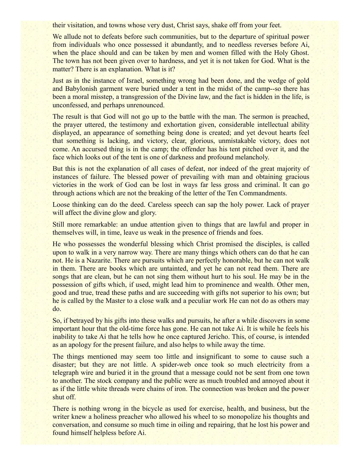their visitation, and towns whose very dust, Christ says, shake off from your feet.

We allude not to defeats before such communities, but to the departure of spiritual power from individuals who once possessed it abundantly, and to needless reverses before Ai, when the place should and can be taken by men and women filled with the Holy Ghost. The town has not been given over to hardness, and yet it is not taken for God. What is the matter? There is an explanation. What is it?

Just as in the instance of Israel, something wrong had been done, and the wedge of gold and Babylonish garment were buried under a tent in the midst of the camp--so there has been a moral misstep, a transgression of the Divine law, and the fact is hidden in the life, is unconfessed, and perhaps unrenounced.

The result is that God will not go up to the battle with the man. The sermon is preached, the prayer uttered, the testimony and exhortation given, considerable intellectual ability displayed, an appearance of something being done is created; and yet devout hearts feel that something is lacking, and victory, clear, glorious, unmistakable victory, does not come. An accursed thing is in the camp; the offender has his tent pitched over it, and the face which looks out of the tent is one of darkness and profound melancholy.

But this is not the explanation of all cases of defeat, nor indeed of the great majority of instances of failure. The blessed power of prevailing with man and obtaining gracious victories in the work of God can be lost in ways far less gross and criminal. It can go through actions which are not the breaking of the letter of the Ten Commandments.

Loose thinking can do the deed. Careless speech can sap the holy power. Lack of prayer will affect the divine glow and glory.

Still more remarkable: an undue attention given to things that are lawful and proper in themselves will, in time, leave us weak in the presence of friends and foes.

He who possesses the wonderful blessing which Christ promised the disciples, is called upon to walk in a very narrow way. There are many things which others can do that he can not. He is a Nazarite. There are pursuits which are perfectly honorable, but he can not walk in them. There are books which are untainted, and yet he can not read them. There are songs that are clean, but he can not sing them without hurt to his soul. He may be in the possession of gifts which, if used, might lead him to prominence and wealth. Other men, good and true, tread these paths and are succeeding with gifts not superior to his own; but he is called by the Master to a close walk and a peculiar work He can not do as others may do.

So, if betrayed by his gifts into these walks and pursuits, he after a while discovers in some important hour that the old-time force has gone. He can not take Ai. It is while he feels his inability to take Ai that he tells how he once captured Jericho. This, of course, is intended as an apology for the present failure, and also helps to while away the time.

The things mentioned may seem too little and insignificant to some to cause such a disaster; but they are not little. A spider-web once took so much electricity from a telegraph wire and buried it in the ground that a message could not be sent from one town to another. The stock company and the public were as much troubled and annoyed about it as if the little white threads were chains of iron. The connection was broken and the power shut off.

There is nothing wrong in the bicycle as used for exercise, health, and business, but the writer knew a holiness preacher who allowed his wheel to so monopolize his thoughts and conversation, and consume so much time in oiling and repairing, that he lost his power and found himself helpless before Ai.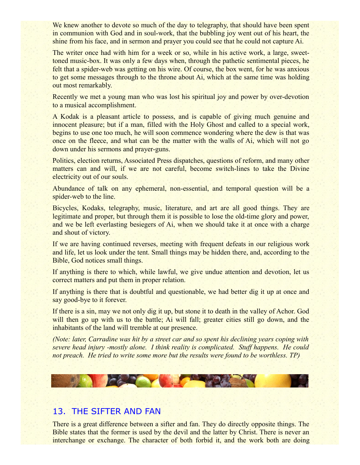We knew another to devote so much of the day to telegraphy, that should have been spent in communion with God and in soul-work, that the bubbling joy went out of his heart, the shine from his face, and in sermon and prayer you could see that he could not capture Ai.

The writer once had with him for a week or so, while in his active work, a large, sweettoned music-box. It was only a few days when, through the pathetic sentimental pieces, he felt that a spider-web was getting on his wire. Of course, the box went, for he was anxious to get some messages through to the throne about Ai, which at the same time was holding out most remarkably.

Recently we met a young man who was lost his spiritual joy and power by over-devotion to a musical accomplishment.

A Kodak is a pleasant article to possess, and is capable of giving much genuine and innocent pleasure; but if a man, filled with the Holy Ghost and called to a special work, begins to use one too much, he will soon commence wondering where the dew is that was once on the fleece, and what can be the matter with the walls of Ai, which will not go down under his sermons and prayer-guns.

Politics, election returns, Associated Press dispatches, questions of reform, and many other matters can and will, if we are not careful, become switch-lines to take the Divine electricity out of our souls.

Abundance of talk on any ephemeral, non-essential, and temporal question will be a spider-web to the line.

Bicycles, Kodaks, telegraphy, music, literature, and art are all good things. They are legitimate and proper, but through them it is possible to lose the old-time glory and power, and we be left everlasting besiegers of Ai, when we should take it at once with a charge and shout of victory.

If we are having continued reverses, meeting with frequent defeats in our religious work and life, let us look under the tent. Small things may be hidden there, and, according to the Bible, God notices small things.

If anything is there to which, while lawful, we give undue attention and devotion, let us correct matters and put them in proper relation.

If anything is there that is doubtful and questionable, we had better dig it up at once and say good-bye to it forever.

If there is a sin, may we not only dig it up, but stone it to death in the valley of Achor. God will then go up with us to the battle; Ai will fall; greater cities still go down, and the inhabitants of the land will tremble at our presence.

*(Note: later, Carradine was hit by a street car and so spent his declining years coping with severe head injury -mostly alone. I think reality is complicated. Stuff happens. He could not preach. He tried to write some more but the results were found to be worthless. TP)*



# 13. THE SIFTER AND FAN

There is a great difference between a sifter and fan. They do directly opposite things. The Bible states that the former is used by the devil and the latter by Christ. There is never an interchange or exchange. The character of both forbid it, and the work both are doing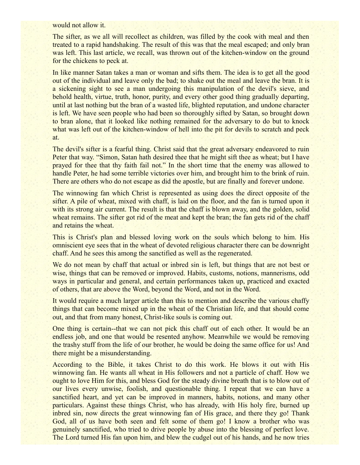would not allow it.

The sifter, as we all will recollect as children, was filled by the cook with meal and then treated to a rapid handshaking. The result of this was that the meal escaped; and only bran was left. This last article, we recall, was thrown out of the kitchen-window on the ground for the chickens to peck at.

In like manner Satan takes a man or woman and sifts them. The idea is to get all the good out of the individual and leave only the bad; to shake out the meal and leave the bran. It is a sickening sight to see a man undergoing this manipulation of the devil's sieve, and behold health, virtue, truth, honor, purity, and every other good thing gradually departing, until at last nothing but the bran of a wasted life, blighted reputation, and undone character is left. We have seen people who had been so thoroughly sifted by Satan, so brought down to bran alone, that it looked like nothing remained for the adversary to do but to knock what was left out of the kitchen-window of hell into the pit for devils to scratch and peck at.

The devil's sifter is a fearful thing. Christ said that the great adversary endeavored to ruin Peter that way. "Simon, Satan hath desired thee that he might sift thee as wheat; but I have prayed for thee that thy faith fail not." In the short time that the enemy was allowed to handle Peter, he had some terrible victories over him, and brought him to the brink of ruin. There are others who do not escape as did the apostle, but are finally and forever undone.

The winnowing fan which Christ is represented as using does the direct opposite of the sifter. A pile of wheat, mixed with chaff, is laid on the floor, and the fan is turned upon it with its strong air current. The result is that the chaff is blown away, and the golden, solid wheat remains. The sifter got rid of the meat and kept the bran; the fan gets rid of the chaff and retains the wheat.

This is Christ's plan and blessed loving work on the souls which belong to him. His omniscient eye sees that in the wheat of devoted religious character there can be downright chaff. And he sees this among the sanctified as well as the regenerated.

We do not mean by chaff that actual or inbred sin is left, but things that are not best or wise, things that can be removed or improved. Habits, customs, notions, mannerisms, odd ways in particular and general, and certain performances taken up, practiced and exacted of others, that are above the Word, beyond the Word, and not in the Word.

It would require a much larger article than this to mention and describe the various chaffy things that can become mixed up in the wheat of the Christian life, and that should come out, and that from many honest, Christ-like souls is coming out.

One thing is certain--that we can not pick this chaff out of each other. It would be an endless job, and one that would be resented anyhow. Meanwhile we would be removing the trashy stuff from the life of our brother, he would be doing the same office for us! And there might be a misunderstanding.

According to the Bible, it takes Christ to do this work. He blows it out with His winnowing fan. He wants all wheat in His followers and not a particle of chaff. How we ought to love Him for this, and bless God for the steady divine breath that is to blow out of our lives every unwise, foolish, and questionable thing. I repeat that we can have a sanctified heart, and yet can be improved in manners, habits, notions, and many other particulars. Against these things Christ, who has already, with His holy fire, burned up inbred sin, now directs the great winnowing fan of His grace, and there they go! Thank God, all of us have both seen and felt some of them go! I know a brother who was genuinely sanctified, who tried to drive people by abuse into the blessing of perfect love. The Lord turned His fan upon him, and blew the cudgel out of his hands, and he now tries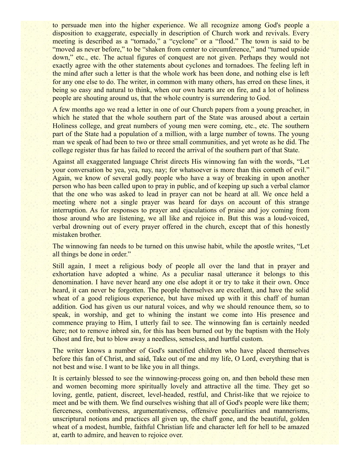to persuade men into the higher experience. We all recognize among God's people a disposition to exaggerate, especially in description of Church work and revivals. Every meeting is described as a "tornado," a "cyclone" or a "flood." The town is said to be "moved as never before," to be "shaken from center to circumference," and "turned upside" down," etc., etc. The actual figures of conquest are not given. Perhaps they would not exactly agree with the other statements about cyclones and tornadoes. The feeling left in the mind after such a letter is that the whole work has been done, and nothing else is left for any one else to do. The writer, in common with many others, has erred on these lines, it being so easy and natural to think, when our own hearts are on fire, and a lot of holiness people are shouting around us, that the whole country is surrendering to God.

A few months ago we read a letter in one of our Church papers from a young preacher, in which he stated that the whole southern part of the State was aroused about a certain Holiness college, and great numbers of young men were coming, etc., etc. The southern part of the State had a population of a million, with a large number of towns. The young man we speak of had been to two or three small communities, and yet wrote as he did. The college register thus far has failed to record the arrival of the southern part of that State.

Against all exaggerated language Christ directs His winnowing fan with the words, "Let your conversation be yea, yea, nay, nay; for whatsoever is more than this cometh of evil." Again, we know of several godly people who have a way of breaking in upon another person who has been called upon to pray in public, and of keeping up such a verbal clamor that the one who was asked to lead in prayer can not be heard at all. We once held a meeting where not a single prayer was heard for days on account of this strange interruption. As for responses to prayer and ejaculations of praise and joy coming from those around who are listening, we all like and rejoice in. But this was a loud-voiced, verbal drowning out of every prayer offered in the church, except that of this honestly mistaken brother.

The winnowing fan needs to be turned on this unwise habit, while the apostle writes, "Let all things be done in order."

Still again, I meet a religious body of people all over the land that in prayer and exhortation have adopted a whine. As a peculiar nasal utterance it belongs to this denomination. I have never heard any one else adopt it or try to take it their own. Once heard, it can never be forgotten. The people themselves are excellent, and have the solid wheat of a good religious experience, but have mixed up with it this chaff of human addition. God has given us our natural voices, and why we should renounce them, so to speak, in worship, and get to whining the instant we come into His presence and commence praying to Him, I utterly fail to see. The winnowing fan is certainly needed here; not to remove inbred sin, for this has been burned out by the baptism with the Holy Ghost and fire, but to blow away a needless, senseless, and hurtful custom.

The writer knows a number of God's sanctified children who have placed themselves before this fan of Christ, and said, Take out of me and my life, O Lord, everything that is not best and wise. I want to be like you in all things.

It is certainly blessed to see the winnowing-process going on, and then behold these men and women becoming more spiritually lovely and attractive all the time. They get so loving, gentle, patient, discreet, level-headed, restful, and Christ-like that we rejoice to meet and be with them. We find ourselves wishing that all of God's people were like them; fierceness, combativeness, argumentativeness, offensive peculiarities and mannerisms, unscriptural notions and practices all given up, the chaff gone, and the beautiful, golden wheat of a modest, humble, faithful Christian life and character left for hell to be amazed at, earth to admire, and heaven to rejoice over.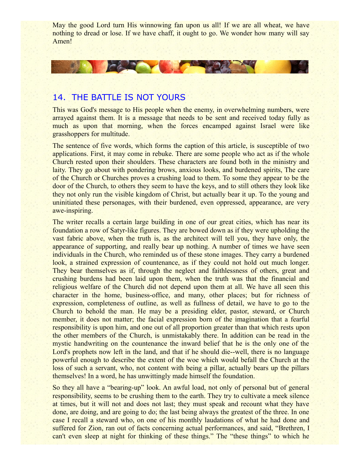May the good Lord turn His winnowing fan upon us all! If we are all wheat, we have nothing to dread or lose. If we have chaff, it ought to go. We wonder how many will say Amen!

## 14. THE BATTLE IS NOT YOURS

**TOP OF THE STATE OF THE STATE** 

This was God's message to His people when the enemy, in overwhelming numbers, were arrayed against them. It is a message that needs to be sent and received today fully as much as upon that morning, when the forces encamped against Israel were like grasshoppers for multitude.

The sentence of five words, which forms the caption of this article, is susceptible of two applications. First, it may come in rebuke. There are some people who act as if the whole Church rested upon their shoulders. These characters are found both in the ministry and laity. They go about with pondering brows, anxious looks, and burdened spirits, The care of the Church or Churches proves a crushing load to them. To some they appear to be the door of the Church, to others they seem to have the keys, and to still others they look like they not only run the visible kingdom of Christ, but actually bear it up. To the young and uninitiated these personages, with their burdened, even oppressed, appearance, are very awe-inspiring.

The writer recalls a certain large building in one of our great cities, which has near its foundation a row of Satyr-like figures. They are bowed down as if they were upholding the vast fabric above, when the truth is, as the architect will tell you, they have only, the appearance of supporting, and really bear up nothing. A number of times we have seen individuals in the Church, who reminded us of these stone images. They carry a burdened look, a strained expression of countenance, as if they could not hold out much longer. They bear themselves as if, through the neglect and faithlessness of others, great and crushing burdens had been laid upon them, when the truth was that the financial and religious welfare of the Church did not depend upon them at all. We have all seen this character in the home, business-office, and many, other places; but for richness of expression, completeness of outline, as well as fullness of detail, we have to go to the Church to behold the man. He may be a presiding elder, pastor, steward, or Church member, it does not matter; the facial expression born of the imagination that a fearful responsibility is upon him, and one out of all proportion greater than that which rests upon the other members of the Church, is unmistakably there. In addition can be read in the mystic handwriting on the countenance the inward belief that he is the only one of the Lord's prophets now left in the land, and that if he should die--well, there is no language powerful enough to describe the extent of the woe which would befall the Church at the loss of such a servant, who, not content with being a pillar, actually bears up the pillars themselves! In a word, he has unwittingly made himself the foundation.

So they all have a "bearing-up" look. An awful load, not only of personal but of general responsibility, seems to be crushing them to the earth. They try to cultivate a meek silence at times, but it will not and does not last; they must speak and recount what they have done, are doing, and are going to do; the last being always the greatest of the three. In one case I recall a steward who, on one of his monthly laudations of what he had done and suffered for Zion, ran out of facts concerning actual performances, and said, "Brethren, I can't even sleep at night for thinking of these things." The "these things" to which he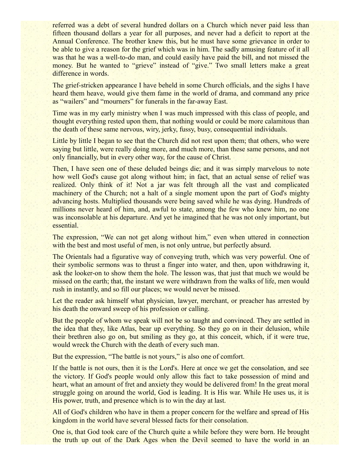referred was a debt of several hundred dollars on a Church which never paid less than fifteen thousand dollars a year for all purposes, and never had a deficit to report at the Annual Conference. The brother knew this, but he must have some grievance in order to be able to give a reason for the grief which was in him. The sadly amusing feature of it all was that he was a well-to-do man, and could easily have paid the bill, and not missed the money. But he wanted to "grieve" instead of "give." Two small letters make a great difference in words.

The grief-stricken appearance I have beheld in some Church officials, and the sighs I have heard them heave, would give them fame in the world of drama, and command any price as "wailers" and "mourners" for funerals in the far-away East.

Time was in my early ministry when I was much impressed with this class of people, and thought everything rested upon them, that nothing would or could be more calamitous than the death of these same nervous, wiry, jerky, fussy, busy, consequential individuals.

Little by little I began to see that the Church did not rest upon them; that others, who were saying but little, were really doing more, and much more, than these same persons, and not only financially, but in every other way, for the cause of Christ.

Then, I have seen one of these deluded beings die; and it was simply marvelous to note how well God's cause got along without him; in fact, that an actual sense of relief was realized. Only think of it! Not a jar was felt through all the vast and complicated machinery of the Church; not a halt of a single moment upon the part of God's mighty advancing hosts. Multiplied thousands were being saved while he was dying. Hundreds of millions never heard of him, and, awful to state, among the few who knew him, no one was inconsolable at his departure. And yet he imagined that he was not only important, but essential.

The expression, "We can not get along without him," even when uttered in connection with the best and most useful of men, is not only untrue, but perfectly absurd.

The Orientals had a figurative way of conveying truth, which was very powerful. One of their symbolic sermons was to thrust a finger into water, and then, upon withdrawing it, ask the looker-on to show them the hole. The lesson was, that just that much we would be missed on the earth; that, the instant we were withdrawn from the walks of life, men would rush in instantly, and so fill our places; we would never be missed.

Let the reader ask himself what physician, lawyer, merchant, or preacher has arrested by his death the onward sweep of his profession or calling.

But the people of whom we speak will not be so taught and convinced. They are settled in the idea that they, like Atlas, bear up everything. So they go on in their delusion, while their brethren also go on, but smiling as they go, at this conceit, which, if it were true, would wreck the Church with the death of every such man.

But the expression, "The battle is not yours," is also one of comfort.

If the battle is not ours, then it is the Lord's. Here at once we get the consolation, and see the victory. If God's people would only allow this fact to take possession of mind and heart, what an amount of fret and anxiety they would be delivered from! In the great moral struggle going on around the world, God is leading. It is His war. While He uses us, it is His power, truth, and presence which is to win the day at last.

All of God's children who have in them a proper concern for the welfare and spread of His kingdom in the world have several blessed facts for their consolation.

One is, that God took care of the Church quite a while before they were born. He brought the truth up out of the Dark Ages when the Devil seemed to have the world in an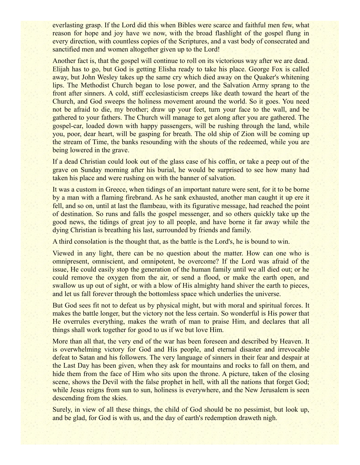everlasting grasp. If the Lord did this when Bibles were scarce and faithful men few, what reason for hope and joy have we now, with the broad flashlight of the gospel flung in every direction, with countless copies of the Scriptures, and a vast body of consecrated and sanctified men and women altogether given up to the Lord!

Another fact is, that the gospel will continue to roll on its victorious way after we are dead. Elijah has to go, but God is getting Elisha ready to take his place. George Fox is called away, but John Wesley takes up the same cry which died away on the Quaker's whitening lips. The Methodist Church began to lose power, and the Salvation Army sprang to the front after sinners. A cold, stiff ecclesiasticism creeps like death toward the heart of the Church, and God sweeps the holiness movement around the world. So it goes. You need not be afraid to die, my brother; draw up your feet, turn your face to the wall, and be gathered to your fathers. The Church will manage to get along after you are gathered. The gospel-car, loaded down with happy passengers, will be rushing through the land, while you, poor, dear heart, will be gasping for breath. The old ship of Zion will be coming up the stream of Time, the banks resounding with the shouts of the redeemed, while you are being lowered in the grave.

If a dead Christian could look out of the glass case of his coffin, or take a peep out of the grave on Sunday morning after his burial, he would be surprised to see how many had taken his place and were rushing on with the banner of salvation.

It was a custom in Greece, when tidings of an important nature were sent, for it to be borne by a man with a flaming firebrand. As he sank exhausted, another man caught it up ere it fell, and so on, until at last the flambeau, with its figurative message, had reached the point of destination. So runs and falls the gospel messenger, and so others quickly take up the good news, the tidings of great joy to all people, and have borne it far away while the dying Christian is breathing his last, surrounded by friends and family.

A third consolation is the thought that, as the battle is the Lord's, he is bound to win.

Viewed in any light, there can be no question about the matter. How can one who is omnipresent, omniscient, and omnipotent, be overcome? If the Lord was afraid of the issue, He could easily stop the generation of the human family until we all died out; or he could remove the oxygen from the air, or send a flood, or make the earth open, and swallow us up out of sight, or with a blow of His almighty hand shiver the earth to pieces, and let us fall forever through the bottomless space which underlies the universe.

But God sees fit not to defeat us by physical might, but with moral and spiritual forces. It makes the battle longer, but the victory not the less certain. So wonderful is His power that He overrules everything, makes the wrath of man to praise Him, and declares that all things shall work together for good to us if we but love Him.

More than all that, the very end of the war has been foreseen and described by Heaven. It is overwhelming victory for God and His people, and eternal disaster and irrevocable defeat to Satan and his followers. The very language of sinners in their fear and despair at the Last Day has been given, when they ask for mountains and rocks to fall on them, and hide them from the face of Him who sits upon the throne. A picture, taken of the closing scene, shows the Devil with the false prophet in hell, with all the nations that forget God; while Jesus reigns from sun to sun, holiness is everywhere, and the New Jerusalem is seen descending from the skies.

Surely, in view of all these things, the child of God should be no pessimist, but look up, and be glad, for God is with us, and the day of earth's redemption draweth nigh.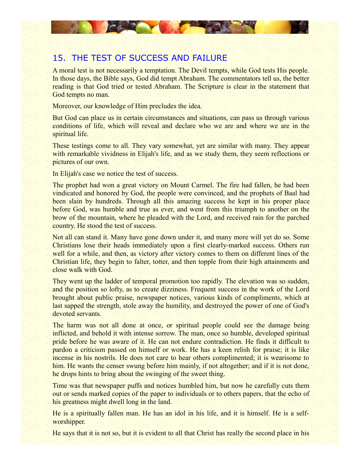# 15. THE TEST OF SUCCESS AND FAILURE

**CARLO VIEW CAR** 

A moral test is not necessarily a temptation. The Devil tempts, while God tests His people. In those days, the Bible says, God did tempt Abraham. The commentators tell us, the better reading is that God tried or tested Abraham. The Scripture is clear in the statement that God tempts no man.

Moreover, our knowledge of Him precludes the idea.

But God can place us in certain circumstances and situations, can pass us through various conditions of life, which will reveal and declare who we are and where we are in the spiritual life.

These testings come to all. They vary somewhat, yet are similar with many. They appear with remarkable vividness in Elijah's life, and as we study them, they seem reflections or pictures of our own.

In Elijah's case we notice the test of success.

The prophet had won a great victory on Mount Carmel. The fire had fallen, he had been vindicated and honored by God, the people were convinced, and the prophets of Baal had been slain by hundreds. Through all this amazing success he kept in his proper place before God, was humble and true as ever, and went from this triumph to another on the brow of the mountain, where he pleaded with the Lord, and received rain for the parched country. He stood the test of success.

Not all can stand it. Many have gone down under it, and many more will yet do so. Some Christians lose their heads immediately upon a first clearly-marked success. Others run well for a while, and then, as victory after victory comes to them on different lines of the Christian life, they begin to falter, totter, and then topple from their high attainments and close walk with God.

They went up the ladder of temporal promotion too rapidly. The elevation was so sudden, and the position so lofty, as to create dizziness. Frequent success in the work of the Lord brought about public praise, newspaper notices, various kinds of compliments, which at last sapped the strength, stole away the humility, and destroyed the power of one of God's devoted servants.

The harm was not all done at once, or spiritual people could see the damage being inflicted, and behold it with intense sorrow. The man, once so humble, developed spiritual pride before he was aware of it. He can not endure contradiction. He finds it difficult to pardon a criticism passed on himself or work. He has a keen relish for praise; it is like incense in his nostrils. He does not care to hear others complimented; it is wearisome to him. He wants the censer swung before him mainly, if not altogether; and if it is not done, he drops hints to bring about the swinging of the sweet thing.

Time was that newspaper puffs and notices humbled him, but now he carefully cuts them out or sends marked copies of the paper to individuals or to others papers, that the echo of his greatness might dwell long in the land.

He is a spiritually fallen man. He has an idol in his life, and it is himself. He is a selfworshipper.

He says that it is not so, but it is evident to all that Christ has really the second place in his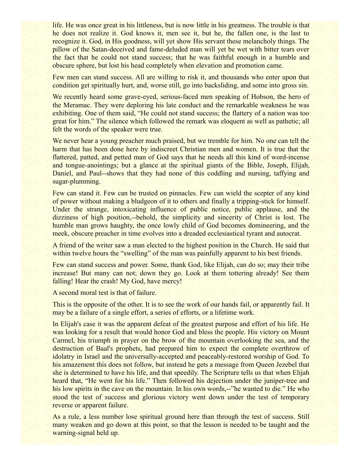life. He was once great in his littleness, but is now little in his greatness. The trouble is that he does not realize it. God knows it, men see it, but he, the fallen one, is the last to recognize it. God, in His goodness, will yet show His servant these melancholy things. The pillow of the Satan-deceived and fame-deluded man will yet be wet with bitter tears over the fact that he could not stand success; that he was faithful enough in a humble and obscure sphere, but lost his head completely when elevation and promotion came.

Few men can stand success. All are willing to risk it, and thousands who enter upon that condition get spiritually hurt, and, worse still, go into backsliding, and some into gross sin.

We recently heard some grave-eyed, serious-faced men speaking of Hobson, the hero of the Meramac. They were deploring his late conduct and the remarkable weakness he was exhibiting. One of them said, "He could not stand success; the flattery of a nation was too great for him." The silence which followed the remark was eloquent as well as pathetic; all felt the words of the speaker were true.

We never hear a young preacher much praised, but we tremble for him. No one can tell the harm that has been done here by indiscreet Christian men and women. It is true that the flattered, patted, and petted man of God says that he needs all this kind of word-incense and tongue-anointings; but a glance at the spiritual giants of the Bible, Joseph, Elijah, Daniel, and Paul--shows that they had none of this coddling and nursing, taffying and sugar-plumming.

Few can stand it. Few can be trusted on pinnacles. Few can wield the scepter of any kind of power without making a bludgeon of it to others and finally a tripping-stick for himself. Under the strange, intoxicating influence of public notice, public applause, and the dizziness of high position,--behold, the simplicity and sincerity of Christ is lost. The humble man grows haughty, the once lowly child of God becomes domineering, and the meek, obscure preacher in time evolves into a dreaded ecclesiastical tyrant and autocrat.

A friend of the writer saw a man elected to the highest position in the Church. He said that within twelve hours the "swelling" of the man was painfully apparent to his best friends.

Few can stand success and power. Some, thank God, like Elijah, can do so; may their tribe increase! But many can not; down they go. Look at them tottering already! See them falling! Hear the crash! My God, have mercy!

A second moral test is that of failure.

This is the opposite of the other. It is to see the work of our hands fail, or apparently fail. It may be a failure of a single effort, a series of efforts, or a lifetime work.

In Elijah's case it was the apparent defeat of the greatest purpose and effort of his life. He was looking for a result that would honor God and bless the people. His victory on Mount Carmel, his triumph in prayer on the brow of the mountain overlooking the sea, and the destruction of Baal's prophets, had prepared him to expect the complete overthrow of idolatry in Israel and the universally-accepted and peaceably-restored worship of God. To his amazement this does not follow, but instead he gets a message from Queen Jezebel that she is determined to have his life, and that speedily. The Scripture tells us that when Elijah heard that, "He went for his life." Then followed his dejection under the juniper-tree and his low spirits in the cave on the mountain. In his own words,--"he wanted to die." He who stood the test of success and glorious victory went down under the test of temporary reverse or apparent failure.

As a rule, a less number lose spiritual ground here than through the test of success. Still many weaken and go down at this point, so that the lesson is needed to be taught and the warning-signal held up.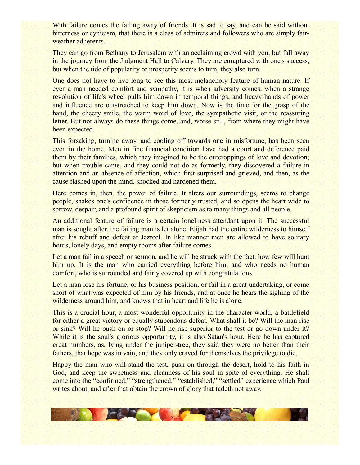With failure comes the falling away of friends. It is sad to say, and can be said without bitterness or cynicism, that there is a class of admirers and followers who are simply fairweather adherents.

They can go from Bethany to Jerusalem with an acclaiming crowd with you, but fall away in the journey from the Judgment Hall to Calvary. They are enraptured with one's success, but when the tide of popularity or prosperity seems to turn, they also turn.

One does not have to live long to see this most melancholy feature of human nature. If ever a man needed comfort and sympathy, it is when adversity comes, when a strange revolution of life's wheel pulls him down in temporal things, and heavy hands of power and influence are outstretched to keep him down. Now is the time for the grasp of the hand, the cheery smile, the warm word of love, the sympathetic visit, or the reassuring letter. But not always do these things come, and, worse still, from where they might have been expected.

This forsaking, turning away, and cooling off towards one in misfortune, has been seen even in the home. Men in fine financial condition have had a court and deference paid them by their families, which they imagined to be the outcroppings of love and devotion; but when trouble came, and they could not do as formerly, they discovered a failure in attention and an absence of affection, which first surprised and grieved, and then, as the cause flashed upon the mind, shocked and hardened them.

Here comes in, then, the power of failure. It alters our surroundings, seems to change people, shakes one's confidence in those formerly trusted, and so opens the heart wide to sorrow, despair, and a profound spirit of skepticism as to many things and all people.

An additional feature of failure is a certain loneliness attendant upon it. The successful man is sought after, the failing man is let alone. Elijah had the entire wilderness to himself after his rebuff and defeat at Jezreel. In like manner men are allowed to have solitary hours, lonely days, and empty rooms after failure comes.

Let a man fail in a speech or sermon, and he will be struck with the fact, how few will hunt him up. It is the man who carried everything before him, and who needs no human comfort, who is surrounded and fairly covered up with congratulations.

Let a man lose his fortune, or his business position, or fail in a great undertaking, or come short of what was expected of him by his friends, and at once he hears the sighing of the wilderness around him, and knows that in heart and life he is alone.

This is a crucial hour, a most wonderful opportunity in the character-world, a battlefield for either a great victory or equally stupendous defeat. What shall it be? Will the man rise or sink? Will he push on or stop? Will he rise superior to the test or go down under it? While it is the soul's glorious opportunity, it is also Satan's hour. Here he has captured great numbers, as, lying under the juniper-tree, they said they were no better than their fathers, that hope was in vain, and they only craved for themselves the privilege to die.

Happy the man who will stand the test, push on through the desert, hold to his faith in God, and keep the sweetness and cleanness of his soul in spite of everything. He shall come into the "confirmed," "strengthened," "established," "settled" experience which Paul writes about, and after that obtain the crown of glory that fadeth not away.

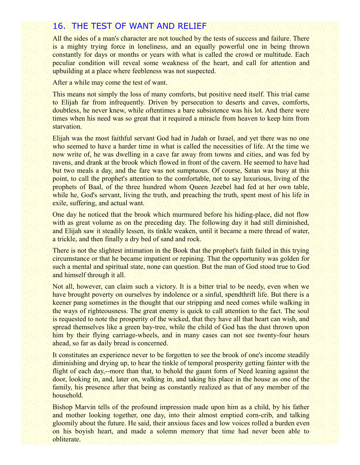## 16. THE TEST OF WANT AND RELIEF

All the sides of a man's character are not touched by the tests of success and failure. There is a mighty trying force in loneliness, and an equally powerful one in being thrown constantly for days or months or years with what is called the crowd or multitude. Each peculiar condition will reveal some weakness of the heart, and call for attention and upbuilding at a place where feebleness was not suspected.

After a while may come the test of want.

This means not simply the loss of many comforts, but positive need itself. This trial came to Elijah far from infrequently. Driven by persecution to deserts and caves, comforts, doubtless, he never knew, while oftentimes a bare subsistence was his lot. And there were times when his need was so great that it required a miracle from heaven to keep him from starvation.

Elijah was the most faithful servant God had in Judah or Israel, and yet there was no one who seemed to have a harder time in what is called the necessities of life. At the time we now write of, he was dwelling in a cave far away from towns and cities, and was fed by ravens, and drank at the brook which flowed in front of the cavern. He seemed to have had but two meals a day, and the fare was not sumptuous. Of course, Satan was busy at this point, to call the prophet's attention to the comfortable, not to say luxurious, living of the prophets of Baal, of the three hundred whom Queen Jezebel had fed at her own table, while he, God's servant, living the truth, and preaching the truth, spent most of his life in exile, suffering, and actual want.

One day he noticed that the brook which murmured before his hiding-place, did not flow with as great volume as on the preceding day. The following day it had still diminished, and Elijah saw it steadily lessen, its tinkle weaken, until it became a mere thread of water, a trickle, and then finally a dry bed of sand and rock.

There is not the slightest intimation in the Book that the prophet's faith failed in this trying circumstance or that he became impatient or repining. That the opportunity was golden for such a mental and spiritual state, none can question. But the man of God stood true to God and himself through it all.

Not all, however, can claim such a victory. It is a bitter trial to be needy, even when we have brought poverty on ourselves by indolence or a sinful, spendthrift life. But there is a keener pang sometimes in the thought that our stripping and need comes while walking in the ways of righteousness. The great enemy is quick to call attention to the fact. The soul is requested to note the prosperity of the wicked, that they have all that heart can wish, and spread themselves like a green bay-tree, while the child of God has the dust thrown upon him by their flying carriage-wheels, and in many cases can not see twenty-four hours ahead, so far as daily bread is concerned.

It constitutes an experience never to be forgotten to see the brook of one's income steadily diminishing and drying up, to hear the tinkle of temporal prosperity getting fainter with the flight of each day,--more than that, to behold the gaunt form of Need leaning against the door, looking in, and, later on, walking in, and taking his place in the house as one of the family, his presence after that being as constantly realized as that of any member of the household.

Bishop Marvin tells of the profound impression made upon him as a child, by his father and mother looking together, one day, into their almost emptied corn-crib, and talking gloomily about the future. He said, their anxious faces and low voices rolled a burden even on his boyish heart, and made a solemn memory that time had never been able to obliterate.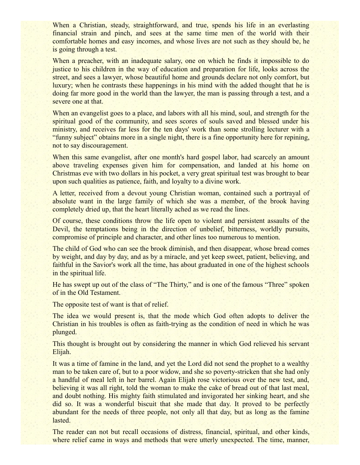When a Christian, steady, straightforward, and true, spends his life in an everlasting financial strain and pinch, and sees at the same time men of the world with their comfortable homes and easy incomes, and whose lives are not such as they should be, he is going through a test.

When a preacher, with an inadequate salary, one on which he finds it impossible to do justice to his children in the way of education and preparation for life, looks across the street, and sees a lawyer, whose beautiful home and grounds declare not only comfort, but luxury; when he contrasts these happenings in his mind with the added thought that he is doing far more good in the world than the lawyer, the man is passing through a test, and a severe one at that.

When an evangelist goes to a place, and labors with all his mind, soul, and strength for the spiritual good of the community, and sees scores of souls saved and blessed under his ministry, and receives far less for the ten days' work than some strolling lecturer with a "funny subject" obtains more in a single night, there is a fine opportunity here for repining, not to say discouragement.

When this same evangelist, after one month's hard gospel labor, had scarcely an amount above traveling expenses given him for compensation, and landed at his home on Christmas eve with two dollars in his pocket, a very great spiritual test was brought to bear upon such qualities as patience, faith, and loyalty to a divine work.

A letter, received from a devout young Christian woman, contained such a portrayal of absolute want in the large family of which she was a member, of the brook having completely dried up, that the heart literally ached as we read the lines.

Of course, these conditions throw the life open to violent and persistent assaults of the Devil, the temptations being in the direction of unbelief, bitterness, worldly pursuits, compromise of principle and character, and other lines too numerous to mention.

The child of God who can see the brook diminish, and then disappear, whose bread comes by weight, and day by day, and as by a miracle, and yet keep sweet, patient, believing, and faithful in the Savior's work all the time, has about graduated in one of the highest schools in the spiritual life.

He has swept up out of the class of "The Thirty," and is one of the famous "Three" spoken of in the Old Testament.

The opposite test of want is that of relief.

The idea we would present is, that the mode which God often adopts to deliver the Christian in his troubles is often as faith-trying as the condition of need in which he was plunged.

This thought is brought out by considering the manner in which God relieved his servant Elijah.

It was a time of famine in the land, and yet the Lord did not send the prophet to a wealthy man to be taken care of, but to a poor widow, and she so poverty-stricken that she had only a handful of meal left in her barrel. Again Elijah rose victorious over the new test, and, believing it was all right, told the woman to make the cake of bread out of that last meal, and doubt nothing. His mighty faith stimulated and invigorated her sinking heart, and she did so. It was a wonderful biscuit that she made that day. It proved to be perfectly abundant for the needs of three people, not only all that day, but as long as the famine lasted.

The reader can not but recall occasions of distress, financial, spiritual, and other kinds, where relief came in ways and methods that were utterly unexpected. The time, manner,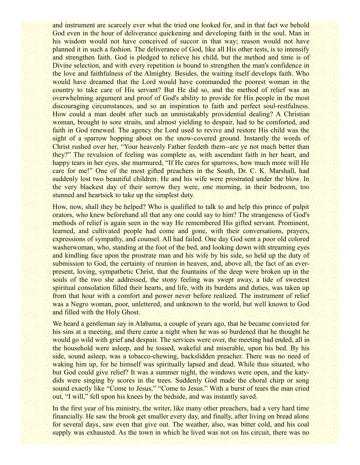and instrument are scarcely ever what the tried one looked for, and in that fact we behold God even in the hour of deliverance quickening and developing faith in the soul. Man in his wisdom would not have conceived of succor in that way; reason would not have planned it in such a fashion. The deliverance of God, like all His other tests, is to intensify and strengthen faith. God is pledged to relieve his child, but the method and time is of Divine selection, and with every repetition is bound to strengthen the man's confidence in the love and faithfulness of the Almighty. Besides, the waiting itself develops faith. Who would have dreamed that the Lord would have commanded the poorest woman in the country to take care of His servant? But He did so, and the method of relief was an overwhelming argument and proof of God's ability to provide for His people in the most discouraging circumstances, and so an inspiration to faith and perfect soul-restfulness. How could a man doubt after such an unmistakably providential dealing? A Christian woman, brought to sore straits, and almost yielding to despair, had to be comforted, and faith in God renewed. The agency the Lord used to revive and restore His child was the sight of a sparrow hopping about on the snow-covered ground. Instantly the words of Christ rushed over her, "Your heavenly Father feedeth them--are ye not much better than they?" The revulsion of feeling was complete as, with ascendant faith in her heart, and happy tears in her eyes, she murmured, "If He cares for sparrows, how much more will He care for me!" One of the most gifted preachers in the South, Dr. C. K. Marshall, had suddenly lost two beautiful children. He and his wife were prostrated under the blow. In the very blackest day of their sorrow they were, one morning, in their bedroom, too stunned and heartsick to take up the simplest duty.

How, now, shall they be helped? Who is qualified to talk to and help this prince of pulpit orators, who knew beforehand all that any one could say to him? The strangeness of God's methods of relief is again seen in the way He remembered His gifted servant. Prominent, learned, and cultivated people had come and gone, with their conversations, prayers, expressions of sympathy, and counsel. All had failed. One day God sent a poor old colored washerwoman, who, standing at the foot of the bed, and looking down with streaming eyes and kindling face upon the prostrate man and his wife by his side, so held up the duty of submission to God, the certainty of reunion in heaven, and, above all, the fact of an everpresent, loving, sympathetic Christ, that the fountains of the deep were broken up in the souls of the two she addressed, the stony feeling was swept away, a tide of sweetest spiritual consolation filled their hearts, and life, with its burdens and duties, was taken up from that hour with a comfort and power never before realized. The instrument of relief was a Negro woman, poor, unlettered, and unknown to the world, but well known to God and filled with the Holy Ghost.

We heard a gentleman say in Alabama, a couple of years ago, that he became convicted for his sins at a meeting, and there came a night when he was so burdened that he thought he would go wild with grief and despair. The services were over, the meeting had ended, all in the household were asleep, and he tossed, wakeful and miserable, upon his bed. By his side, sound asleep, was a tobacco-chewing, backslidden preacher. There was no need of waking him up, for he himself was spiritually lapsed and dead. While thus situated, who but God could give relief? It was a summer night, the windows were open, and the katydids were singing by scores in the trees. Suddenly God made the choral chirp or song sound exactly like "Come to Jesus," "Come to Jesus," With a burst of tears the man cried out, "I will," fell upon his knees by the bedside, and was instantly saved.

In the first year of his ministry, the writer, like many other preachers, had a very hard time financially. He saw the brook get smaller every day, and finally, after living on bread alone for several days, saw even that give out. The weather, also, was bitter cold, and his coal supply was exhausted. As the town in which he lived was not on his circuit, there was no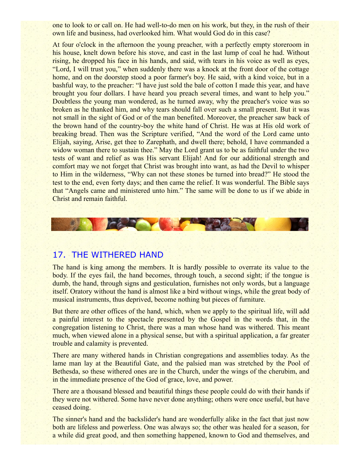one to look to or call on. He had well-to-do men on his work, but they, in the rush of their own life and business, had overlooked him. What would God do in this case?

At four o'clock in the afternoon the young preacher, with a perfectly empty storeroom in his house, knelt down before his stove, and cast in the last lump of coal he had. Without rising, he dropped his face in his hands, and said, with tears in his voice as well as eyes, "Lord, I will trust you," when suddenly there was a knock at the front door of the cottage home, and on the doorstep stood a poor farmer's boy. He said, with a kind voice, but in a bashful way, to the preacher: "I have just sold the bale of cotton I made this year, and have brought you four dollars. I have heard you preach several times, and want to help you." Doubtless the young man wondered, as he turned away, why the preacher's voice was so broken as he thanked him, and why tears should fall over such a small present. But it was not small in the sight of God or of the man benefited. Moreover, the preacher saw back of the brown hand of the country-boy the white hand of Christ. He was at His old work of breaking bread. Then was the Scripture verified, "And the word of the Lord came unto Elijah, saying, Arise, get thee to Zarephath, and dwell there; behold, I have commanded a widow woman there to sustain thee." May the Lord grant us to be as faithful under the two tests of want and relief as was His servant Elijah! And for our additional strength and comfort may we not forget that Christ was brought into want, as had the Devil to whisper to Him in the wilderness, "Why can not these stones be turned into bread?" He stood the test to the end, even forty days; and then came the relief. It was wonderful. The Bible says that "Angels came and ministered unto him." The same will be done to us if we abide in Christ and remain faithful.



#### 17. THE WITHERED HAND

The hand is king among the members. It is hardly possible to overrate its value to the body. If the eyes fail, the hand becomes, through touch, a second sight; if the tongue is dumb, the hand, through signs and gesticulation, furnishes not only words, but a language itself. Oratory without the hand is almost like a bird without wings, while the great body of musical instruments, thus deprived, become nothing but pieces of furniture.

But there are other offices of the hand, which, when we apply to the spiritual life, will add a painful interest to the spectacle presented by the Gospel in the words that, in the congregation listening to Christ, there was a man whose hand was withered. This meant much, when viewed alone in a physical sense, but with a spiritual application, a far greater trouble and calamity is prevented.

There are many withered hands in Christian congregations and assemblies today. As the lame man lay at the Beautiful Gate, and the palsied man was stretched by the Pool of Bethesda, so these withered ones are in the Church, under the wings of the cherubim, and in the immediate presence of the God of grace, love, and power.

There are a thousand blessed and beautiful things these people could do with their hands if they were not withered. Some have never done anything; others were once useful, but have ceased doing.

The sinner's hand and the backslider's hand are wonderfully alike in the fact that just now both are lifeless and powerless. One was always so; the other was healed for a season, for a while did great good, and then something happened, known to God and themselves, and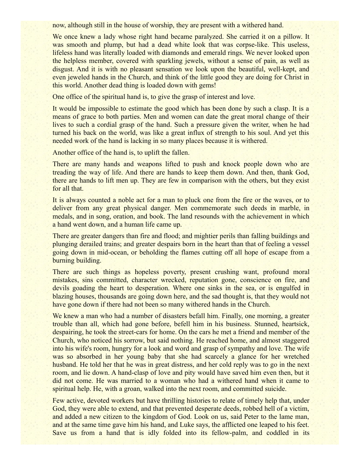now, although still in the house of worship, they are present with a withered hand.

We once knew a lady whose right hand became paralyzed. She carried it on a pillow. It was smooth and plump, but had a dead white look that was corpse-like. This useless, lifeless hand was literally loaded with diamonds and emerald rings. We never looked upon the helpless member, covered with sparkling jewels, without a sense of pain, as well as disgust. And it is with no pleasant sensation we look upon the beautiful, well-kept, and even jeweled hands in the Church, and think of the little good they are doing for Christ in this world. Another dead thing is loaded down with gems!

One office of the spiritual hand is, to give the grasp of interest and love.

It would be impossible to estimate the good which has been done by such a clasp. It is a means of grace to both parties. Men and women can date the great moral change of their lives to such a cordial grasp of the hand. Such a pressure given the writer, when he had turned his back on the world, was like a great influx of strength to his soul. And yet this needed work of the hand is lacking in so many places because it is withered.

Another office of the hand is, to uplift the fallen.

There are many hands and weapons lifted to push and knock people down who are treading the way of life. And there are hands to keep them down. And then, thank God, there are hands to lift men up. They are few in comparison with the others, but they exist for all that.

It is always counted a noble act for a man to pluck one from the fire or the waves, or to deliver from any great physical danger. Men commemorate such deeds in marble, in medals, and in song, oration, and book. The land resounds with the achievement in which a hand went down, and a human life came up.

There are greater dangers than fire and flood; and mightier perils than falling buildings and plunging derailed trains; and greater despairs born in the heart than that of feeling a vessel going down in mid-ocean, or beholding the flames cutting off all hope of escape from a burning building.

There are such things as hopeless poverty, present crushing want, profound moral mistakes, sins committed, character wrecked, reputation gone, conscience on fire, and devils goading the heart to desperation. Where one sinks in the sea, or is engulfed in blazing houses, thousands are going down here, and the sad thought is, that they would not have gone down if there had not been so many withered hands in the Church.

We knew a man who had a number of disasters befall him. Finally, one morning, a greater trouble than all, which had gone before, befell him in his business. Stunned, heartsick, despairing, he took the street-cars for home. On the cars he met a friend and member of the Church, who noticed his sorrow, but said nothing. He reached home, and almost staggered into his wife's room, hungry for a look and word and grasp of sympathy and love. The wife was so absorbed in her young baby that she had scarcely a glance for her wretched husband. He told her that he was in great distress, and her cold reply was to go in the next room, and lie down. A hand-clasp of love and pity would have saved him even then, but it did not come. He was married to a woman who had a withered hand when it came to spiritual help. He, with a groan, walked into the next room, and committed suicide.

Few active, devoted workers but have thrilling histories to relate of timely help that, under God, they were able to extend, and that prevented desperate deeds, robbed hell of a victim, and added a new citizen to the kingdom of God. Look on us, said Peter to the lame man, and at the same time gave him his hand, and Luke says, the afflicted one leaped to his feet. Save us from a hand that is idly folded into its fellow-palm, and coddled in its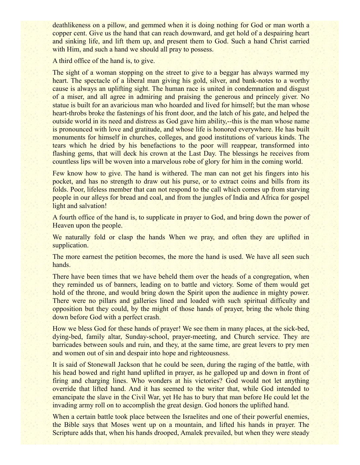deathlikeness on a pillow, and gemmed when it is doing nothing for God or man worth a copper cent. Give us the hand that can reach downward, and get hold of a despairing heart and sinking life, and lift them up, and present them to God. Such a hand Christ carried with Him, and such a hand we should all pray to possess.

A third office of the hand is, to give.

The sight of a woman stopping on the street to give to a beggar has always warmed my heart. The spectacle of a liberal man giving his gold, silver, and bank-notes to a worthy cause is always an uplifting sight. The human race is united in condemnation and disgust of a miser, and all agree in admiring and praising the generous and princely giver. No statue is built for an avaricious man who hoarded and lived for himself; but the man whose heart-throbs broke the fastenings of his front door, and the latch of his gate, and helped the outside world in its need and distress as God gave him ability,--this is the man whose name is pronounced with love and gratitude, and whose life is honored everywhere. He has built monuments for himself in churches, colleges, and good institutions of various kinds. The tears which he dried by his benefactions to the poor will reappear, transformed into flashing gems, that will deck his crown at the Last Day. The blessings he receives from countless lips will be woven into a marvelous robe of glory for him in the coming world.

Few know how to give. The hand is withered. The man can not get his fingers into his pocket, and has no strength to draw out his purse, or to extract coins and bills from its folds. Poor, lifeless member that can not respond to the call which comes up from starving people in our alleys for bread and coal, and from the jungles of India and Africa for gospel light and salvation!

A fourth office of the hand is, to supplicate in prayer to God, and bring down the power of Heaven upon the people.

We naturally fold or clasp the hands When we pray, and often they are uplifted in supplication.

The more earnest the petition becomes, the more the hand is used. We have all seen such hands.

There have been times that we have beheld them over the heads of a congregation, when they reminded us of banners, leading on to battle and victory. Some of them would get hold of the throne, and would bring down the Spirit upon the audience in mighty power. There were no pillars and galleries lined and loaded with such spiritual difficulty and opposition but they could, by the might of those hands of prayer, bring the whole thing down before God with a perfect crash.

How we bless God for these hands of prayer! We see them in many places, at the sick-bed, dying-bed, family altar, Sunday-school, prayer-meeting, and Church service. They are barricades between souls and ruin, and they, at the same time, are great levers to pry men and women out of sin and despair into hope and righteousness.

It is said of Stonewall Jackson that he could be seen, during the raging of the battle, with his head bowed and right hand uplifted in prayer, as he galloped up and down in front of firing and charging lines. Who wonders at his victories? God would not let anything override that lifted hand. And it has seemed to the writer that, while God intended to emancipate the slave in the Civil War, yet He has to bury that man before He could let the invading army roll on to accomplish the great design. God honors the uplifted hand.

When a certain battle took place between the Israelites and one of their powerful enemies, the Bible says that Moses went up on a mountain, and lifted his hands in prayer. The Scripture adds that, when his hands drooped, Amalek prevailed, but when they were steady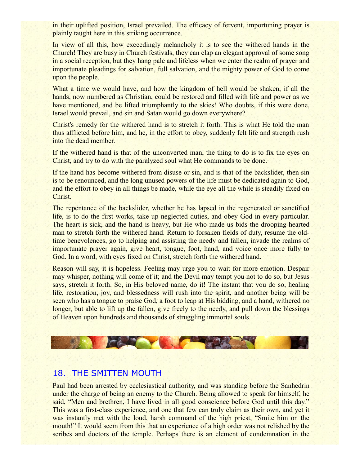in their uplifted position, Israel prevailed. The efficacy of fervent, importuning prayer is plainly taught here in this striking occurrence.

In view of all this, how exceedingly melancholy it is to see the withered hands in the Church! They are busy in Church festivals, they can clap an elegant approval of some song in a social reception, but they hang pale and lifeless when we enter the realm of prayer and importunate pleadings for salvation, full salvation, and the mighty power of God to come upon the people.

What a time we would have, and how the kingdom of hell would be shaken, if all the hands, now numbered as Christian, could be restored and filled with life and power as we have mentioned, and be lifted triumphantly to the skies! Who doubts, if this were done, Israel would prevail, and sin and Satan would go down everywhere?

Christ's remedy for the withered hand is to stretch it forth. This is what He told the man thus afflicted before him, and he, in the effort to obey, suddenly felt life and strength rush into the dead member.

If the withered hand is that of the unconverted man, the thing to do is to fix the eyes on Christ, and try to do with the paralyzed soul what He commands to be done.

If the hand has become withered from disuse or sin, and is that of the backslider, then sin is to be renounced, and the long unused powers of the life must be dedicated again to God, and the effort to obey in all things be made, while the eye all the while is steadily fixed on Christ.

The repentance of the backslider, whether he has lapsed in the regenerated or sanctified life, is to do the first works, take up neglected duties, and obey God in every particular. The heart is sick, and the hand is heavy, but He who made us bids the drooping-hearted man to stretch forth the withered hand. Return to forsaken fields of duty, resume the oldtime benevolences, go to helping and assisting the needy and fallen, invade the realms of importunate prayer again, give heart, tongue, foot, hand, and voice once more fully to God. In a word, with eyes fixed on Christ, stretch forth the withered hand.

Reason will say, it is hopeless. Feeling may urge you to wait for more emotion. Despair may whisper, nothing will come of it; and the Devil may tempt you not to do so, but Jesus says, stretch it forth. So, in His beloved name, do it! The instant that you do so, healing life, restoration, joy, and blessedness will rush into the spirit, and another being will be seen who has a tongue to praise God, a foot to leap at His bidding, and a hand, withered no longer, but able to lift up the fallen, give freely to the needy, and pull down the blessings of Heaven upon hundreds and thousands of struggling immortal souls.



#### 18. THE SMITTEN MOUTH

Paul had been arrested by ecclesiastical authority, and was standing before the Sanhedrin under the charge of being an enemy to the Church. Being allowed to speak for himself, he said, "Men and brethren, I have lived in all good conscience before God until this day." This was a first-class experience, and one that few can truly claim as their own, and yet it was instantly met with the loud, harsh command of the high priest, "Smite him on the mouth!" It would seem from this that an experience of a high order was not relished by the scribes and doctors of the temple. Perhaps there is an element of condemnation in the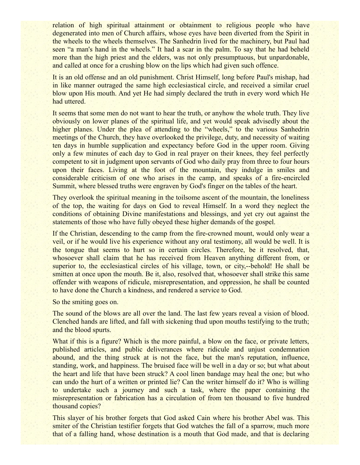relation of high spiritual attainment or obtainment to religious people who have degenerated into men of Church affairs, whose eyes have been diverted from the Spirit in the wheels to the wheels themselves. The Sanhedrin lived for the machinery, but Paul had seen "a man's hand in the wheels." It had a scar in the palm. To say that he had beheld more than the high priest and the elders, was not only presumptuous, but unpardonable, and called at once for a crushing blow on the lips which had given such offence.

It is an old offense and an old punishment. Christ Himself, long before Paul's mishap, had in like manner outraged the same high ecclesiastical circle, and received a similar cruel blow upon His mouth. And yet He had simply declared the truth in every word which He had uttered.

It seems that some men do not want to hear the truth, or anyhow the whole truth. They live obviously on lower planes of the spiritual life, and yet would speak advisedly about the higher planes. Under the plea of attending to the "wheels," to the various Sanhedrin meetings of the Church, they have overlooked the privilege, duty, and necessity of waiting ten days in humble supplication and expectancy before God in the upper room. Giving only a few minutes of each day to God in real prayer on their knees, they feel perfectly competent to sit in judgment upon servants of God who daily pray from three to four hours upon their faces. Living at the foot of the mountain, they indulge in smiles and considerable criticism of one who arises in the camp, and speaks of a fire-encircled Summit, where blessed truths were engraven by God's finger on the tables of the heart.

They overlook the spiritual meaning in the toilsome ascent of the mountain, the loneliness of the top, the waiting for days on God to reveal Himself. In a word they neglect the conditions of obtaining Divine manifestations and blessings, and yet cry out against the statements of those who have fully obeyed these higher demands of the gospel.

If the Christian, descending to the camp from the fire-crowned mount, would only wear a veil, or if he would live his experience without any oral testimony, all would be well. It is the tongue that seems to hurt so in certain circles. Therefore, be it resolved, that, whosoever shall claim that he has received from Heaven anything different from, or superior to, the ecclesiastical circles of his village, town, or city,--behold! He shall be smitten at once upon the mouth. Be it, also, resolved that, whosoever shall strike this same offender with weapons of ridicule, misrepresentation, and oppression, he shall be counted to have done the Church a kindness, and rendered a service to God.

So the smiting goes on.

The sound of the blows are all over the land. The last few years reveal a vision of blood. Clenched hands are lifted, and fall with sickening thud upon mouths testifying to the truth; and the blood spurts.

What if this is a figure? Which is the more painful, a blow on the face, or private letters, published articles, and public deliverances where ridicule and unjust condemnation abound, and the thing struck at is not the face, but the man's reputation, influence, standing, work, and happiness. The bruised face will be well in a day or so; but what about the heart and life that have been struck? A cool linen bandage may heal the one; but who can undo the hurt of a written or printed lie? Can the writer himself do it? Who is willing to undertake such a journey and such a task, where the paper containing the misrepresentation or fabrication has a circulation of from ten thousand to five hundred thousand copies?

This slayer of his brother forgets that God asked Cain where his brother Abel was. This smiter of the Christian testifier forgets that God watches the fall of a sparrow, much more that of a falling hand, whose destination is a mouth that God made, and that is declaring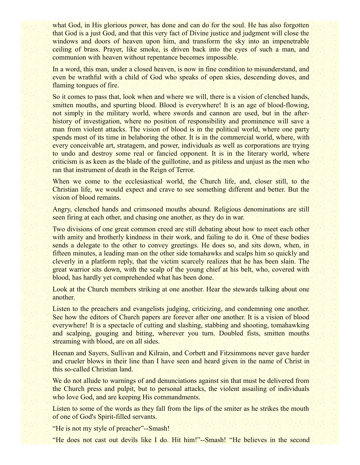what God, in His glorious power, has done and can do for the soul. He has also forgotten that God is a just God, and that this very fact of Divine justice and judgment will close the windows and doors of heaven upon him, and transform the sky into an impenetrable ceiling of brass. Prayer, like smoke, is driven back into the eyes of such a man, and communion with heaven without repentance becomes impossible.

In a word, this man, under a closed heaven, is now in fine condition to misunderstand, and even be wrathful with a child of God who speaks of open skies, descending doves, and flaming tongues of fire.

So it comes to pass that, look when and where we will, there is a vision of clenched hands, smitten mouths, and spurting blood. Blood is everywhere! It is an age of blood-flowing, not simply in the military world, where swords and cannon are used, but in the afterhistory of investigation, where no position of responsibility and prominence will save a man from violent attacks. The vision of blood is in the political world, where one party spends most of its time in belaboring the other. It is in the commercial world, where, with every conceivable art, stratagem, and power, individuals as well as corporations are trying to undo and destroy some real or fancied opponent. It is in the literary world, where criticism is as keen as the blade of the guillotine, and as pitiless and unjust as the men who ran that instrument of death in the Reign of Terror.

When we come to the ecclesiastical world, the Church life, and, closer still, to the Christian life, we would expect and crave to see something different and better. But the vision of blood remains.

Angry, clenched hands and crimsoned mouths abound. Religious denominations are still seen firing at each other, and chasing one another, as they do in war.

Two divisions of one great common creed are still debating about how to meet each other with amity and brotherly kindness in their work, and failing to do it. One of these bodies sends a delegate to the other to convey greetings. He does so, and sits down, when, in fifteen minutes, a leading man on the other side tomahawks and scalps him so quickly and cleverly in a platform reply, that the victim scarcely realizes that he has been slain. The great warrior sits down, with the scalp of the young chief at his belt, who, covered with blood, has hardly yet comprehended what has been done.

Look at the Church members striking at one another. Hear the stewards talking about one another.

Listen to the preachers and evangelists judging, criticizing, and condemning one another. See how the editors of Church papers are forever after one another. It is a vision of blood everywhere! It is a spectacle of cutting and slashing, stabbing and shooting, tomahawking and scalping, gouging and biting, wherever you turn. Doubled fists, smitten mouths streaming with blood, are on all sides.

Heenan and Sayers, Sullivan and Kilrain, and Corbett and Fitzsimmons never gave harder and crueler blows in their line than I have seen and heard given in the name of Christ in this so-called Christian land.

We do not allude to warnings of and denunciations against sin that must be delivered from the Church press and pulpit, but to personal attacks, the violent assailing of individuals who love God, and are keeping His commandments.

Listen to some of the words as they fall from the lips of the smiter as he strikes the mouth of one of God's Spirit-filled servants.

"He is not my style of preacher"--Smash!

"He does not cast out devils like I do. Hit him!"--Smash! "He believes in the second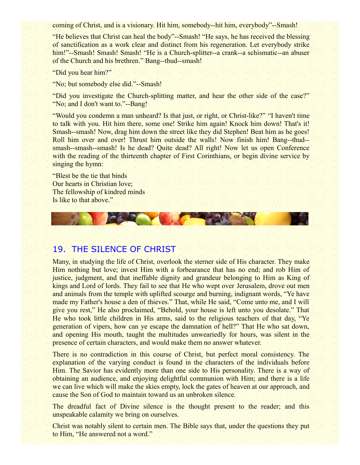coming of Christ, and is a visionary. Hit him, somebody--hit him, everybody"--Smash!

"He believes that Christ can heal the body"--Smash! "He says, he has received the blessing of sanctification as a work clear and distinct from his regeneration. Let everybody strike him!"--Smash! Smash! Smash! "He is a Church-splitter--a crank--a schismatic--an abuser of the Church and his brethren." Bang--thud--smash!

"Did you hear him?"

"No; but somebody else did."--Smash!

"Did you investigate the Church-splitting matter, and hear the other side of the case?" "No; and I don't want to."--Bang!

"Would you condemn a man unheard? Is that just, or right, or Christ-like?" "I haven't time to talk with you. Hit him there, some one! Strike him again! Knock him down! That's it! Smash--smash! Now, drag him down the street like they did Stephen! Beat him as he goes! Roll him over and over! Thrust him outside the walls! Now finish him! Bang--thud- smash--smash--smash! Is he dead? Quite dead? All right! Now let us open Conference with the reading of the thirteenth chapter of First Corinthians, or begin divine service by singing the hymn:

"Blest be the tie that binds Our hearts in Christian love; The fellowship of kindred minds Is like to that above."



## 19. THE SILENCE OF CHRIST

Many, in studying the life of Christ, overlook the sterner side of His character. They make Him nothing but love; invest Him with a forbearance that has no end; and rob Him of justice, judgment, and that ineffable dignity and grandeur belonging to Him as King of kings and Lord of lords. They fail to see that He who wept over Jerusalem, drove out men and animals from the temple with uplifted scourge and burning, indignant words, "Ye have made my Father's house a den of thieves." That, while He said, "Come unto me, and I will give you rest," He also proclaimed, "Behold, your house is left unto you desolate." That He who took little children in His arms, said to the religious teachers of that day, "Ye generation of vipers, how can ye escape the damnation of hell?" That He who sat down, and opening His mouth, taught the multitudes unweariedly for hours, was silent in the presence of certain characters, and would make them no answer whatever.

There is no contradiction in this course of Christ, but perfect moral consistency. The explanation of the varying conduct is found in the characters of the individuals before Him. The Savior has evidently more than one side to His personality. There is a way of obtaining an audience, and enjoying delightful communion with Him; and there is a life we can live which will make the skies empty, lock the gates of heaven at our approach, and cause the Son of God to maintain toward us an unbroken silence.

The dreadful fact of Divine silence is the thought present to the reader; and this unspeakable calamity we bring on ourselves.

Christ was notably silent to certain men. The Bible says that, under the questions they put to Him, "He answered not a word."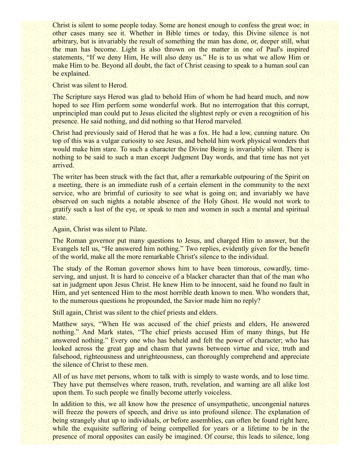Christ is silent to some people today. Some are honest enough to confess the great woe; in other cases many see it. Whether in Bible times or today, this Divine silence is not arbitrary, but is invariably the result of something the man has done, or, deeper still, what the man has become. Light is also thrown on the matter in one of Paul's inspired statements, "If we deny Him, He will also deny us." He is to us what we allow Him or make Him to be. Beyond all doubt, the fact of Christ ceasing to speak to a human soul can be explained.

#### Christ was silent to Herod.

The Scripture says Herod was glad to behold Him of whom he had heard much, and now hoped to see Him perform some wonderful work. But no interrogation that this corrupt, unprincipled man could put to Jesus elicited the slightest reply or even a recognition of his presence. He said nothing, and did nothing so that Herod marveled.

Christ had previously said of Herod that he was a fox. He had a low, cunning nature. On top of this was a vulgar curiosity to see Jesus, and behold him work physical wonders that would make him stare. To such a character the Divine Being is invariably silent. There is nothing to be said to such a man except Judgment Day words, and that time has not yet arrived.

The writer has been struck with the fact that, after a remarkable outpouring of the Spirit on a meeting, there is an immediate rush of a certain element in the community to the next service, who are brimful of curiosity to see what is going on; and invariably we have observed on such nights a notable absence of the Holy Ghost. He would not work to gratify such a lust of the eye, or speak to men and women in such a mental and spiritual state.

Again, Christ was silent to Pilate.

The Roman governor put many questions to Jesus, and charged Him to answer, but the Evangels tell us, "He answered him nothing." Two replies, evidently given for the benefit of the world, make all the more remarkable Christ's silence to the individual.

The study of the Roman governor shows him to have been timorous, cowardly, timeserving, and unjust. It is hard to conceive of a blacker character than that of the man who sat in judgment upon Jesus Christ. He knew Him to be innocent, said he found no fault in Him, and yet sentenced Him to the most horrible death known to men. Who wonders that, to the numerous questions he propounded, the Savior made him no reply?

Still again, Christ was silent to the chief priests and elders.

Matthew says, "When He was accused of the chief priests and elders, He answered nothing." And Mark states, "The chief priests accused Him of many things, but He answered nothing." Every one who has beheld and felt the power of character; who has looked across the great gap and chasm that yawns between virtue and vice, truth and falsehood, righteousness and unrighteousness, can thoroughly comprehend and appreciate the silence of Christ to these men.

All of us have met persons, whom to talk with is simply to waste words, and to lose time. They have put themselves where reason, truth, revelation, and warning are all alike lost upon them. To such people we finally become utterly voiceless.

In addition to this, we all know how the presence of unsympathetic, uncongenial natures will freeze the powers of speech, and drive us into profound silence. The explanation of being strangely shut up to individuals, or before assemblies, can often be found right here, while the exquisite suffering of being compelled for years or a lifetime to be in the presence of moral opposites can easily be imagined. Of course, this leads to silence, long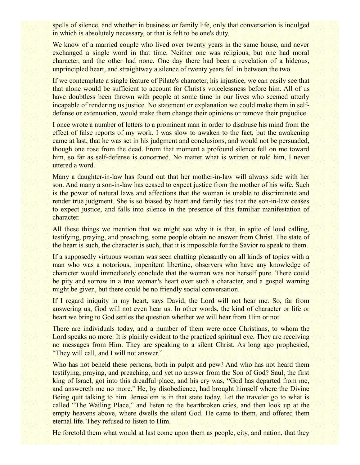spells of silence, and whether in business or family life, only that conversation is indulged in which is absolutely necessary, or that is felt to be one's duty.

We know of a married couple who lived over twenty years in the same house, and never exchanged a single word in that time. Neither one was religious, but one had moral character, and the other had none. One day there had been a revelation of a hideous, unprincipled heart, and straightway a silence of twenty years fell in between the two.

If we contemplate a single feature of Pilate's character, his injustice, we can easily see that that alone would be sufficient to account for Christ's voicelessness before him. All of us have doubtless been thrown with people at some time in our lives who seemed utterly incapable of rendering us justice. No statement or explanation we could make them in selfdefense or extenuation, would make them change their opinions or remove their prejudice.

I once wrote a number of letters to a prominent man in order to disabuse his mind from the effect of false reports of my work. I was slow to awaken to the fact, but the awakening came at last, that he was set in his judgment and conclusions, and would not be persuaded, though one rose from the dead. From that moment a profound silence fell on me toward him, so far as self-defense is concerned. No matter what is written or told him, I never uttered a word.

Many a daughter-in-law has found out that her mother-in-law will always side with her son. And many a son-in-law has ceased to expect justice from the mother of his wife. Such is the power of natural laws and affections that the woman is unable to discriminate and render true judgment. She is so biased by heart and family ties that the son-in-law ceases to expect justice, and falls into silence in the presence of this familiar manifestation of character.

All these things we mention that we might see why it is that, in spite of loud calling, testifying, praying, and preaching, some people obtain no answer from Christ. The state of the heart is such, the character is such, that it is impossible for the Savior to speak to them.

If a supposedly virtuous woman was seen chatting pleasantly on all kinds of topics with a man who was a notorious, impenitent libertine, observers who have any knowledge of character would immediately conclude that the woman was not herself pure. There could be pity and sorrow in a true woman's heart over such a character, and a gospel warning might be given, but there could be no friendly social conversation.

If I regard iniquity in my heart, says David, the Lord will not hear me. So, far from answering us, God will not even hear us. In other words, the kind of character or life or heart we bring to God settles the question whether we will hear from Him or not.

There are individuals today, and a number of them were once Christians, to whom the Lord speaks no more. It is plainly evident to the practiced spiritual eye. They are receiving no messages from Him. They are speaking to a silent Christ. As long ago prophesied, "They will call, and I will not answer."

Who has not beheld these persons, both in pulpit and pew? And who has not heard them testifying, praying, and preaching, and yet no answer from the Son of God? Saul, the first king of Israel, got into this dreadful place, and his cry was, "God has departed from me, and answereth me no more.'' He, by disobedience, had brought himself where the Divine Being quit talking to him. Jerusalem is in that state today. Let the traveler go to what is called "The Wailing Place," and listen to the heartbroken cries, and then look up at the empty heavens above, where dwells the silent God. He came to them, and offered them eternal life. They refused to listen to Him.

He foretold them what would at last come upon them as people, city, and nation, that they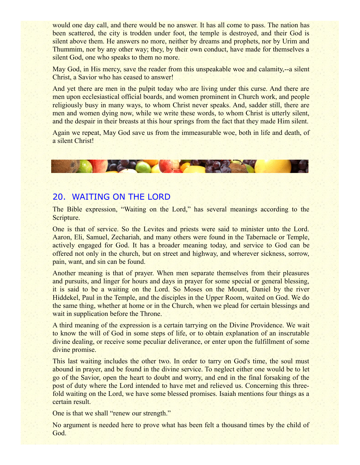would one day call, and there would be no answer. It has all come to pass. The nation has been scattered, the city is trodden under foot, the temple is destroyed, and their God is silent above them. He answers no more, neither by dreams and prophets, nor by Urim and Thummim, nor by any other way; they, by their own conduct, have made for themselves a silent God, one who speaks to them no more.

May God, in His mercy, save the reader from this unspeakable woe and calamity,--a silent Christ, a Savior who has ceased to answer!

And yet there are men in the pulpit today who are living under this curse. And there are men upon ecclesiastical official boards, and women prominent in Church work, and people religiously busy in many ways, to whom Christ never speaks. And, sadder still, there are men and women dying now, while we write these words, to whom Christ is utterly silent, and the despair in their breasts at this hour springs from the fact that they made Him silent.

Again we repeat, May God save us from the immeasurable woe, both in life and death, of a silent Christ!

#### 20. WAITING ON THE LORD

**PARTY OF BUILDING** 

The Bible expression, "Waiting on the Lord," has several meanings according to the Scripture.

One is that of service. So the Levites and priests were said to minister unto the Lord. Aaron, Eli, Samuel, Zechariah, and many others were found in the Tabernacle or Temple, actively engaged for God. It has a broader meaning today, and service to God can be offered not only in the church, but on street and highway, and wherever sickness, sorrow, pain, want, and sin can be found.

Another meaning is that of prayer. When men separate themselves from their pleasures and pursuits, and linger for hours and days in prayer for some special or general blessing, it is said to be a waiting on the Lord. So Moses on the Mount, Daniel by the river Hiddekel, Paul in the Temple, and the disciples in the Upper Room, waited on God. We do the same thing, whether at home or in the Church, when we plead for certain blessings and wait in supplication before the Throne.

A third meaning of the expression is a certain tarrying on the Divine Providence. We wait to know the will of God in some steps of life, or to obtain explanation of an inscrutable divine dealing, or receive some peculiar deliverance, or enter upon the fulfillment of some divine promise.

This last waiting includes the other two. In order to tarry on God's time, the soul must abound in prayer, and be found in the divine service. To neglect either one would be to let go of the Savior, open the heart to doubt and worry, and end in the final forsaking of the post of duty where the Lord intended to have met and relieved us. Concerning this threefold waiting on the Lord, we have some blessed promises. Isaiah mentions four things as a certain result.

One is that we shall "renew our strength."

No argument is needed here to prove what has been felt a thousand times by the child of God.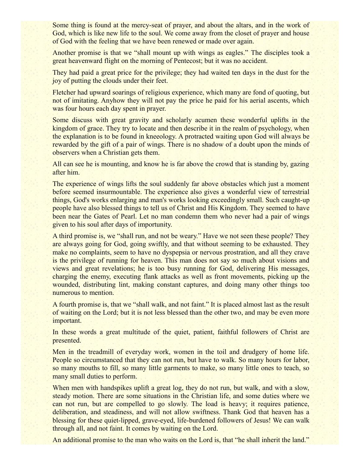Some thing is found at the mercy-seat of prayer, and about the altars, and in the work of God, which is like new life to the soul. We come away from the closet of prayer and house of God with the feeling that we have been renewed or made over again.

Another promise is that we "shall mount up with wings as eagles." The disciples took a great heavenward flight on the morning of Pentecost; but it was no accident.

They had paid a great price for the privilege; they had waited ten days in the dust for the joy of putting the clouds under their feet.

Fletcher had upward soarings of religious experience, which many are fond of quoting, but not of imitating. Anyhow they will not pay the price he paid for his aerial ascents, which was four hours each day spent in prayer.

Some discuss with great gravity and scholarly acumen these wonderful uplifts in the kingdom of grace. They try to locate and then describe it in the realm of psychology, when the explanation is to be found in kneeology. A protracted waiting upon God will always be rewarded by the gift of a pair of wings. There is no shadow of a doubt upon the minds of observers when a Christian gets them.

All can see he is mounting, and know he is far above the crowd that is standing by, gazing after him.

The experience of wings lifts the soul suddenly far above obstacles which just a moment before seemed insurmountable. The experience also gives a wonderful view of terrestrial things, God's works enlarging and man's works looking exceedingly small. Such caught-up people have also blessed things to tell us of Christ and His Kingdom. They seemed to have been near the Gates of Pearl. Let no man condemn them who never had a pair of wings given to his soul after days of importunity.

A third promise is, we "shall run, and not be weary." Have we not seen these people? They are always going for God, going swiftly, and that without seeming to be exhausted. They make no complaints, seem to have no dyspepsia or nervous prostration, and all they crave is the privilege of running for heaven. This man does not say so much about visions and views and great revelations; he is too busy running for God, delivering His messages, charging the enemy, executing flank attacks as well as front movements, picking up the wounded, distributing lint, making constant captures, and doing many other things too numerous to mention.

A fourth promise is, that we "shall walk, and not faint." It is placed almost last as the result of waiting on the Lord; but it is not less blessed than the other two, and may be even more important.

In these words a great multitude of the quiet, patient, faithful followers of Christ are presented.

Men in the treadmill of everyday work, women in the toil and drudgery of home life. People so circumstanced that they can not run, but have to walk. So many hours for labor, so many mouths to fill, so many little garments to make, so many little ones to teach, so many small duties to perform.

When men with handspikes uplift a great log, they do not run, but walk, and with a slow, steady motion. There are some situations in the Christian life, and some duties where we can not run, but are compelled to go slowly. The load is heavy; it requires patience, deliberation, and steadiness, and will not allow swiftness. Thank God that heaven has a blessing for these quiet-lipped, grave-eyed, life-burdened followers of Jesus! We can walk through all, and not faint. It comes by waiting on the Lord.

An additional promise to the man who waits on the Lord is, that "he shall inherit the land."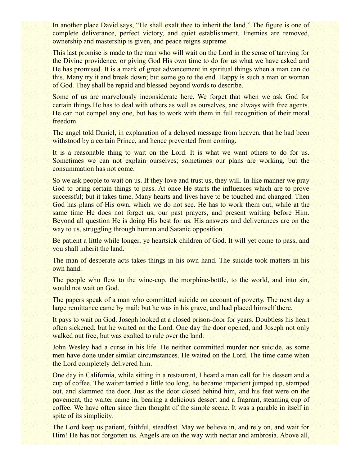In another place David says, "He shall exalt thee to inherit the land." The figure is one of complete deliverance, perfect victory, and quiet establishment. Enemies are removed, ownership and mastership is given, and peace reigns supreme.

This last promise is made to the man who will wait on the Lord in the sense of tarrying for the Divine providence, or giving God His own time to do for us what we have asked and He has promised. It is a mark of great advancement in spiritual things when a man can do this. Many try it and break down; but some go to the end. Happy is such a man or woman of God. They shall be repaid and blessed beyond words to describe.

Some of us are marvelously inconsiderate here. We forget that when we ask God for certain things He has to deal with others as well as ourselves, and always with free agents. He can not compel any one, but has to work with them in full recognition of their moral freedom.

The angel told Daniel, in explanation of a delayed message from heaven, that he had been withstood by a certain Prince, and hence prevented from coming.

It is a reasonable thing to wait on the Lord. It is what we want others to do for us. Sometimes we can not explain ourselves; sometimes our plans are working, but the consummation has not come.

So we ask people to wait on us. If they love and trust us, they will. In like manner we pray God to bring certain things to pass. At once He starts the influences which are to prove successful; but it takes time. Many hearts and lives have to be touched and changed. Then God has plans of His own, which we do not see. He has to work them out, while at the same time He does not forget us, our past prayers, and present waiting before Him. Beyond all question He is doing His best for us. His answers and deliverances are on the way to us, struggling through human and Satanic opposition.

Be patient a little while longer, ye heartsick children of God. It will yet come to pass, and you shall inherit the land.

The man of desperate acts takes things in his own hand. The suicide took matters in his own hand.

The people who flew to the wine-cup, the morphine-bottle, to the world, and into sin, would not wait on God.

The papers speak of a man who committed suicide on account of poverty. The next day a large remittance came by mail; but he was in his grave, and had placed himself there.

It pays to wait on God. Joseph looked at a closed prison-door for years. Doubtless his heart often sickened; but he waited on the Lord. One day the door opened, and Joseph not only walked out free, but was exalted to rule over the land.

John Wesley had a curse in his life. He neither committed murder nor suicide, as some men have done under similar circumstances. He waited on the Lord. The time came when the Lord completely delivered him.

One day in California, while sitting in a restaurant, I heard a man call for his dessert and a cup of coffee. The waiter tarried a little too long, he became impatient jumped up, stamped out, and slammed the door. Just as the door closed behind him, and his feet were on the pavement, the waiter came in, bearing a delicious dessert and a fragrant, steaming cup of coffee. We have often since then thought of the simple scene. It was a parable in itself in spite of its simplicity.

The Lord keep us patient, faithful, steadfast. May we believe in, and rely on, and wait for Him! He has not forgotten us. Angels are on the way with nectar and ambrosia. Above all,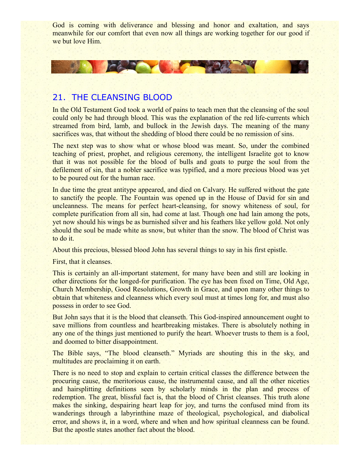God is coming with deliverance and blessing and honor and exaltation, and says meanwhile for our comfort that even now all things are working together for our good if we but love Him.

# 21. THE CLEANSING BLOOD

CAR THE

In the Old Testament God took a world of pains to teach men that the cleansing of the soul could only be had through blood. This was the explanation of the red life-currents which streamed from bird, lamb, and bullock in the Jewish days. The meaning of the many sacrifices was, that without the shedding of blood there could be no remission of sins.

The next step was to show what or whose blood was meant. So, under the combined teaching of priest, prophet, and religious ceremony, the intelligent Israelite got to know that it was not possible for the blood of bulls and goats to purge the soul from the defilement of sin, that a nobler sacrifice was typified, and a more precious blood was yet to be poured out for the human race.

In due time the great antitype appeared, and died on Calvary. He suffered without the gate to sanctify the people. The Fountain was opened up in the House of David for sin and uncleanness. The means for perfect heart-cleansing, for snowy whiteness of soul, for complete purification from all sin, had come at last. Though one had lain among the pots, yet now should his wings be as burnished silver and his feathers like yellow gold. Not only should the soul be made white as snow, but whiter than the snow. The blood of Christ was to do it.

About this precious, blessed blood John has several things to say in his first epistle.

First, that it cleanses.

This is certainly an all-important statement, for many have been and still are looking in other directions for the longed-for purification. The eye has been fixed on Time, Old Age, Church Membership, Good Resolutions, Growth in Grace, and upon many other things to obtain that whiteness and cleanness which every soul must at times long for, and must also possess in order to see God.

But John says that it is the blood that cleanseth. This God-inspired announcement ought to save millions from countless and heartbreaking mistakes. There is absolutely nothing in any one of the things just mentioned to purify the heart. Whoever trusts to them is a fool, and doomed to bitter disappointment.

The Bible says, "The blood cleanseth." Myriads are shouting this in the sky, and multitudes are proclaiming it on earth.

There is no need to stop and explain to certain critical classes the difference between the procuring cause, the meritorious cause, the instrumental cause, and all the other niceties and hairsplitting definitions seen by scholarly minds in the plan and process of redemption. The great, blissful fact is, that the blood of Christ cleanses. This truth alone makes the sinking, despairing heart leap for joy, and turns the confused mind from its wanderings through a labyrinthine maze of theological, psychological, and diabolical error, and shows it, in a word, where and when and how spiritual cleanness can be found. But the apostle states another fact about the blood.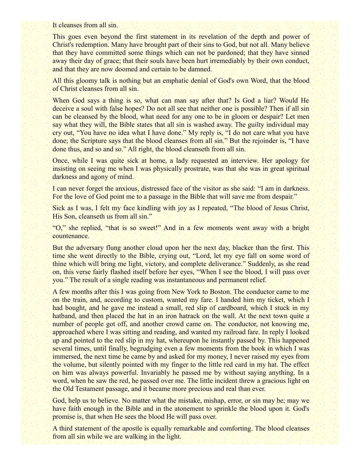It cleanses from all sin.

This goes even beyond the first statement in its revelation of the depth and power of Christ's redemption. Many have brought part of their sins to God, but not all. Many believe that they have committed some things which can not be pardoned; that they have sinned away their day of grace; that their souls have been hurt irremediably by their own conduct, and that they are now doomed and certain to be damned.

All this gloomy talk is nothing but an emphatic denial of God's own Word, that the blood of Christ cleanses from all sin.

When God says a thing is so, what can man say after that? Is God a liar? Would He deceive a soul with false hopes? Do not all see that neither one is possible? Then if all sin can be cleansed by the blood, what need for any one to be in gloom or despair? Let men say what they will, the Bible states that all sin is washed away. The guilty individual may cry out, "You have no idea what I have done." My reply is, "I do not care what you have done; the Scripture says that the blood cleanses from all sin." But the rejoinder is, "I have done thus, and so and so." All right, the blood cleanseth from all sin.

Once, while I was quite sick at home, a lady requested an interview. Her apology for insisting on seeing me when I was physically prostrate, was that she was in great spiritual darkness and agony of mind.

I can never forget the anxious, distressed face of the visitor as she said: "I am in darkness. For the love of God point me to a passage in the Bible that will save me from despair."

Sick as I was, I felt my face kindling with joy as I repeated, "The blood of Jesus Christ, His Son, cleanseth us from all sin."

"O," she replied, "that is so sweet!" And in a few moments went away with a bright countenance.

But the adversary flung another cloud upon her the next day, blacker than the first. This time she went directly to the Bible, crying out, "Lord, let my eye fall on some word of thine which will bring me light, victory, and complete deliverance." Suddenly, as she read on, this verse fairly flashed itself before her eyes, "When I see the blood, I will pass over you." The result of a single reading was instantaneous and permanent relief.

A few months after this I was going from New York to Boston. The conductor came to me on the train, and, according to custom, wanted my fare. I handed him my ticket, which I had bought, and he gave me instead a small, red slip of cardboard, which I stuck in my hatband, and then placed the hat in an iron hatrack on the wall. At the next town quite a number of people got off, and another crowd came on. The conductor, not knowing me, approached where I was sitting and reading, and wanted my railroad fare. In reply I looked up and pointed to the red slip in my hat, whereupon he instantly passed by. This happened several times, until finally, begrudging even a few moments from the book in which I was immersed, the next time he came by and asked for my money, I never raised my eyes from the volume, but silently pointed with my finger to the little red card in my hat. The effect on him was always powerful. Invariably he passed me by without saying anything. In a word, when he saw the red, he passed over me. The little incident threw a gracious light on the Old Testament passage, and it became more precious and real than ever.

God, help us to believe. No matter what the mistake, mishap, error, or sin may be; may we have faith enough in the Bible and in the atonement to sprinkle the blood upon it. God's promise is, that when He sees the blood He will pass over.

A third statement of the apostle is equally remarkable and comforting. The blood cleanses from all sin while we are walking in the light.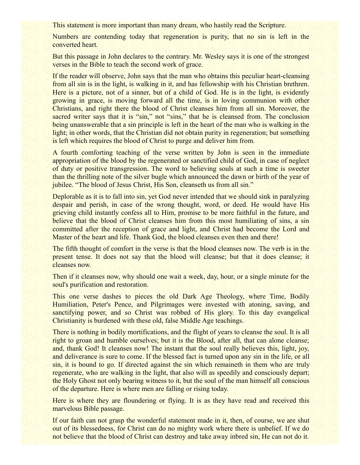This statement is more important than many dream, who hastily read the Scripture.

Numbers are contending today that regeneration is purity, that no sin is left in the converted heart.

But this passage in John declares to the contrary. Mr. Wesley says it is one of the strongest verses in the Bible to teach the second work of grace.

If the reader will observe, John says that the man who obtains this peculiar heart-cleansing from all sin is in the light, is walking in it, and has fellowship with his Christian brethren. Here is a picture, not of a sinner, but of a child of God. He is in the light, is evidently growing in grace, is moving forward all the time, is in loving communion with other Christians, and right there the blood of Christ cleanses him from all sin. Moreover, the sacred writer says that it is "sin," not "sins," that he is cleansed from. The conclusion being unanswerable that a sin principle is left in the heart of the man who is walking in the light; in other words, that the Christian did not obtain purity in regeneration; but something is left which requires the blood of Christ to purge and deliver him from.

A fourth comforting teaching of the verse written by John is seen in the immediate appropriation of the blood by the regenerated or sanctified child of God, in case of neglect of duty or positive transgression. The word to believing souls at such a time is sweeter than the thrilling note of the silver bugle which announced the dawn or birth of the year of jubilee. "The blood of Jesus Christ, His Son, cleanseth us from all sin."

Deplorable as it is to fall into sin, yet God never intended that we should sink in paralyzing despair and perish, in case of the wrong thought, word, or deed. He would have His grieving child instantly confess all to Him, promise to be more faithful in the future, and believe that the blood of Christ cleanses him from this most humiliating of sins, a sin committed after the reception of grace and light, and Christ had become the Lord and Master of the heart and life. Thank God, the blood cleanses even then and there!

The fifth thought of comfort in the verse is that the blood cleanses now. The verb is in the present tense. It does not say that the blood will cleanse; but that it does cleanse; it cleanses now.

Then if it cleanses now, why should one wait a week, day, hour, or a single minute for the soul's purification and restoration.

This one verse dashes to pieces the old Dark Age Theology, where Time, Bodily Humiliation, Peter's Pence, and Pilgrimages were invested with atoning, saving, and sanctifying power, and so Christ was robbed of His glory. To this day evangelical Christianity is burdened with these old, false Middle Age teachings.

There is nothing in bodily mortifications, and the flight of years to cleanse the soul. It is all right to groan and humble ourselves; but it is the Blood, after all, that can alone cleanse; and, thank God! It cleanses now! The instant that the soul really believes this, light, joy, and deliverance is sure to come. If the blessed fact is turned upon any sin in the life, or all sin, it is bound to go. If directed against the sin which remaineth in them who are truly regenerate, who are walking in the light, that also will as speedily and consciously depart; the Holy Ghost not only bearing witness to it, but the soul of the man himself all conscious of the departure. Here is where men are falling or rising today.

Here is where they are floundering or flying. It is as they have read and received this marvelous Bible passage.

If our faith can not grasp the wonderful statement made in it, then, of course, we are shut out of its blessedness, for Christ can do no mighty work where there is unbelief. If we do not believe that the blood of Christ can destroy and take away inbred sin, He can not do it.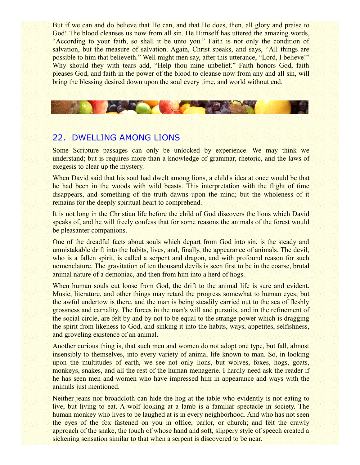But if we can and do believe that He can, and that He does, then, all glory and praise to God! The blood cleanses us now from all sin. He Himself has uttered the amazing words, "According to your faith, so shall it be unto you." Faith is not only the condition of salvation, but the measure of salvation. Again, Christ speaks, and says, "All things are possible to him that believeth." Well might men say, after this utterance, "Lord, I believe!" Why should they with tears add, "Help thou mine unbelief." Faith honors God, faith pleases God, and faith in the power of the blood to cleanse now from any and all sin, will bring the blessing desired down upon the soul every time, and world without end.



## 22. DWELLING AMONG LIONS

Some Scripture passages can only be unlocked by experience. We may think we understand; but is requires more than a knowledge of grammar, rhetoric, and the laws of exegesis to clear up the mystery.

When David said that his soul had dwelt among lions, a child's idea at once would be that he had been in the woods with wild beasts. This interpretation with the flight of time disappears, and something of the truth dawns upon the mind; but the wholeness of it remains for the deeply spiritual heart to comprehend.

It is not long in the Christian life before the child of God discovers the lions which David speaks of, and he will freely confess that for some reasons the animals of the forest would be pleasanter companions.

One of the dreadful facts about souls which depart from God into sin, is the steady and unmistakable drift into the habits, lives, and, finally, the appearance of animals. The devil, who is a fallen spirit, is called a serpent and dragon, and with profound reason for such nomenclature. The gravitation of ten thousand devils is seen first to be in the coarse, brutal animal nature of a demoniac, and then from him into a herd of hogs.

When human souls cut loose from God, the drift to the animal life is sure and evident. Music, literature, and other things may retard the progress somewhat to human eyes; but the awful undertow is there, and the man is being steadily carried out to the sea of fleshly grossness and carnality. The forces in the man's will and pursuits, and in the refinement of the social circle, are felt by and by not to be equal to the strange power which is dragging the spirit from likeness to God, and sinking it into the habits, ways, appetites, selfishness, and groveling existence of an animal.

Another curious thing is, that such men and women do not adopt one type, but fall, almost insensibly to themselves, into every variety of animal life known to man. So, in looking upon the multitudes of earth, we see not only lions, but wolves, foxes, hogs, goats, monkeys, snakes, and all the rest of the human menagerie. I hardly need ask the reader if he has seen men and women who have impressed him in appearance and ways with the animals just mentioned.

Neither jeans nor broadcloth can hide the hog at the table who evidently is not eating to live, but living to eat. A wolf looking at a lamb is a familiar spectacle in society. The human monkey who lives to be laughed at is in every neighborhood. And who has not seen the eyes of the fox fastened on you in office, parlor, or church; and felt the crawly approach of the snake, the touch of whose hand and soft, slippery style of speech created a sickening sensation similar to that when a serpent is discovered to be near.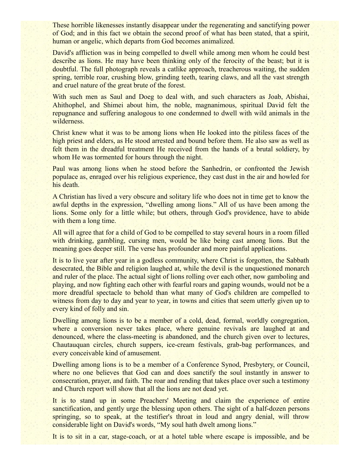These horrible likenesses instantly disappear under the regenerating and sanctifying power of God; and in this fact we obtain the second proof of what has been stated, that a spirit, human or angelic, which departs from God becomes animalized.

David's affliction was in being compelled to dwell while among men whom he could best describe as lions. He may have been thinking only of the ferocity of the beast; but it is doubtful. The full photograph reveals a catlike approach, treacherous waiting, the sudden spring, terrible roar, crushing blow, grinding teeth, tearing claws, and all the vast strength and cruel nature of the great brute of the forest.

With such men as Saul and Doeg to deal with, and such characters as Joab, Abishai, Ahithophel, and Shimei about him, the noble, magnanimous, spiritual David felt the repugnance and suffering analogous to one condemned to dwell with wild animals in the wilderness.

Christ knew what it was to be among lions when He looked into the pitiless faces of the high priest and elders, as He stood arrested and bound before them. He also saw as well as felt them in the dreadful treatment He received from the hands of a brutal soldiery, by whom He was tormented for hours through the night.

Paul was among lions when he stood before the Sanhedrin, or confronted the Jewish populace as, enraged over his religious experience, they cast dust in the air and howled for his death.

A Christian has lived a very obscure and solitary life who does not in time get to know the awful depths in the expression, "dwelling among lions." All of us have been among the lions. Some only for a little while; but others, through God's providence, have to abide with them a long time.

All will agree that for a child of God to be compelled to stay several hours in a room filled with drinking, gambling, cursing men, would be like being cast among lions. But the meaning goes deeper still. The verse has profounder and more painful applications.

It is to live year after year in a godless community, where Christ is forgotten, the Sabbath desecrated, the Bible and religion laughed at, while the devil is the unquestioned monarch and ruler of the place. The actual sight of lions rolling over each other, now gamboling and playing, and now fighting each other with fearful roars and gaping wounds, would not be a more dreadful spectacle to behold than what many of God's children are compelled to witness from day to day and year to year, in towns and cities that seem utterly given up to every kind of folly and sin.

Dwelling among lions is to be a member of a cold, dead, formal, worldly congregation, where a conversion never takes place, where genuine revivals are laughed at and denounced, where the class-meeting is abandoned, and the church given over to lectures, Chautauquan circles, church suppers, ice-cream festivals, grab-bag performances, and every conceivable kind of amusement.

Dwelling among lions is to be a member of a Conference Synod, Presbytery, or Council, where no one believes that God can and does sanctify the soul instantly in answer to consecration, prayer, and faith. The roar and rending that takes place over such a testimony and Church report will show that all the lions are not dead yet.

It is to stand up in some Preachers' Meeting and claim the experience of entire sanctification, and gently urge the blessing upon others. The sight of a half-dozen persons springing, so to speak, at the testifier's throat in loud and angry denial, will throw considerable light on David's words, "My soul hath dwelt among lions."

It is to sit in a car, stage-coach, or at a hotel table where escape is impossible, and be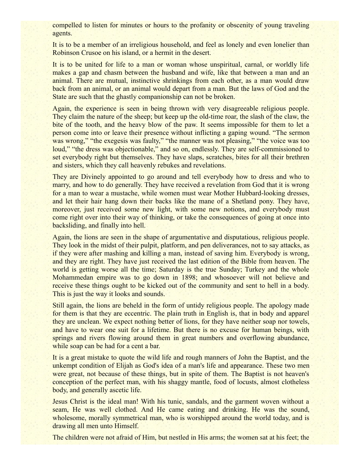compelled to listen for minutes or hours to the profanity or obscenity of young traveling agents.

It is to be a member of an irreligious household, and feel as lonely and even lonelier than Robinson Crusoe on his island, or a hermit in the desert.

It is to be united for life to a man or woman whose unspiritual, carnal, or worldly life makes a gap and chasm between the husband and wife, like that between a man and an animal. There are mutual, instinctive shrinkings from each other, as a man would draw back from an animal, or an animal would depart from a man. But the laws of God and the State are such that the ghastly companionship can not be broken.

Again, the experience is seen in being thrown with very disagreeable religious people. They claim the nature of the sheep; but keep up the old-time roar, the slash of the claw, the bite of the tooth, and the heavy blow of the paw. It seems impossible for them to let a person come into or leave their presence without inflicting a gaping wound. "The sermon was wrong," "the exegesis was faulty," "the manner was not pleasing," "the voice was too loud," "the dress was objectionable," and so on, endlessly. They are self-commissioned to set everybody right but themselves. They have slaps, scratches, bites for all their brethren and sisters, which they call heavenly rebukes and revelations.

They are Divinely appointed to go around and tell everybody how to dress and who to marry, and how to do generally. They have received a revelation from God that it is wrong for a man to wear a mustache, while women must wear Mother Hubbard-looking dresses, and let their hair hang down their backs like the mane of a Shetland pony. They have, moreover, just received some new light, with some new notions, and everybody must come right over into their way of thinking, or take the consequences of going at once into backsliding, and finally into hell.

Again, the lions are seen in the shape of argumentative and disputatious, religious people. They look in the midst of their pulpit, platform, and pen deliverances, not to say attacks, as if they were after mashing and killing a man, instead of saving him. Everybody is wrong, and they are right. They have just received the last edition of the Bible from heaven. The world is getting worse all the time; Saturday is the true Sunday; Turkey and the whole Mohammedan empire was to go down in 1898; and whosoever will not believe and receive these things ought to be kicked out of the community and sent to hell in a body. This is just the way it looks and sounds.

Still again, the lions are beheld in the form of untidy religious people. The apology made for them is that they are eccentric. The plain truth in English is, that in body and apparel they are unclean. We expect nothing better of lions, for they have neither soap nor towels, and have to wear one suit for a lifetime. But there is no excuse for human beings, with springs and rivers flowing around them in great numbers and overflowing abundance, while soap can be had for a cent a bar.

It is a great mistake to quote the wild life and rough manners of John the Baptist, and the unkempt condition of Elijah as God's idea of a man's life and appearance. These two men were great, not because of these things, but in spite of them. The Baptist is not heaven's conception of the perfect man, with his shaggy mantle, food of locusts, almost clotheless body, and generally ascetic life.

Jesus Christ is the ideal man! With his tunic, sandals, and the garment woven without a seam, He was well clothed. And He came eating and drinking. He was the sound, wholesome, morally symmetrical man, who is worshipped around the world today, and is drawing all men unto Himself.

The children were not afraid of Him, but nestled in His arms; the women sat at his feet; the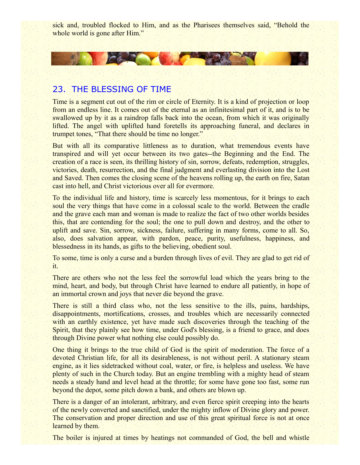sick and, troubled flocked to Him, and as the Pharisees themselves said, "Behold the whole world is gone after Him."

## 23. THE BLESSING OF TIME

CAR THE

Time is a segment cut out of the rim or circle of Eternity. It is a kind of projection or loop from an endless line. It comes out of the eternal as an infinitesimal part of it, and is to be swallowed up by it as a raindrop falls back into the ocean, from which it was originally lifted. The angel with uplifted hand foretells its approaching funeral, and declares in trumpet tones, "That there should be time no longer."

But with all its comparative littleness as to duration, what tremendous events have transpired and will yet occur between its two gates--the Beginning and the End. The creation of a race is seen, its thrilling history of sin, sorrow, defeats, redemption, struggles, victories, death, resurrection, and the final judgment and everlasting division into the Lost and Saved. Then comes the closing scene of the heavens rolling up, the earth on fire, Satan cast into hell, and Christ victorious over all for evermore.

To the individual life and history, time is scarcely less momentous, for it brings to each soul the very things that have come in a colossal scale to the world. Between the cradle and the grave each man and woman is made to realize the fact of two other worlds besides this, that are contending for the soul; the one to pull down and destroy, and the other to uplift and save. Sin, sorrow, sickness, failure, suffering in many forms, come to all. So, also, does salvation appear, with pardon, peace, purity, usefulness, happiness, and blessedness in its hands, as gifts to the believing, obedient soul.

To some, time is only a curse and a burden through lives of evil. They are glad to get rid of it.

There are others who not the less feel the sorrowful load which the years bring to the mind, heart, and body, but through Christ have learned to endure all patiently, in hope of an immortal crown and joys that never die beyond the grave.

There is still a third class who, not the less sensitive to the ills, pains, hardships, disappointments, mortifications, crosses, and troubles which are necessarily connected with an earthly existence, yet have made such discoveries through the teaching of the Spirit, that they plainly see how time, under God's blessing, is a friend to grace, and does through Divine power what nothing else could possibly do.

One thing it brings to the true child of God is the spirit of moderation. The force of a devoted Christian life, for all its desirableness, is not without peril. A stationary steam engine, as it lies sidetracked without coal, water, or fire, is helpless and useless. We have plenty of such in the Church today. But an engine trembling with a mighty head of steam needs a steady hand and level head at the throttle; for some have gone too fast, some run beyond the depot, some pitch down a bank, and others are blown up.

There is a danger of an intolerant, arbitrary, and even fierce spirit creeping into the hearts of the newly converted and sanctified, under the mighty inflow of Divine glory and power. The conservation and proper direction and use of this great spiritual force is not at once learned by them.

The boiler is injured at times by heatings not commanded of God, the bell and whistle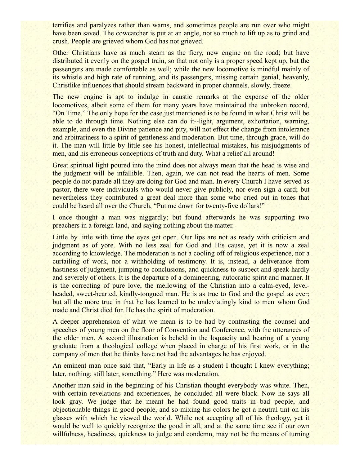terrifies and paralyzes rather than warns, and sometimes people are run over who might have been saved. The cowcatcher is put at an angle, not so much to lift up as to grind and crush. People are grieved whom God has not grieved.

Other Christians have as much steam as the fiery, new engine on the road; but have distributed it evenly on the gospel train, so that not only is a proper speed kept up, but the passengers are made comfortable as well; while the new locomotive is mindful mainly of its whistle and high rate of running, and its passengers, missing certain genial, heavenly, Christlike influences that should stream backward in proper channels, slowly, freeze.

The new engine is apt to indulge in caustic remarks at the expense of the older locomotives, albeit some of them for many years have maintained the unbroken record, "On Time." The only hope for the case just mentioned is to be found in what Christ will be able to do through time. Nothing else can do it--light, argument, exhortation, warning, example, and even the Divine patience and pity, will not effect the change from intolerance and arbitrariness to a spirit of gentleness and moderation. But time, through grace, will do it. The man will little by little see his honest, intellectual mistakes, his misjudgments of men, and his erroneous conceptions of truth and duty. What a relief all around!

Great spiritual light poured into the mind does not always mean that the head is wise and the judgment will be infallible. Then, again, we can not read the hearts of men. Some people do not parade all they are doing for God and man. In every Church I have served as pastor, there were individuals who would never give publicly, nor even sign a card; but nevertheless they contributed a great deal more than some who cried out in tones that could be heard all over the Church, "Put me down for twenty-five dollars!"

I once thought a man was niggardly; but found afterwards he was supporting two preachers in a foreign land, and saying nothing about the matter.

Little by little with time the eyes get open. Our lips are not as ready with criticism and judgment as of yore. With no less zeal for God and His cause, yet it is now a zeal according to knowledge. The moderation is not a cooling off of religious experience, nor a curtailing of work, nor a withholding of testimony. It is, instead, a deliverance from hastiness of judgment, jumping to conclusions, and quickness to suspect and speak hardly and severely of others. It is the departure of a domineering, autocratic spirit and manner. It is the correcting of pure love, the mellowing of the Christian into a calm-eyed, levelheaded, sweet-hearted, kindly-tongued man. He is as true to God and the gospel as ever; but all the more true in that he has learned to be undeviatingly kind to men whom God made and Christ died for. He has the spirit of moderation.

A deeper apprehension of what we mean is to be had by contrasting the counsel and speeches of young men on the floor of Convention and Conference, with the utterances of the older men. A second illustration is beheld in the loquacity and bearing of a young graduate from a theological college when placed in charge of his first work, or in the company of men that he thinks have not had the advantages he has enjoyed.

An eminent man once said that, "Early in life as a student I thought I knew everything; later, nothing; still later, something." Here was moderation.

Another man said in the beginning of his Christian thought everybody was white. Then, with certain revelations and experiences, he concluded all were black. Now he says all look gray. We judge that he meant he had found good traits in bad people, and objectionable things in good people, and so mixing his colors he got a neutral tint on his glasses with which he viewed the world. While not accepting all of his theology, yet it would be well to quickly recognize the good in all, and at the same time see if our own willfulness, headiness, quickness to judge and condemn, may not be the means of turning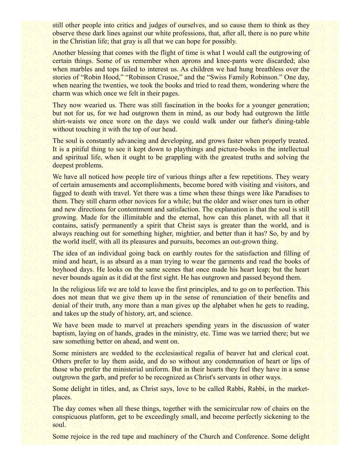still other people into critics and judges of ourselves, and so cause them to think as they observe these dark lines against our white professions, that, after all, there is no pure white in the Christian life; that gray is all that we can hope for possibly.

Another blessing that comes with the flight of time is what I would call the outgrowing of certain things. Some of us remember when aprons and knee-pants were discarded; also when marbles and tops failed to interest us. As children we had hung breathless over the stories of "Robin Hood," "Robinson Crusoe," and the "Swiss Family Robinson." One day, when nearing the twenties, we took the books and tried to read them, wondering where the charm was which once we felt in their pages.

They now wearied us. There was still fascination in the books for a younger generation; but not for us, for we had outgrown them in mind, as our body had outgrown the little shirt-waists we once wore on the days we could walk under our father's dining-table without touching it with the top of our head.

The soul is constantly advancing and developing, and grows faster when properly treated. It is a pitiful thing to see it kept down to playthings and picture-books in the intellectual and spiritual life, when it ought to be grappling with the greatest truths and solving the deepest problems.

We have all noticed how people tire of various things after a few repetitions. They weary of certain amusements and accomplishments, become bored with visiting and visitors, and fagged to death with travel. Yet there was a time when these things were like Paradises to them. They still charm other novices for a while; but the older and wiser ones turn in other and new directions for contentment and satisfaction. The explanation is that the soul is still growing. Made for the illimitable and the eternal, how can this planet, with all that it contains, satisfy permanently a spirit that Christ says is greater than the world, and is always reaching out for something higher, mightier, and better than it has? So, by and by the world itself, with all its pleasures and pursuits, becomes an out-grown thing.

The idea of an individual going back on earthly routes for the satisfaction and filling of mind and heart, is as absurd as a man trying to wear the garments and read the books of boyhood days. He looks on the same scenes that once made his heart leap; but the heart never bounds again as it did at the first sight. He has outgrown and passed beyond them.

In the religious life we are told to leave the first principles, and to go on to perfection. This does not mean that we give them up in the sense of renunciation of their benefits and denial of their truth, any more than a man gives up the alphabet when he gets to reading, and takes up the study of history, art, and science.

We have been made to marvel at preachers spending years in the discussion of water baptism, laying on of hands, grades in the ministry, etc. Time was we tarried there; but we saw something better on ahead, and went on.

Some ministers are wedded to the ecclesiastical regalia of beaver hat and clerical coat. Others prefer to lay them aside, and do so without any condemnation of heart or lips of those who prefer the ministerial uniform. But in their hearts they feel they have in a sense outgrown the garb, and prefer to be recognized as Christ's servants in other ways.

Some delight in titles, and, as Christ says, love to be called Rabbi, Rabbi, in the marketplaces.

The day comes when all these things, together with the semicircular row of chairs on the conspicuous platform, get to be exceedingly small, and become perfectly sickening to the soul.

Some rejoice in the red tape and machinery of the Church and Conference. Some delight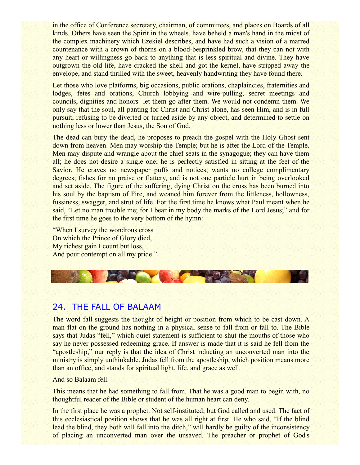in the office of Conference secretary, chairman, of committees, and places on Boards of all kinds. Others have seen the Spirit in the wheels, have beheld a man's hand in the midst of the complex machinery which Ezekiel describes, and have had such a vision of a marred countenance with a crown of thorns on a blood-besprinkled brow, that they can not with any heart or willingness go back to anything that is less spiritual and divine. They have outgrown the old life, have cracked the shell and got the kernel, have stripped away the envelope, and stand thrilled with the sweet, heavenly handwriting they have found there.

Let those who love platforms, big occasions, public orations, chaplaincies, fraternities and lodges, fetes and orations, Church lobbying and wire-pulling, secret meetings and councils, dignities and honors--let them go after them. We would not condemn them. We only say that the soul, all-panting for Christ and Christ alone, has seen Him, and is in full pursuit, refusing to be diverted or turned aside by any object, and determined to settle on nothing less or lower than Jesus, the Son of God.

The dead can bury the dead, he proposes to preach the gospel with the Holy Ghost sent down from heaven. Men may worship the Temple; but he is after the Lord of the Temple. Men may dispute and wrangle about the chief seats in the synagogue; they can have them all; he does not desire a single one; he is perfectly satisfied in sitting at the feet of the Savior. He craves no newspaper puffs and notices; wants no college complimentary degrees; fishes for no praise or flattery, and is not one particle hurt in being overlooked and set aside. The figure of the suffering, dying Christ on the cross has been burned into his soul by the baptism of Fire, and weaned him forever from the littleness, hollowness, fussiness, swagger, and strut of life. For the first time he knows what Paul meant when he said, "Let no man trouble me; for I bear in my body the marks of the Lord Jesus;" and for the first time he goes to the very bottom of the hymn:

"When I survey the wondrous cross On which the Prince of Glory died, My richest gain I count but loss, And pour contempt on all my pride."



### 24. THE FALL OF BALAAM

The word fall suggests the thought of height or position from which to be cast down. A man flat on the ground has nothing in a physical sense to fall from or fall to. The Bible says that Judas "fell," which quiet statement is sufficient to shut the mouths of those who say he never possessed redeeming grace. If answer is made that it is said he fell from the "apostleship," our reply is that the idea of Christ inducting an unconverted man into the ministry is simply unthinkable. Judas fell from the apostleship, which position means more than an office, and stands for spiritual light, life, and grace as well.

And so Balaam fell.

This means that he had something to fall from. That he was a good man to begin with, no thoughtful reader of the Bible or student of the human heart can deny.

In the first place he was a prophet. Not self-instituted; but God called and used. The fact of this ecclesiastical position shows that he was all right at first. He who said, "If the blind lead the blind, they both will fall into the ditch," will hardly be guilty of the inconsistency of placing an unconverted man over the unsaved. The preacher or prophet of God's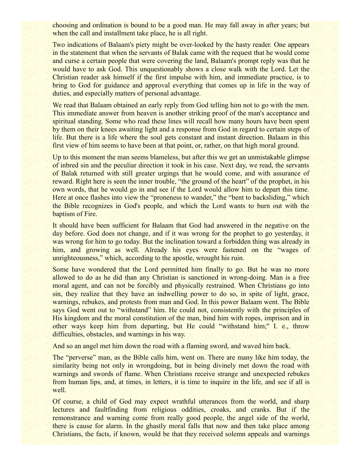choosing and ordination is bound to be a good man. He may fall away in after years; but when the call and installment take place, he is all right.

Two indications of Balaam's piety might be over-looked by the hasty reader. One appears in the statement that when the servants of Balak came with the request that he would come and curse a certain people that were covering the land, Balaam's prompt reply was that he would have to ask God. This unquestionably shows a close walk with the Lord. Let the Christian reader ask himself if the first impulse with him, and immediate practice, is to bring to God for guidance and approval everything that comes up in life in the way of duties, and especially matters of personal advantage.

We read that Balaam obtained an early reply from God telling him not to go with the men. This immediate answer from heaven is another striking proof of the man's acceptance and spiritual standing. Some who read these lines will recall how many hours have been spent by them on their knees awaiting light and a response from God in regard to certain steps of life. But there is a life where the soul gets constant and instant direction. Balaam in this first view of him seems to have been at that point, or, rather, on that high moral ground.

Up to this moment the man seems blameless, but after this we get an unmistakable glimpse of inbred sin and the peculiar direction it took in his case. Next day, we read, the servants of Balak returned with still greater urgings that he would come, and with assurance of reward. Right here is seen the inner trouble, "the ground of the heart" of the prophet, in his own words, that he would go in and see if the Lord would allow him to depart this time. Here at once flashes into view the "proneness to wander," the "bent to backsliding," which the Bible recognizes in God's people, and which the Lord wants to burn out with the baptism of Fire.

It should have been sufficient for Balaam that God had answered in the negative on the day before. God does not change, and if it was wrong for the prophet to go yesterday, it was wrong for him to go today. But the inclination toward a forbidden thing was already in him, and growing as well. Already his eyes were fastened on the "wages of unrighteousness," which, according to the apostle, wrought his ruin.

Some have wondered that the Lord permitted him finally to go. But he was no more allowed to do as he did than any Christian is sanctioned in wrong-doing. Man is a free moral agent, and can not be forcibly and physically restrained. When Christians go into sin, they realize that they have an indwelling power to do so, in spite of light, grace, warnings, rebukes, and protests from man and God. In this power Balaam went. The Bible says God went out to "withstand" him. He could not, consistently with the principles of His kingdom and the moral constitution of the man, bind him with ropes, imprison and in other ways keep him from departing, but He could "withstand him;'' I. e., throw difficulties, obstacles, and warnings in his way.

And so an angel met him down the road with a flaming sword, and waved him back.

The "perverse" man, as the Bible calls him, went on. There are many like him today, the similarity being not only in wrongdoing, but in being divinely met down the road with warnings and swords of flame. When Christians receive strange and unexpected rebukes from human lips, and, at times, in letters, it is time to inquire in the life, and see if all is well.

Of course, a child of God may expect wrathful utterances from the world, and sharp lectures and faultfinding from religious oddities, croaks, and cranks. But if the remonstrance and warning come from really good people, the angel side of the world, there is cause for alarm. In the ghastly moral falls that now and then take place among Christians, the facts, if known, would be that they received solemn appeals and warnings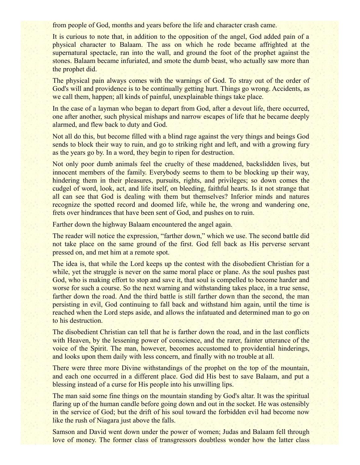from people of God, months and years before the life and character crash came.

It is curious to note that, in addition to the opposition of the angel, God added pain of a physical character to Balaam. The ass on which he rode became affrighted at the supernatural spectacle, ran into the wall, and ground the foot of the prophet against the stones. Balaam became infuriated, and smote the dumb beast, who actually saw more than the prophet did.

The physical pain always comes with the warnings of God. To stray out of the order of God's will and providence is to be continually getting hurt. Things go wrong. Accidents, as we call them, happen; all kinds of painful, unexplainable things take place.

In the case of a layman who began to depart from God, after a devout life, there occurred, one after another, such physical mishaps and narrow escapes of life that he became deeply alarmed, and flew back to duty and God.

Not all do this, but become filled with a blind rage against the very things and beings God sends to block their way to ruin, and go to striking right and left, and with a growing fury as the years go by. In a word, they begin to ripen for destruction.

Not only poor dumb animals feel the cruelty of these maddened, backslidden lives, but innocent members of the family. Everybody seems to them to be blocking up their way, hindering them in their pleasures, pursuits, rights, and privileges; so down comes the cudgel of word, look, act, and life itself, on bleeding, faithful hearts. Is it not strange that all can see that God is dealing with them but themselves? Inferior minds and natures recognize the spotted record and doomed life, while he, the wrong and wandering one, frets over hindrances that have been sent of God, and pushes on to ruin.

Farther down the highway Balaam encountered the angel again.

The reader will notice the expression, "farther down," which we use. The second battle did not take place on the same ground of the first. God fell back as His perverse servant pressed on, and met him at a remote spot.

The idea is, that while the Lord keeps up the contest with the disobedient Christian for a while, yet the struggle is never on the same moral place or plane. As the soul pushes past God, who is making effort to stop and save it, that soul is compelled to become harder and worse for such a course. So the next warning and withstanding takes place, in a true sense, farther down the road. And the third battle is still farther down than the second, the man persisting in evil, God continuing to fall back and withstand him again, until the time is reached when the Lord steps aside, and allows the infatuated and determined man to go on to his destruction.

The disobedient Christian can tell that he is farther down the road, and in the last conflicts with Heaven, by the lessening power of conscience, and the rarer, fainter utterance of the voice of the Spirit. The man, however, becomes accustomed to providential hinderings, and looks upon them daily with less concern, and finally with no trouble at all.

There were three more Divine withstandings of the prophet on the top of the mountain, and each one occurred in a different place. God did His best to save Balaam, and put a blessing instead of a curse for His people into his unwilling lips.

The man said some fine things on the mountain standing by God's altar. It was the spiritual flaring up of the human candle before going down and out in the socket. He was ostensibly in the service of God; but the drift of his soul toward the forbidden evil had become now like the rush of Niagara just above the falls.

Samson and David went down under the power of women; Judas and Balaam fell through love of money. The former class of transgressors doubtless wonder how the latter class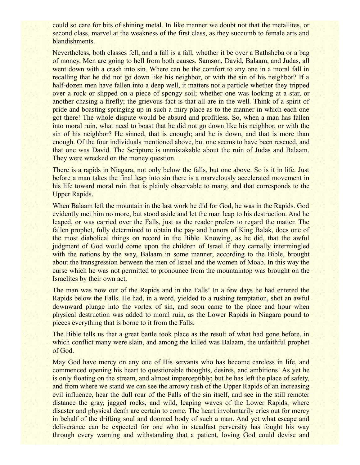could so care for bits of shining metal. In like manner we doubt not that the metallites, or second class, marvel at the weakness of the first class, as they succumb to female arts and blandishments.

Nevertheless, both classes fell, and a fall is a fall, whether it be over a Bathsheba or a bag of money. Men are going to hell from both causes. Samson, David, Balaam, and Judas, all went down with a crash into sin. Where can be the comfort to any one in a moral fall in recalling that he did not go down like his neighbor, or with the sin of his neighbor? If a half-dozen men have fallen into a deep well, it matters not a particle whether they tripped over a rock or slipped on a piece of spongy soil; whether one was looking at a star, or another chasing a firefly; the grievous fact is that all are in the well. Think of a spirit of pride and boasting springing up in such a miry place as to the manner in which each one got there! The whole dispute would be absurd and profitless. So, when a man has fallen into moral ruin, what need to boast that he did not go down like his neighbor, or with the sin of his neighbor? He sinned, that is enough; and he is down, and that is more than enough. Of the four individuals mentioned above, but one seems to have been rescued, and that one was David. The Scripture is unmistakable about the ruin of Judas and Balaam. They were wrecked on the money question.

There is a rapids in Niagara, not only below the falls, but one above. So is it in life. Just before a man takes the final leap into sin there is a marvelously accelerated movement in his life toward moral ruin that is plainly observable to many, and that corresponds to the Upper Rapids.

When Balaam left the mountain in the last work he did for God, he was in the Rapids. God evidently met him no more, but stood aside and let the man leap to his destruction. And he leaped, or was carried over the Falls, just as the reader prefers to regard the matter. The fallen prophet, fully determined to obtain the pay and honors of King Balak, does one of the most diabolical things on record in the Bible. Knowing, as he did, that the awful judgment of God would come upon the children of Israel if they carnally intermingled with the nations by the way, Balaam in some manner, according to the Bible, brought about the transgression between the men of Israel and the women of Moab. In this way the curse which he was not permitted to pronounce from the mountaintop was brought on the Israelites by their own act.

The man was now out of the Rapids and in the Falls! In a few days he had entered the Rapids below the Falls. He had, in a word, yielded to a rushing temptation, shot an awful downward plunge into the vortex of sin, and soon came to the place and hour when physical destruction was added to moral ruin, as the Lower Rapids in Niagara pound to pieces everything that is borne to it from the Falls.

The Bible tells us that a great battle took place as the result of what had gone before, in which conflict many were slain, and among the killed was Balaam, the unfaithful prophet of God.

May God have mercy on any one of His servants who has become careless in life, and commenced opening his heart to questionable thoughts, desires, and ambitions! As yet he is only floating on the stream, and almost imperceptibly; but he has left the place of safety, and from where we stand we can see the arrowy rush of the Upper Rapids of an increasing evil influence, hear the dull roar of the Falls of the sin itself, and see in the still remoter distance the gray, jagged rocks, and wild, leaping waves of the Lower Rapids, where disaster and physical death are certain to come. The heart involuntarily cries out for mercy in behalf of the drifting soul and doomed body of such a man. And yet what escape and deliverance can be expected for one who in steadfast perversity has fought his way through every warning and withstanding that a patient, loving God could devise and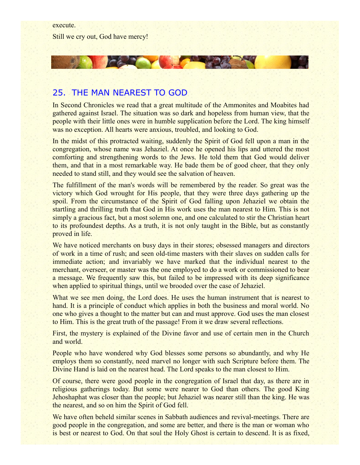execute. Still we cry out, God have mercy!

### 25. THE MAN NEAREST TO GOD

CALL ON

In Second Chronicles we read that a great multitude of the Ammonites and Moabites had gathered against Israel. The situation was so dark and hopeless from human view, that the people with their little ones were in humble supplication before the Lord. The king himself was no exception. All hearts were anxious, troubled, and looking to God.

**ANDREW YOU** 

In the midst of this protracted waiting, suddenly the Spirit of God fell upon a man in the congregation, whose name was Jehaziel. At once he opened his lips and uttered the most comforting and strengthening words to the Jews. He told them that God would deliver them, and that in a most remarkable way. He bade them be of good cheer, that they only needed to stand still, and they would see the salvation of heaven.

The fulfillment of the man's words will be remembered by the reader. So great was the victory which God wrought for His people, that they were three days gathering up the spoil. From the circumstance of the Spirit of God falling upon Jehaziel we obtain the startling and thrilling truth that God in His work uses the man nearest to Him. This is not simply a gracious fact, but a most solemn one, and one calculated to stir the Christian heart to its profoundest depths. As a truth, it is not only taught in the Bible, but as constantly proved in life.

We have noticed merchants on busy days in their stores; obsessed managers and directors of work in a time of rush; and seen old-time masters with their slaves on sudden calls for immediate action; and invariably we have marked that the individual nearest to the merchant, overseer, or master was the one employed to do a work or commissioned to bear a message. We frequently saw this, but failed to be impressed with its deep significance when applied to spiritual things, until we brooded over the case of Jehaziel.

What we see men doing, the Lord does. He uses the human instrument that is nearest to hand. It is a principle of conduct which applies in both the business and moral world. No one who gives a thought to the matter but can and must approve. God uses the man closest to Him. This is the great truth of the passage! From it we draw several reflections.

First, the mystery is explained of the Divine favor and use of certain men in the Church and world.

People who have wondered why God blesses some persons so abundantly, and why He employs them so constantly, need marvel no longer with such Scripture before them. The Divine Hand is laid on the nearest head. The Lord speaks to the man closest to Him.

Of course, there were good people in the congregation of Israel that day, as there are in religious gatherings today. But some were nearer to God than others. The good King Jehoshaphat was closer than the people; but Jehaziel was nearer still than the king. He was the nearest, and so on him the Spirit of God fell.

We have often beheld similar scenes in Sabbath audiences and revival-meetings. There are good people in the congregation, and some are better, and there is the man or woman who is best or nearest to God. On that soul the Holy Ghost is certain to descend. It is as fixed,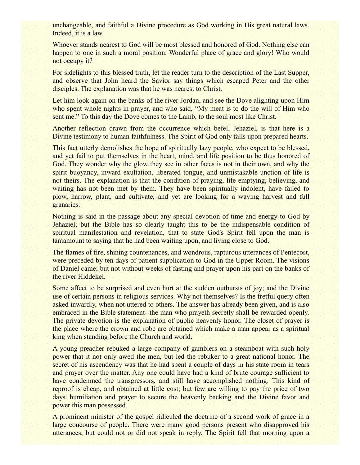unchangeable, and faithful a Divine procedure as God working in His great natural laws. Indeed, it is a law.

Whoever stands nearest to God will be most blessed and honored of God. Nothing else can happen to one in such a moral position. Wonderful place of grace and glory! Who would not occupy it?

For sidelights to this blessed truth, let the reader turn to the description of the Last Supper, and observe that John heard the Savior say things which escaped Peter and the other disciples. The explanation was that he was nearest to Christ.

Let him look again on the banks of the river Jordan, and see the Dove alighting upon Him who spent whole nights in prayer, and who said, "My meat is to do the will of Him who sent me." To this day the Dove comes to the Lamb, to the soul most like Christ.

Another reflection drawn from the occurrence which befell Jehaziel, is that here is a Divine testimony to human faithfulness. The Spirit of God only falls upon prepared hearts.

This fact utterly demolishes the hope of spiritually lazy people, who expect to be blessed, and yet fail to put themselves in the heart, mind, and life position to be thus honored of God. They wonder why the glow they see in other faces is not in their own, and why the spirit buoyancy, inward exultation, liberated tongue, and unmistakable unction of life is not theirs. The explanation is that the condition of praying, life emptying, believing, and waiting has not been met by them. They have been spiritually indolent, have failed to plow, harrow, plant, and cultivate, and yet are looking for a waving harvest and full granaries.

Nothing is said in the passage about any special devotion of time and energy to God by Jehaziel; but the Bible has so clearly taught this to be the indispensable condition of spiritual manifestation and revelation, that to state God's Spirit fell upon the man is tantamount to saying that he had been waiting upon, and living close to God.

The flames of fire, shining countenances, and wondrous, rapturous utterances of Pentecost, were preceded by ten days of patient supplication to God in the Upper Room. The visions of Daniel came; but not without weeks of fasting and prayer upon his part on the banks of the river Hiddekel.

Some affect to be surprised and even hurt at the sudden outbursts of joy; and the Divine use of certain persons in religious services. Why not themselves? Is the fretful query often asked inwardly, when not uttered to others. The answer has already been given, and is also embraced in the Bible statement--the man who prayeth secretly shall be rewarded openly. The private devotion is the explanation of public heavenly honor. The closet of prayer is the place where the crown and robe are obtained which make a man appear as a spiritual king when standing before the Church and world.

A young preacher rebuked a large company of gamblers on a steamboat with such holy power that it not only awed the men, but led the rebuker to a great national honor. The secret of his ascendency was that he had spent a couple of days in his state room in tears and prayer over the matter. Any one could have had a kind of brute courage sufficient to have condemned the transgressors, and still have accomplished nothing. This kind of reproof is cheap, and obtained at little cost; but few are willing to pay the price of two days' humiliation and prayer to secure the heavenly backing and the Divine favor and power this man possessed.

A prominent minister of the gospel ridiculed the doctrine of a second work of grace in a large concourse of people. There were many good persons present who disapproved his utterances, but could not or did not speak in reply. The Spirit fell that morning upon a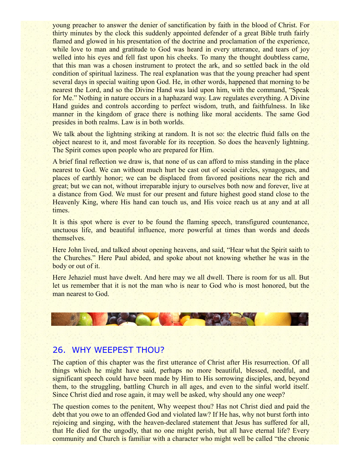young preacher to answer the denier of sanctification by faith in the blood of Christ. For thirty minutes by the clock this suddenly appointed defender of a great Bible truth fairly flamed and glowed in his presentation of the doctrine and proclamation of the experience, while love to man and gratitude to God was heard in every utterance, and tears of joy welled into his eyes and fell fast upon his cheeks. To many the thought doubtless came, that this man was a chosen instrument to protect the ark, and so settled back in the old condition of spiritual laziness. The real explanation was that the young preacher had spent several days in special waiting upon God. He, in other words, happened that morning to be nearest the Lord, and so the Divine Hand was laid upon him, with the command, "Speak for Me." Nothing in nature occurs in a haphazard way. Law regulates everything. A Divine Hand guides and controls according to perfect wisdom, truth, and faithfulness. In like manner in the kingdom of grace there is nothing like moral accidents. The same God presides in both realms. Law is in both worlds.

We talk about the lightning striking at random. It is not so: the electric fluid falls on the object nearest to it, and most favorable for its reception. So does the heavenly lightning. The Spirit comes upon people who are prepared for Him.

A brief final reflection we draw is, that none of us can afford to miss standing in the place nearest to God. We can without much hurt be cast out of social circles, synagogues, and places of earthly honor; we can be displaced from favored positions near the rich and great; but we can not, without irreparable injury to ourselves both now and forever, live at a distance from God. We must for our present and future highest good stand close to the Heavenly King, where His hand can touch us, and His voice reach us at any and at all times.

It is this spot where is ever to be found the flaming speech, transfigured countenance, unctuous life, and beautiful influence, more powerful at times than words and deeds themselves.

Here John lived, and talked about opening heavens, and said, "Hear what the Spirit saith to the Churches." Here Paul abided, and spoke about not knowing whether he was in the body or out of it.

Here Jehaziel must have dwelt. And here may we all dwell. There is room for us all. But let us remember that it is not the man who is near to God who is most honored, but the man nearest to God.



#### 26. WHY WEEPEST THOU?

The caption of this chapter was the first utterance of Christ after His resurrection. Of all things which he might have said, perhaps no more beautiful, blessed, needful, and significant speech could have been made by Him to His sorrowing disciples, and, beyond them, to the struggling, battling Church in all ages, and even to the sinful world itself. Since Christ died and rose again, it may well be asked, why should any one weep?

The question comes to the penitent, Why weepest thou? Has not Christ died and paid the debt that you owe to an offended God and violated law? If He has, why not burst forth into rejoicing and singing, with the heaven-declared statement that Jesus has suffered for all, that He died for the ungodly, that no one might perish, but all have eternal life? Every community and Church is familiar with a character who might well be called "the chronic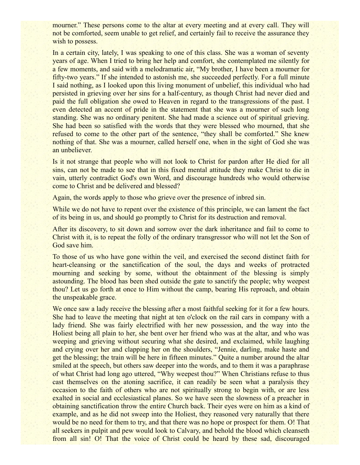mourner." These persons come to the altar at every meeting and at every call. They will not be comforted, seem unable to get relief, and certainly fail to receive the assurance they wish to possess.

In a certain city, lately, I was speaking to one of this class. She was a woman of seventy years of age. When I tried to bring her help and comfort, she contemplated me silently for a few moments, and said with a melodramatic air, "My brother, I have been a mourner for fifty-two years." If she intended to astonish me, she succeeded perfectly. For a full minute I said nothing, as I looked upon this living monument of unbelief, this individual who had persisted in grieving over her sins for a half-century, as though Christ had never died and paid the full obligation she owed to Heaven in regard to the transgressions of the past. I even detected an accent of pride in the statement that she was a mourner of such long standing. She was no ordinary penitent. She had made a science out of spiritual grieving. She had been so satisfied with the words that they were blessed who mourned, that she refused to come to the other part of the sentence, "they shall be comforted." She knew nothing of that. She was a mourner, called herself one, when in the sight of God she was an unbeliever.

Is it not strange that people who will not look to Christ for pardon after He died for all sins, can not be made to see that in this fixed mental attitude they make Christ to die in vain, utterly contradict God's own Word, and discourage hundreds who would otherwise come to Christ and be delivered and blessed?

Again, the words apply to those who grieve over the presence of inbred sin.

While we do not have to repent over the existence of this principle, we can lament the fact of its being in us, and should go promptly to Christ for its destruction and removal.

After its discovery, to sit down and sorrow over the dark inheritance and fail to come to Christ with it, is to repeat the folly of the ordinary transgressor who will not let the Son of God save him.

To those of us who have gone within the veil, and exercised the second distinct faith for heart-cleansing or the sanctification of the soul, the days and weeks of protracted mourning and seeking by some, without the obtainment of the blessing is simply astounding. The blood has been shed outside the gate to sanctify the people; why weepest thou? Let us go forth at once to Him without the camp, bearing His reproach, and obtain the unspeakable grace.

We once saw a lady receive the blessing after a most faithful seeking for it for a few hours. She had to leave the meeting that night at ten o'clock on the rail cars in company with a lady friend. She was fairly electrified with her new possession, and the way into the Holiest being all plain to her, she bent over her friend who was at the altar, and who was weeping and grieving without securing what she desired, and exclaimed, while laughing and crying over her and clapping her on the shoulders, "Jennie, darling, make haste and get the blessing; the train will be here in fifteen minutes." Quite a number around the altar smiled at the speech, but others saw deeper into the words, and to them it was a paraphrase of what Christ had long ago uttered, "Why weepest thou?" When Christians refuse to thus cast themselves on the atoning sacrifice, it can readily be seen what a paralysis they occasion to the faith of others who are not spiritually strong to begin with, or are less exalted in social and ecclesiastical planes. So we have seen the slowness of a preacher in obtaining sanctification throw the entire Church back. Their eyes were on him as a kind of example, and as he did not sweep into the Holiest, they reasoned very naturally that there would be no need for them to try, and that there was no hope or prospect for them. O! That all seekers in pulpit and pew would look to Calvary, and behold the blood which cleanseth from all sin! O! That the voice of Christ could be heard by these sad, discouraged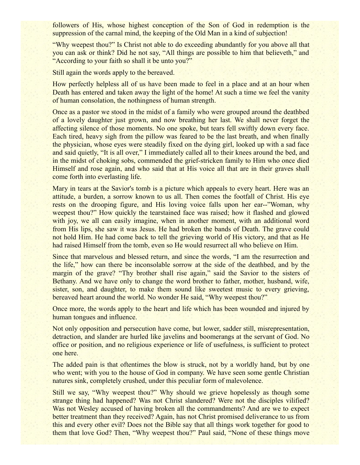followers of His, whose highest conception of the Son of God in redemption is the suppression of the carnal mind, the keeping of the Old Man in a kind of subjection!

"Why weepest thou?" Is Christ not able to do exceeding abundantly for you above all that you can ask or think? Did he not say, "All things are possible to him that believeth," and "According to your faith so shall it be unto you?"

Still again the words apply to the bereaved.

How perfectly helpless all of us have been made to feel in a place and at an hour when Death has entered and taken away the light of the home! At such a time we feel the vanity of human consolation, the nothingness of human strength.

Once as a pastor we stood in the midst of a family who were grouped around the deathbed of a lovely daughter just grown, and now breathing her last. We shall never forget the affecting silence of those moments. No one spoke, but tears fell swiftly down every face. Each tired, heavy sigh from the pillow was feared to be the last breath, and when finally the physician, whose eyes were steadily fixed on the dying girl, looked up with a sad face and said quietly, "It is all over," I immediately called all to their knees around the bed, and in the midst of choking sobs, commended the grief-stricken family to Him who once died Himself and rose again, and who said that at His voice all that are in their graves shall come forth into everlasting life.

Mary in tears at the Savior's tomb is a picture which appeals to every heart. Here was an attitude, a burden, a sorrow known to us all. Then comes the footfall of Christ. His eye rests on the drooping figure, and His loving voice falls upon her ear--"Woman, why weepest thou?" How quickly the tearstained face was raised; how it flashed and glowed with joy, we all can easily imagine, when in another moment, with an additional word from His lips, she saw it was Jesus. He had broken the bands of Death. The grave could not hold Him. He had come back to tell the grieving world of His victory, and that as He had raised Himself from the tomb, even so He would resurrect all who believe on Him.

Since that marvelous and blessed return, and since the words, "I am the resurrection and the life," how can there be inconsolable sorrow at the side of the deathbed, and by the margin of the grave? "Thy brother shall rise again," said the Savior to the sisters of Bethany. And we have only to change the word brother to father, mother, husband, wife, sister, son, and daughter, to make them sound like sweetest music to every grieving, bereaved heart around the world. No wonder He said, "Why weepest thou?"

Once more, the words apply to the heart and life which has been wounded and injured by human tongues and influence.

Not only opposition and persecution have come, but lower, sadder still, misrepresentation, detraction, and slander are hurled like javelins and boomerangs at the servant of God. No office or position, and no religious experience or life of usefulness, is sufficient to protect one here.

The added pain is that oftentimes the blow is struck, not by a worldly hand, but by one who went; with you to the house of God in company. We have seen some gentle Christian natures sink, completely crushed, under this peculiar form of malevolence.

Still we say, "Why weepest thou?" Why should we grieve hopelessly as though some strange thing had happened? Was not Christ slandered? Were not the disciples vilified? Was not Wesley accused of having broken all the commandments? And are we to expect better treatment than they received? Again, has not Christ promised deliverance to us from this and every other evil? Does not the Bible say that all things work together for good to them that love God? Then, "Why weepest thou?" Paul said, "None of these things move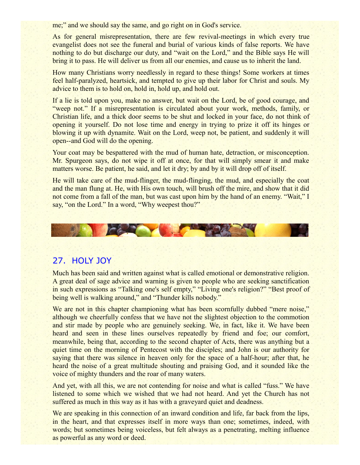me;" and we should say the same, and go right on in God's service.

As for general misrepresentation, there are few revival-meetings in which every true evangelist does not see the funeral and burial of various kinds of false reports. We have nothing to do but discharge our duty, and "wait on the Lord," and the Bible says He will bring it to pass. He will deliver us from all our enemies, and cause us to inherit the land.

How many Christians worry needlessly in regard to these things! Some workers at times feel half-paralyzed, heartsick, and tempted to give up their labor for Christ and souls. My advice to them is to hold on, hold in, hold up, and hold out.

If a lie is told upon you, make no answer, but wait on the Lord, be of good courage, and "weep not." If a misrepresentation is circulated about your work, methods, family, or Christian life, and a thick door seems to be shut and locked in your face, do not think of opening it yourself. Do not lose time and energy in trying to prize it off its hinges or blowing it up with dynamite. Wait on the Lord, weep not, be patient, and suddenly it will open--and God will do the opening.

Your coat may be bespattered with the mud of human hate, detraction, or misconception. Mr. Spurgeon says, do not wipe it off at once, for that will simply smear it and make matters worse. Be patient, he said, and let it dry; by and by it will drop off of itself.

He will take care of the mud-flinger, the mud-flinging, the mud, and especially the coat and the man flung at. He, with His own touch, will brush off the mire, and show that it did not come from a fall of the man, but was cast upon him by the hand of an enemy. "Wait," I say, "on the Lord." In a word, "Why weepest thou?"



# 27. HOLY JOY

Much has been said and written against what is called emotional or demonstrative religion. A great deal of sage advice and warning is given to people who are seeking sanctification in such expressions as "Talking one's self empty," "Living one's religion?" "Best proof of being well is walking around," and "Thunder kills nobody."

We are not in this chapter championing what has been scornfully dubbed "mere noise," although we cheerfully confess that we have not the slightest objection to the commotion and stir made by people who are genuinely seeking. We, in fact, like it. We have been heard and seen in these lines ourselves repeatedly by friend and foe; our comfort, meanwhile, being that, according to the second chapter of Acts, there was anything but a quiet time on the morning of Pentecost with the disciples; and John is our authority for saying that there was silence in heaven only for the space of a half-hour; after that, he heard the noise of a great multitude shouting and praising God, and it sounded like the voice of mighty thunders and the roar of many waters.

And yet, with all this, we are not contending for noise and what is called "fuss." We have listened to some which we wished that we had not heard. And yet the Church has not suffered as much in this way as it has with a graveyard quiet and deadness.

We are speaking in this connection of an inward condition and life, far back from the lips, in the heart, and that expresses itself in more ways than one; sometimes, indeed, with words; but sometimes being voiceless, but felt always as a penetrating, melting influence as powerful as any word or deed.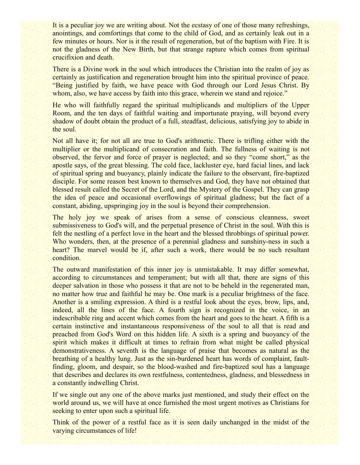It is a peculiar joy we are writing about. Not the ecstasy of one of those many refreshings, anointings, and comfortings that come to the child of God, and as certainly leak out in a few minutes or hours. Nor is it the result of regeneration, but of the baptism with Fire. It is not the gladness of the New Birth, but that strange rapture which comes from spiritual crucifixion and death.

There is a Divine work in the soul which introduces the Christian into the realm of joy as certainly as justification and regeneration brought him into the spiritual province of peace. "Being justified by faith, we have peace with God through our Lord Jesus Christ. By whom, also, we have access by faith into this grace, wherein we stand and rejoice."

He who will faithfully regard the spiritual multiplicands and multipliers of the Upper Room, and the ten days of faithful waiting and importunate praying, will beyond every shadow of doubt obtain the product of a full, steadfast, delicious, satisfying joy to abide in the soul.

Not all have it; for not all are true to God's arithmetic. There is trifling either with the multiplier or the multiplicand of consecration and faith. The fullness of waiting is not observed, the fervor and force of prayer is neglected; and so they "come short," as the apostle says, of the great blessing. The cold face, lackluster eye, hard facial lines, and lack of spiritual spring and buoyancy, plainly indicate the failure to the observant, fire-baptized disciple. For some reason best known to themselves and God, they have not obtained that blessed result called the Secret of the Lord, and the Mystery of the Gospel. They can grasp the idea of peace and occasional overflowings of spiritual gladness; but the fact of a constant, abiding, upspringing joy in the soul is beyond their comprehension.

The holy joy we speak of arises from a sense of conscious cleanness, sweet submissiveness to God's will, and the perpetual presence of Christ in the soul. With this is felt the nestling of a perfect love in the heart and the blessed throbbings of spiritual power. Who wonders, then, at the presence of a perennial gladness and sunshiny-ness in such a heart? The marvel would be if, after such a work, there would be no such resultant condition.

The outward manifestation of this inner joy is unmistakable. It may differ somewhat, according to circumstances and temperament; but with all that, there are signs of this deeper salvation in those who possess it that are not to be beheld in the regenerated man, no matter how true and faithful he may be. One mark is a peculiar brightness of the face. Another is a smiling expression. A third is a restful look about the eyes, brow, lips, and, indeed, all the lines of the face. A fourth sign is recognized in the voice, in an indescribable ring and accent which comes from the heart and goes to the heart. A fifth is a certain instinctive and instantaneous responsiveness of the soul to all that is read and preached from God's Word on this hidden life. A sixth is a spring and buoyancy of the spirit which makes it difficult at times to refrain from what might be called physical demonstrativeness. A seventh is the language of praise that becomes as natural as the breathing of a healthy lung. Just as the sin-burdened heart has words of complaint, faultfinding, gloom, and despair, so the blood-washed and fire-baptized soul has a language that describes and declares its own restfulness, contentedness, gladness, and blessedness in a constantly indwelling Christ.

If we single out any one of the above marks just mentioned, and study their effect on the world around us, we will have at once furnished the most urgent motives as Christians for seeking to enter upon such a spiritual life.

Think of the power of a restful face as it is seen daily unchanged in the midst of the varying circumstances of life!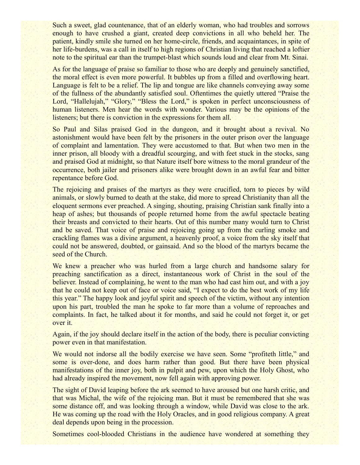Such a sweet, glad countenance, that of an elderly woman, who had troubles and sorrows enough to have crushed a giant, created deep convictions in all who beheld her. The patient, kindly smile she turned on her home-circle, friends, and acquaintances, in spite of her life-burdens, was a call in itself to high regions of Christian living that reached a loftier note to the spiritual ear than the trumpet-blast which sounds loud and clear from Mt. Sinai.

As for the language of praise so familiar to those who are deeply and genuinely sanctified, the moral effect is even more powerful. It bubbles up from a filled and overflowing heart. Language is felt to be a relief. The lip and tongue are like channels conveying away some of the fullness of the abundantly satisfied soul. Oftentimes the quietly uttered "Praise the Lord, "Hallelujah," "Glory," "Bless the Lord," is spoken in perfect unconsciousness of human listeners. Men hear the words with wonder. Various may be the opinions of the listeners; but there is conviction in the expressions for them all.

So Paul and Silas praised God in the dungeon, and it brought about a revival. No astonishment would have been felt by the prisoners in the outer prison over the language of complaint and lamentation. They were accustomed to that. But when two men in the inner prison, all bloody with a dreadful scourging, and with feet stuck in the stocks, sang and praised God at midnight, so that Nature itself bore witness to the moral grandeur of the occurrence, both jailer and prisoners alike were brought down in an awful fear and bitter repentance before God.

The rejoicing and praises of the martyrs as they were crucified, torn to pieces by wild animals, or slowly burned to death at the stake, did more to spread Christianity than all the eloquent sermons ever preached. A singing, shouting, praising Christian sank finally into a heap of ashes; but thousands of people returned home from the awful spectacle beating their breasts and convicted to their hearts. Out of this number many would turn to Christ and be saved. That voice of praise and rejoicing going up from the curling smoke and crackling flames was a divine argument, a heavenly proof, a voice from the sky itself that could not be answered, doubted, or gainsaid. And so the blood of the martyrs became the seed of the Church.

We knew a preacher who was hurled from a large church and handsome salary for preaching sanctification as a direct, instantaneous work of Christ in the soul of the believer. Instead of complaining, he went to the man who had cast him out, and with a joy that he could not keep out of face or voice said, "I expect to do the best work of my life this year." The happy look and joyful spirit and speech of the victim, without any intention upon his part, troubled the man he spoke to far more than a volume of reproaches and complaints. In fact, he talked about it for months, and said he could not forget it, or get over it.

Again, if the joy should declare itself in the action of the body, there is peculiar convicting power even in that manifestation.

We would not indorse all the bodily exercise we have seen. Some "profiteth little," and some is over-done, and does harm rather than good. But there have been physical manifestations of the inner joy, both in pulpit and pew, upon which the Holy Ghost, who had already inspired the movement, now fell again with approving power.

The sight of David leaping before the ark seemed to have aroused but one harsh critic, and that was Michal, the wife of the rejoicing man. But it must be remembered that she was some distance off, and was looking through a window, while David was close to the ark. He was coming up the road with the Holy Oracles, and in good religious company. A great deal depends upon being in the procession.

Sometimes cool-blooded Christians in the audience have wondered at something they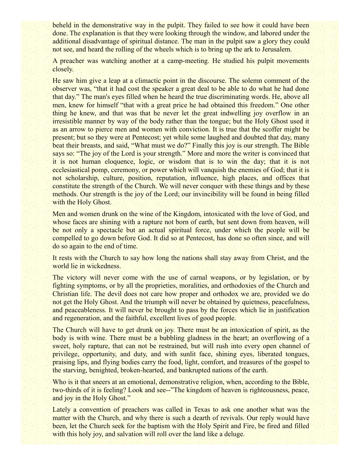beheld in the demonstrative way in the pulpit. They failed to see how it could have been done. The explanation is that they were looking through the window, and labored under the additional disadvantage of spiritual distance. The man in the pulpit saw a glory they could not see, and heard the rolling of the wheels which is to bring up the ark to Jerusalem.

A preacher was watching another at a camp-meeting. He studied his pulpit movements closely.

He saw him give a leap at a climactic point in the discourse. The solemn comment of the observer was, "that it had cost the speaker a great deal to be able to do what he had done that day." The man's eyes filled when he heard the true discriminating words. He, above all men, knew for himself "that with a great price he had obtained this freedom." One other thing he knew, and that was that he never let the great indwelling joy overflow in an irresistible manner by way of the body rather than the tongue; but the Holy Ghost used it as an arrow to pierce men and women with conviction. It is true that the scoffer might be present; but so they were at Pentecost; yet while some laughed and doubted that day, many beat their breasts, and said, "What must we do?" Finally this joy is our strength. The Bible says so: "The joy of the Lord is your strength." More and more the writer is convinced that it is not human eloquence, logic, or wisdom that is to win the day; that it is not ecclesiastical pomp, ceremony, or power which will vanquish the enemies of God; that it is not scholarship, culture, position, reputation, influence, high places, and offices that constitute the strength of the Church. We will never conquer with these things and by these methods. Our strength is the joy of the Lord; our invincibility will be found in being filled with the Holy Ghost.

Men and women drunk on the wine of the Kingdom, intoxicated with the love of God, and whose faces are shining with a rapture not born of earth, but sent down from heaven, will be not only a spectacle but an actual spiritual force, under which the people will be compelled to go down before God. It did so at Pentecost, has done so often since, and will do so again to the end of time.

It rests with the Church to say how long the nations shall stay away from Christ, and the world lie in wickedness.

The victory will never come with the use of carnal weapons, or by legislation, or by fighting symptoms, or by all the proprieties, moralities, and orthodoxies of the Church and Christian life. The devil does not care how proper and orthodox we are, provided we do not get the Holy Ghost. And the triumph will never be obtained by quietness, peacefulness, and peaceableness. It will never be brought to pass by the forces which lie in justification and regeneration, and the faithful, excellent lives of good people.

The Church will have to get drunk on joy. There must be an intoxication of spirit, as the body is with wine. There must be a bubbling gladness in the heart; an overflowing of a sweet, holy rapture, that can not be restrained, but will rush into every open channel of privilege, opportunity, and duty, and with sunlit face, shining eyes, liberated tongues, praising lips, and flying bodies carry the food, light, comfort, and treasures of the gospel to the starving, benighted, broken-hearted, and bankrupted nations of the earth.

Who is it that sneers at an emotional, demonstrative religion, when, according to the Bible, two-thirds of it is feeling? Look and see--"The kingdom of heaven is righteousness, peace, and joy in the Holy Ghost."

Lately a convention of preachers was called in Texas to ask one another what was the matter with the Church, and why there is such a dearth of revivals. Our reply would have been, let the Church seek for the baptism with the Holy Spirit and Fire, be fired and filled with this holy joy, and salvation will roll over the land like a deluge.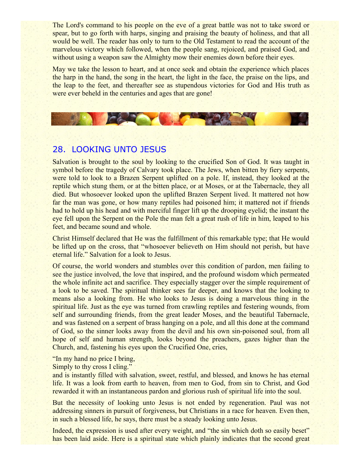The Lord's command to his people on the eve of a great battle was not to take sword or spear, but to go forth with harps, singing and praising the beauty of holiness, and that all would be well. The reader has only to turn to the Old Testament to read the account of the marvelous victory which followed, when the people sang, rejoiced, and praised God, and without using a weapon saw the Almighty mow their enemies down before their eyes.

May we take the lesson to heart, and at once seek and obtain the experience which places the harp in the hand, the song in the heart, the light in the face, the praise on the lips, and the leap to the feet, and thereafter see as stupendous victories for God and His truth as were ever beheld in the centuries and ages that are gone!



# 28. LOOKING UNTO JESUS

Salvation is brought to the soul by looking to the crucified Son of God. It was taught in symbol before the tragedy of Calvary took place. The Jews, when bitten by fiery serpents, were told to look to a Brazen Serpent uplifted on a pole. If, instead, they looked at the reptile which stung them, or at the bitten place, or at Moses, or at the Tabernacle, they all died. But whosoever looked upon the uplifted Brazen Serpent lived. It mattered not how far the man was gone, or how many reptiles had poisoned him; it mattered not if friends had to hold up his head and with merciful finger lift up the drooping eyelid; the instant the eye fell upon the Serpent on the Pole the man felt a great rush of life in him, leaped to his feet, and became sound and whole.

Christ Himself declared that He was the fulfillment of this remarkable type; that He would be lifted up on the cross, that "whosoever believeth on Him should not perish, but have eternal life." Salvation for a look to Jesus.

Of course, the world wonders and stumbles over this condition of pardon, men failing to see the justice involved, the love that inspired, and the profound wisdom which permeated the whole infinite act and sacrifice. They especially stagger over the simple requirement of a look to be saved. The spiritual thinker sees far deeper, and knows that the looking to means also a looking from. He who looks to Jesus is doing a marvelous thing in the spiritual life. Just as the eye was turned from crawling reptiles and festering wounds, from self and surrounding friends, from the great leader Moses, and the beautiful Tabernacle, and was fastened on a serpent of brass hanging on a pole, and all this done at the command of God, so the sinner looks away from the devil and his own sin-poisoned soul, from all hope of self and human strength, looks beyond the preachers, gazes higher than the Church, and, fastening his eyes upon the Crucified One, cries,

"In my hand no price I bring,

Simply to thy cross I cling."

and is instantly filled with salvation, sweet, restful, and blessed, and knows he has eternal life. It was a look from earth to heaven, from men to God, from sin to Christ, and God rewarded it with an instantaneous pardon and glorious rush of spiritual life into the soul.

But the necessity of looking unto Jesus is not ended by regeneration. Paul was not addressing sinners in pursuit of forgiveness, but Christians in a race for heaven. Even then, in such a blessed life, he says, there must be a steady looking unto Jesus.

Indeed, the expression is used after every weight, and "the sin which doth so easily beset" has been laid aside. Here is a spiritual state which plainly indicates that the second great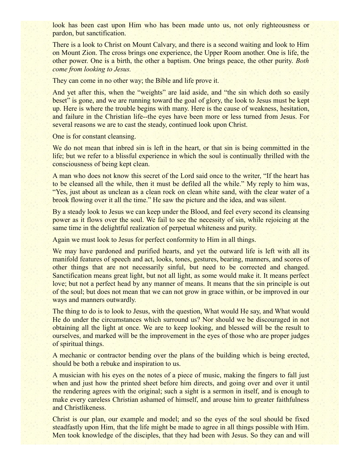look has been cast upon Him who has been made unto us, not only righteousness or pardon, but sanctification.

There is a look to Christ on Mount Calvary, and there is a second waiting and look to Him on Mount Zion. The cross brings one experience, the Upper Room another. One is life, the other power. One is a birth, the other a baptism. One brings peace, the other purity. *Both come from looking to Jesus.*

They can come in no other way; the Bible and life prove it.

And yet after this, when the "weights" are laid aside, and "the sin which doth so easily beset" is gone, and we are running toward the goal of glory, the look to Jesus must be kept up. Here is where the trouble begins with many. Here is the cause of weakness, hesitation, and failure in the Christian life--the eyes have been more or less turned from Jesus. For several reasons we are to cast the steady, continued look upon Christ.

One is for constant cleansing.

We do not mean that inbred sin is left in the heart, or that sin is being committed in the life; but we refer to a blissful experience in which the soul is continually thrilled with the consciousness of being kept clean.

A man who does not know this secret of the Lord said once to the writer, "If the heart has to be cleansed all the while, then it must be defiled all the while." My reply to him was, "Yes, just about as unclean as a clean rock on clean white sand, with the clear water of a brook flowing over it all the time." He saw the picture and the idea, and was silent.

By a steady look to Jesus we can keep under the Blood, and feel every second its cleansing power as it flows over the soul. We fail to see the necessity of sin, while rejoicing at the same time in the delightful realization of perpetual whiteness and purity.

Again we must look to Jesus for perfect conformity to Him in all things.

We may have pardoned and purified hearts, and yet the outward life is left with all its manifold features of speech and act, looks, tones, gestures, bearing, manners, and scores of other things that are not necessarily sinful, but need to be corrected and changed. Sanctification means great light, but not all light, as some would make it. It means perfect love; but not a perfect head by any manner of means. It means that the sin principle is out of the soul; but does not mean that we can not grow in grace within, or be improved in our ways and manners outwardly.

The thing to do is to look to Jesus, with the question, What would He say, and What would He do under the circumstances which surround us? Nor should we be discouraged in not obtaining all the light at once. We are to keep looking, and blessed will be the result to ourselves, and marked will be the improvement in the eyes of those who are proper judges of spiritual things.

A mechanic or contractor bending over the plans of the building which is being erected, should be both a rebuke and inspiration to us.

A musician with his eyes on the notes of a piece of music, making the fingers to fall just when and just how the printed sheet before him directs, and going over and over it until the rendering agrees with the original; such a sight is a sermon in itself, and is enough to make every careless Christian ashamed of himself, and arouse him to greater faithfulness and Christlikeness.

Christ is our plan, our example and model; and so the eyes of the soul should be fixed steadfastly upon Him, that the life might be made to agree in all things possible with Him. Men took knowledge of the disciples, that they had been with Jesus. So they can and will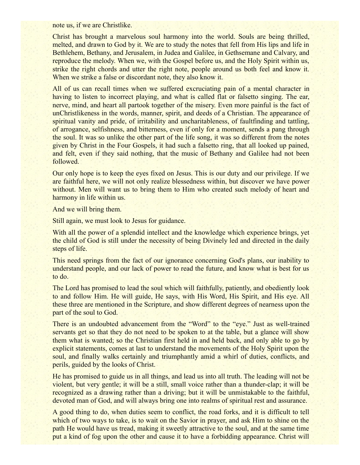note us, if we are Christlike.

Christ has brought a marvelous soul harmony into the world. Souls are being thrilled, melted, and drawn to God by it. We are to study the notes that fell from His lips and life in Bethlehem, Bethany, and Jerusalem, in Judea and Galilee, in Gethsemane and Calvary, and reproduce the melody. When we, with the Gospel before us, and the Holy Spirit within us, strike the right chords and utter the right note, people around us both feel and know it. When we strike a false or discordant note, they also know it.

All of us can recall times when we suffered excruciating pain of a mental character in having to listen to incorrect playing, and what is called flat or falsetto singing. The ear, nerve, mind, and heart all partook together of the misery. Even more painful is the fact of unChristlikeness in the words, manner, spirit, and deeds of a Christian. The appearance of spiritual vanity and pride, of irritability and uncharitableness, of faultfinding and tattling, of arrogance, selfishness, and bitterness, even if only for a moment, sends a pang through the soul. It was so unlike the other part of the life song, it was so different from the notes given by Christ in the Four Gospels, it had such a falsetto ring, that all looked up pained, and felt, even if they said nothing, that the music of Bethany and Galilee had not been followed.

Our only hope is to keep the eyes fixed on Jesus. This is our duty and our privilege. If we are faithful here, we will not only realize blessedness within, but discover we have power without. Men will want us to bring them to Him who created such melody of heart and harmony in life within us.

And we will bring them.

Still again, we must look to Jesus for guidance.

With all the power of a splendid intellect and the knowledge which experience brings, yet the child of God is still under the necessity of being Divinely led and directed in the daily steps of life.

This need springs from the fact of our ignorance concerning God's plans, our inability to understand people, and our lack of power to read the future, and know what is best for us to do.

The Lord has promised to lead the soul which will faithfully, patiently, and obediently look to and follow Him. He will guide, He says, with His Word, His Spirit, and His eye. All these three are mentioned in the Scripture, and show different degrees of nearness upon the part of the soul to God.

There is an undoubted advancement from the "Word" to the "eye." Just as well-trained servants get so that they do not need to be spoken to at the table, but a glance will show them what is wanted; so the Christian first held in and held back, and only able to go by explicit statements, comes at last to understand the movements of the Holy Spirit upon the soul, and finally walks certainly and triumphantly amid a whirl of duties, conflicts, and perils, guided by the looks of Christ.

He has promised to guide us in all things, and lead us into all truth. The leading will not be violent, but very gentle; it will be a still, small voice rather than a thunder-clap; it will be recognized as a drawing rather than a driving; but it will be unmistakable to the faithful, devoted man of God, and will always bring one into realms of spiritual rest and assurance.

A good thing to do, when duties seem to conflict, the road forks, and it is difficult to tell which of two ways to take, is to wait on the Savior in prayer, and ask Him to shine on the path He would have us tread, making it sweetly attractive to the soul, and at the same time put a kind of fog upon the other and cause it to have a forbidding appearance. Christ will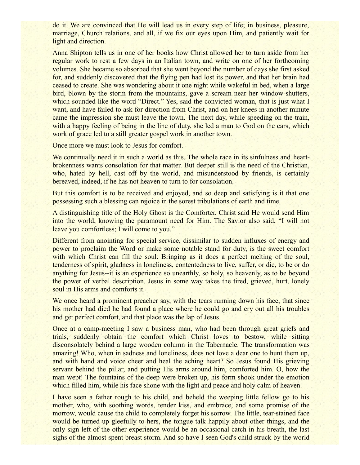do it. We are convinced that He will lead us in every step of life; in business, pleasure, marriage, Church relations, and all, if we fix our eyes upon Him, and patiently wait for light and direction.

Anna Shipton tells us in one of her books how Christ allowed her to turn aside from her regular work to rest a few days in an Italian town, and write on one of her forthcoming volumes. She became so absorbed that she went beyond the number of days she first asked for, and suddenly discovered that the flying pen had lost its power, and that her brain had ceased to create. She was wondering about it one night while wakeful in bed, when a large bird, blown by the storm from the mountains, gave a scream near her window-shutters, which sounded like the word "Direct." Yes, said the convicted woman, that is just what I want, and have failed to ask for direction from Christ, and on her knees in another minute came the impression she must leave the town. The next day, while speeding on the train, with a happy feeling of being in the line of duty, she led a man to God on the cars, which work of grace led to a still greater gospel work in another town.

Once more we must look to Jesus for comfort.

We continually need it in such a world as this. The whole race in its sinfulness and heartbrokenness wants consolation for that matter. But deeper still is the need of the Christian, who, hated by hell, cast off by the world, and misunderstood by friends, is certainly bereaved, indeed, if he has not heaven to turn to for consolation.

But this comfort is to be received and enjoyed, and so deep and satisfying is it that one possessing such a blessing can rejoice in the sorest tribulations of earth and time.

A distinguishing title of the Holy Ghost is the Comforter. Christ said He would send Him into the world, knowing the paramount need for Him. The Savior also said, "I will not leave you comfortless; I will come to you."

Different from anointing for special service, dissimilar to sudden influxes of energy and power to proclaim the Word or make some notable stand for duty, is the sweet comfort with which Christ can fill the soul. Bringing as it does a perfect melting of the soul, tenderness of spirit, gladness in loneliness, contentedness to live, suffer, or die, to be or do anything for Jesus--it is an experience so unearthly, so holy, so heavenly, as to be beyond the power of verbal description. Jesus in some way takes the tired, grieved, hurt, lonely soul in His arms and comforts it.

We once heard a prominent preacher say, with the tears running down his face, that since his mother had died he had found a place where he could go and cry out all his troubles and get perfect comfort, and that place was the lap of Jesus.

Once at a camp-meeting I saw a business man, who had been through great griefs and trials, suddenly obtain the comfort which Christ loves to bestow, while sitting disconsolately behind a large wooden column in the Tabernacle. The transformation was amazing! Who, when in sadness and loneliness, does not love a dear one to hunt them up, and with hand and voice cheer and heal the aching heart? So Jesus found His grieving servant behind the pillar, and putting His arms around him, comforted him. O, how the man wept! The fountains of the deep were broken up, his form shook under the emotion which filled him, while his face shone with the light and peace and holy calm of heaven.

I have seen a father rough to his child, and beheld the weeping little fellow go to his mother, who, with soothing words, tender kiss, and embrace, and some promise of the morrow, would cause the child to completely forget his sorrow. The little, tear-stained face would be turned up gleefully to hers, the tongue talk happily about other things, and the only sign left of the other experience would be an occasional catch in his breath, the last sighs of the almost spent breast storm. And so have I seen God's child struck by the world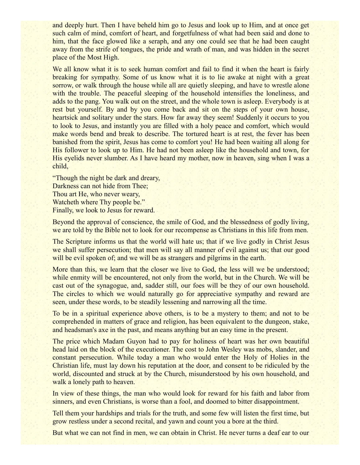and deeply hurt. Then I have beheld him go to Jesus and look up to Him, and at once get such calm of mind, comfort of heart, and forgetfulness of what had been said and done to him, that the face glowed like a seraph, and any one could see that he had been caught away from the strife of tongues, the pride and wrath of man, and was hidden in the secret place of the Most High.

We all know what it is to seek human comfort and fail to find it when the heart is fairly breaking for sympathy. Some of us know what it is to lie awake at night with a great sorrow, or walk through the house while all are quietly sleeping, and have to wrestle alone with the trouble. The peaceful sleeping of the household intensifies the loneliness, and adds to the pang. You walk out on the street, and the whole town is asleep. Everybody is at rest but yourself. By and by you come back and sit on the steps of your own house, heartsick and solitary under the stars. How far away they seem! Suddenly it occurs to you to look to Jesus, and instantly you are filled with a holy peace and comfort, which would make words bend and break to describe. The tortured heart is at rest, the fever has been banished from the spirit, Jesus has come to comfort you! He had been waiting all along for His follower to look up to Him. He had not been asleep like the household and town, for His eyelids never slumber. As I have heard my mother, now in heaven, sing when I was a child,

"Though the night be dark and dreary, Darkness can not hide from Thee; Thou art He, who never weary, Watcheth where Thy people be." Finally, we look to Jesus for reward.

Beyond the approval of conscience, the smile of God, and the blessedness of godly living, we are told by the Bible not to look for our recompense as Christians in this life from men.

The Scripture informs us that the world will hate us; that if we live godly in Christ Jesus we shall suffer persecution; that men will say all manner of evil against us; that our good will be evil spoken of; and we will be as strangers and pilgrims in the earth.

More than this, we learn that the closer we live to God, the less will we be understood; while enmity will be encountered, not only from the world, but in the Church. We will be cast out of the synagogue, and, sadder still, our foes will be they of our own household. The circles to which we would naturally go for appreciative sympathy and reward are seen, under these words, to be steadily lessening and narrowing all the time.

To be in a spiritual experience above others, is to be a mystery to them; and not to be comprehended in matters of grace and religion, has been equivalent to the dungeon, stake, and headsman's axe in the past, and means anything but an easy time in the present.

The price which Madam Guyon had to pay for holiness of heart was her own beautiful head laid on the block of the executioner. The cost to John Wesley was mobs, slander, and constant persecution. While today a man who would enter the Holy of Holies in the Christian life, must lay down his reputation at the door, and consent to be ridiculed by the world, discounted and struck at by the Church, misunderstood by his own household, and walk a lonely path to heaven.

In view of these things, the man who would look for reward for his faith and labor from sinners, and even Christians, is worse than a fool, and doomed to bitter disappointment.

Tell them your hardships and trials for the truth, and some few will listen the first time, but grow restless under a second recital, and yawn and count you a bore at the third.

But what we can not find in men, we can obtain in Christ. He never turns a deaf ear to our